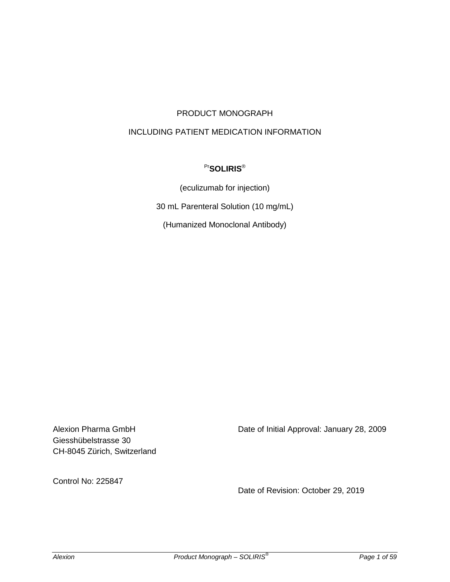# PRODUCT MONOGRAPH

# INCLUDING PATIENT MEDICATION INFORMATION

# Pr**SOLIRIS**®

(eculizumab for injection)

30 mL Parenteral Solution (10 mg/mL)

(Humanized Monoclonal Antibody)

Giesshübelstrasse 30 CH-8045 Zürich, Switzerland

Alexion Pharma GmbH Date of Initial Approval: January 28, 2009

Control No: 225847

Date of Revision: October 29, 2019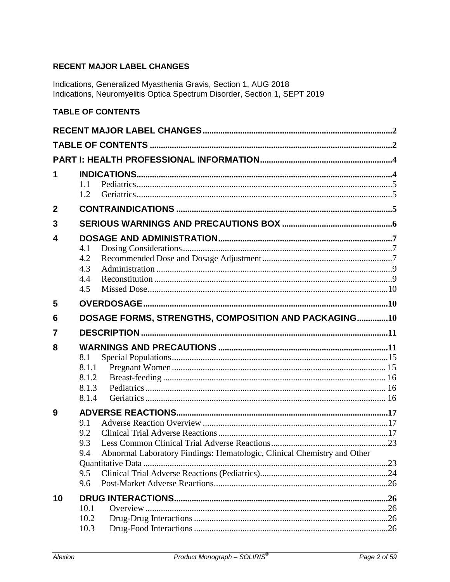# <span id="page-1-0"></span>**RECENT MAJOR LABEL CHANGES**

Indications, Generalized Myasthenia Gravis, Section 1, AUG 2018<br>Indications, Neuromyelitis Optica Spectrum Disorder, Section 1, SEPT 2019

# <span id="page-1-1"></span>**TABLE OF CONTENTS**

| 1            |                                                                               |  |
|--------------|-------------------------------------------------------------------------------|--|
|              | 1.1<br>1.2                                                                    |  |
| $\mathbf{2}$ |                                                                               |  |
| 3            |                                                                               |  |
| 4            |                                                                               |  |
|              | 4.1                                                                           |  |
|              | 4.2                                                                           |  |
|              | 4.3                                                                           |  |
|              | 4.4                                                                           |  |
|              | 4.5                                                                           |  |
| 5            |                                                                               |  |
| 6            | DOSAGE FORMS, STRENGTHS, COMPOSITION AND PACKAGING10                          |  |
| 7            |                                                                               |  |
| 8            |                                                                               |  |
|              | 8.1                                                                           |  |
|              | 8.1.1                                                                         |  |
|              | 8.1.2                                                                         |  |
|              | 8.1.3                                                                         |  |
|              | 8.1.4                                                                         |  |
| 9            |                                                                               |  |
|              | 9.1<br>9.2                                                                    |  |
|              | 9.3                                                                           |  |
|              | Abnormal Laboratory Findings: Hematologic, Clinical Chemistry and Other<br>94 |  |
|              |                                                                               |  |
|              | 9.5                                                                           |  |
|              |                                                                               |  |
|              | 9.6                                                                           |  |
| 10           |                                                                               |  |
|              | 10.1                                                                          |  |
|              | 10.2<br>10.3                                                                  |  |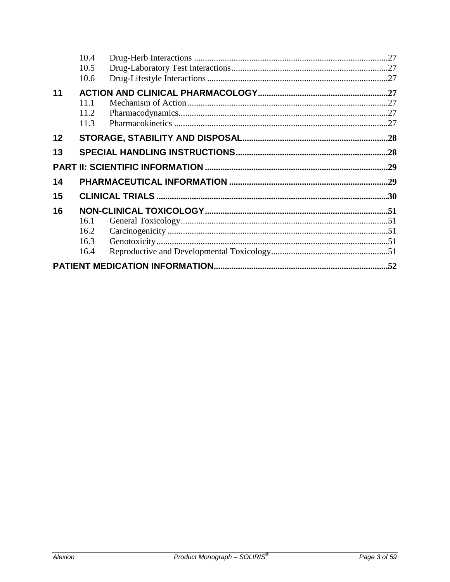|    | 10.4 |  |
|----|------|--|
|    | 10.5 |  |
|    | 10.6 |  |
| 11 |      |  |
|    | 11.1 |  |
|    | 11.2 |  |
|    | 11.3 |  |
| 12 |      |  |
| 13 |      |  |
|    |      |  |
| 14 |      |  |
| 15 |      |  |
| 16 |      |  |
|    | 16.1 |  |
|    | 16.2 |  |
|    | 16.3 |  |
|    | 16.4 |  |
|    |      |  |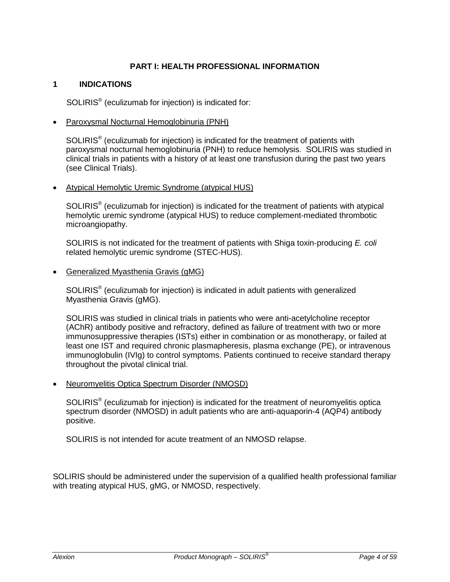### **PART I: HEALTH PROFESSIONAL INFORMATION**

#### <span id="page-3-1"></span><span id="page-3-0"></span>**1 INDICATIONS**

SOLIRIS® (eculizumab for injection) is indicated for:

• Paroxysmal Nocturnal Hemoglobinuria (PNH)

SOLIRIS® (eculizumab for injection) is indicated for the treatment of patients with paroxysmal nocturnal hemoglobinuria (PNH) to reduce hemolysis. SOLIRIS was studied in clinical trials in patients with a history of at least one transfusion during the past two years (see Clinical Trials).

• Atypical Hemolytic Uremic Syndrome (atypical HUS)

SOLIRIS® (eculizumab for injection) is indicated for the treatment of patients with atypical hemolytic uremic syndrome (atypical HUS) to reduce complement-mediated thrombotic microangiopathy.

SOLIRIS is not indicated for the treatment of patients with Shiga toxin-producing *E. coli* related hemolytic uremic syndrome (STEC-HUS).

• Generalized Myasthenia Gravis (gMG)

SOLIRIS® (eculizumab for injection) is indicated in adult patients with generalized Myasthenia Gravis (gMG).

SOLIRIS was studied in clinical trials in patients who were anti-acetylcholine receptor (AChR) antibody positive and refractory, defined as failure of treatment with two or more immunosuppressive therapies (ISTs) either in combination or as monotherapy, or failed at least one IST and required chronic plasmapheresis, plasma exchange (PE), or intravenous immunoglobulin (IVIg) to control symptoms. Patients continued to receive standard therapy throughout the pivotal clinical trial.

• Neuromyelitis Optica Spectrum Disorder (NMOSD)

SOLIRIS® (eculizumab for injection) is indicated for the treatment of neuromyelitis optica spectrum disorder (NMOSD) in adult patients who are anti-aquaporin-4 (AQP4) antibody positive.

SOLIRIS is not intended for acute treatment of an NMOSD relapse.

SOLIRIS should be administered under the supervision of a qualified health professional familiar with treating atypical HUS, gMG, or NMOSD, respectively.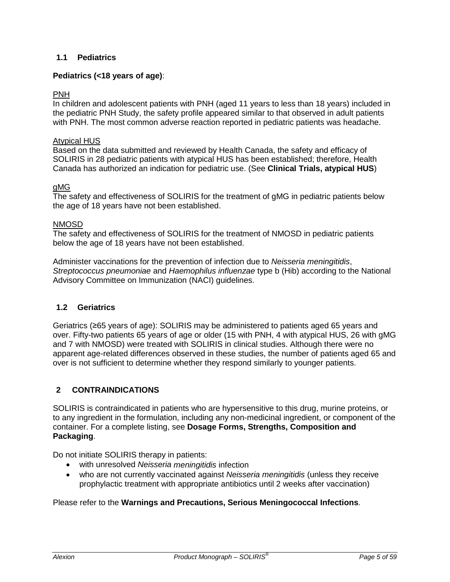# <span id="page-4-0"></span>**1.1 Pediatrics**

# **Pediatrics (<18 years of age)**:

### PNH

In children and adolescent patients with PNH (aged 11 years to less than 18 years) included in the pediatric PNH Study, the safety profile appeared similar to that observed in adult patients with PNH. The most common adverse reaction reported in pediatric patients was headache.

#### Atypical HUS

Based on the data submitted and reviewed by Health Canada, the safety and efficacy of SOLIRIS in 28 pediatric patients with atypical HUS has been established; therefore, Health Canada has authorized an indication for pediatric use. (See **Clinical Trials, atypical HUS**)

#### gMG

The safety and effectiveness of SOLIRIS for the treatment of gMG in pediatric patients below the age of 18 years have not been established.

#### NMOSD

The safety and effectiveness of SOLIRIS for the treatment of NMOSD in pediatric patients below the age of 18 years have not been established.

Administer vaccinations for the prevention of infection due to *Neisseria meningitidis*, *Streptococcus pneumoniae* and *Haemophilus influenzae* type b (Hib) according to the National Advisory Committee on Immunization (NACI) guidelines.

### <span id="page-4-1"></span>**1.2 Geriatrics**

Geriatrics (≥65 years of age): SOLIRIS may be administered to patients aged 65 years and over. Fifty-two patients 65 years of age or older (15 with PNH, 4 with atypical HUS, 26 with gMG and 7 with NMOSD) were treated with SOLIRIS in clinical studies. Although there were no apparent age-related differences observed in these studies, the number of patients aged 65 and over is not sufficient to determine whether they respond similarly to younger patients.

### <span id="page-4-2"></span>**2 CONTRAINDICATIONS**

SOLIRIS is contraindicated in patients who are hypersensitive to this drug, murine proteins, or to any ingredient in the formulation, including any non-medicinal ingredient, or component of the container. For a complete listing, see **Dosage Forms, Strengths, Composition and Packaging**.

Do not initiate SOLIRIS therapy in patients:

- with unresolved *Neisseria meningitidis* infection
- who are not currently vaccinated against *Neisseria meningitidis* (unless they receive prophylactic treatment with appropriate antibiotics until 2 weeks after vaccination)

### Please refer to the **Warnings and Precautions, Serious Meningococcal Infections**.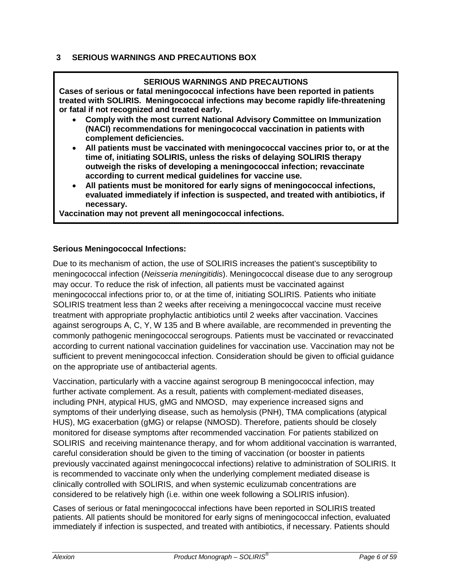# <span id="page-5-0"></span>**3 SERIOUS WARNINGS AND PRECAUTIONS BOX**

### **SERIOUS WARNINGS AND PRECAUTIONS**

**Cases of serious or fatal meningococcal infections have been reported in patients treated with SOLIRIS. Meningococcal infections may become rapidly life-threatening or fatal if not recognized and treated early.** 

- **Comply with the most current National Advisory Committee on Immunization (NACI) recommendations for meningococcal vaccination in patients with complement deficiencies.**
- **All patients must be vaccinated with meningococcal vaccines prior to, or at the time of, initiating SOLIRIS, unless the risks of delaying SOLIRIS therapy outweigh the risks of developing a meningococcal infection; revaccinate according to current medical guidelines for vaccine use.**
- **All patients must be monitored for early signs of meningococcal infections, evaluated immediately if infection is suspected, and treated with antibiotics, if necessary.**

**Vaccination may not prevent all meningococcal infections.**

### **Serious Meningococcal Infections:**

Due to its mechanism of action, the use of SOLIRIS increases the patient's susceptibility to meningococcal infection (*Neisseria meningitidis*). Meningococcal disease due to any serogroup may occur. To reduce the risk of infection, all patients must be vaccinated against meningococcal infections prior to, or at the time of, initiating SOLIRIS. Patients who initiate SOLIRIS treatment less than 2 weeks after receiving a meningococcal vaccine must receive treatment with appropriate prophylactic antibiotics until 2 weeks after vaccination. Vaccines against serogroups A, C, Y, W 135 and B where available, are recommended in preventing the commonly pathogenic meningococcal serogroups. Patients must be vaccinated or revaccinated according to current national vaccination guidelines for vaccination use. Vaccination may not be sufficient to prevent meningococcal infection. Consideration should be given to official guidance on the appropriate use of antibacterial agents.

Vaccination, particularly with a vaccine against serogroup B meningococcal infection, may further activate complement. As a result, patients with complement-mediated diseases, including PNH, atypical HUS, gMG and NMOSD, may experience increased signs and symptoms of their underlying disease, such as hemolysis (PNH), TMA complications (atypical HUS), MG exacerbation (gMG) or relapse (NMOSD). Therefore, patients should be closely monitored for disease symptoms after recommended vaccination. For patients stabilized on SOLIRIS and receiving maintenance therapy, and for whom additional vaccination is warranted, careful consideration should be given to the timing of vaccination (or booster in patients previously vaccinated against meningococcal infections) relative to administration of SOLIRIS. It is recommended to vaccinate only when the underlying complement mediated disease is clinically controlled with SOLIRIS, and when systemic eculizumab concentrations are considered to be relatively high (i.e. within one week following a SOLIRIS infusion).

Cases of serious or fatal meningococcal infections have been reported in SOLIRIS treated patients. All patients should be monitored for early signs of meningococcal infection, evaluated immediately if infection is suspected, and treated with antibiotics, if necessary. Patients should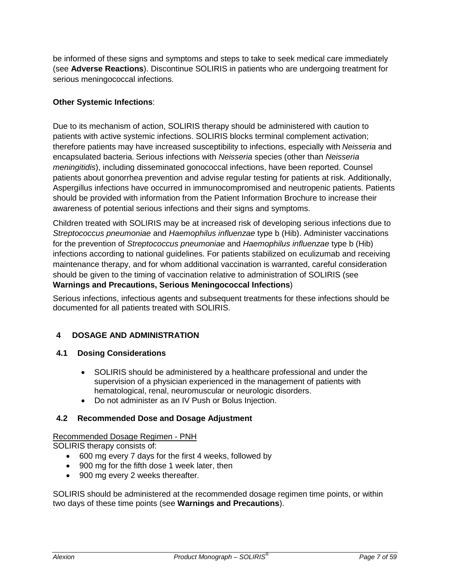be informed of these signs and symptoms and steps to take to seek medical care immediately (see **Adverse Reactions**). Discontinue SOLIRIS in patients who are undergoing treatment for serious meningococcal infections.

### **Other Systemic Infections**:

Due to its mechanism of action, SOLIRIS therapy should be administered with caution to patients with active systemic infections. SOLIRIS blocks terminal complement activation; therefore patients may have increased susceptibility to infections, especially with *Neisseria* and encapsulated bacteria. Serious infections with *Neisseria* species (other than *Neisseria meningitidis*), including disseminated gonococcal infections, have been reported. Counsel patients about gonorrhea prevention and advise regular testing for patients at risk. Additionally, Aspergillus infections have occurred in immunocompromised and neutropenic patients. Patients should be provided with information from the Patient Information Brochure to increase their awareness of potential serious infections and their signs and symptoms.

Children treated with SOLIRIS may be at increased risk of developing serious infections due to *Streptococcus pneumoniae* and *Haemophilus influenzae* type b (Hib). Administer vaccinations for the prevention of *Streptococcus pneumoniae* and *Haemophilus influenzae* type b (Hib) infections according to national guidelines. For patients stabilized on eculizumab and receiving maintenance therapy, and for whom additional vaccination is warranted, careful consideration should be given to the timing of vaccination relative to administration of SOLIRIS (see **Warnings and Precautions, Serious Meningococcal Infections**)

Serious infections, infectious agents and subsequent treatments for these infections should be documented for all patients treated with SOLIRIS.

# <span id="page-6-0"></span>**4 DOSAGE AND ADMINISTRATION**

### <span id="page-6-1"></span>**4.1 Dosing Considerations**

- SOLIRIS should be administered by a healthcare professional and under the supervision of a physician experienced in the management of patients with hematological, renal, neuromuscular or neurologic disorders.
- Do not administer as an IV Push or Bolus Injection.

# <span id="page-6-2"></span>**4.2 Recommended Dose and Dosage Adjustment**

# Recommended Dosage Regimen - PNH

SOLIRIS therapy consists of:

- 600 mg every 7 days for the first 4 weeks, followed by
- 900 mg for the fifth dose 1 week later, then
- 900 mg every 2 weeks thereafter.

SOLIRIS should be administered at the recommended dosage regimen time points, or within two days of these time points (see **Warnings and Precautions**).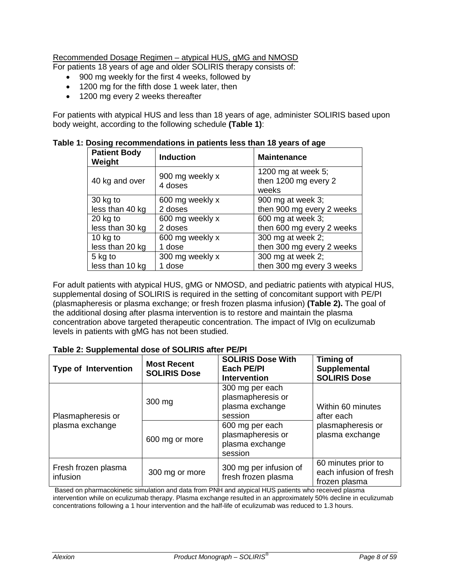# Recommended Dosage Regimen – atypical HUS, gMG and NMOSD

For patients 18 years of age and older SOLIRIS therapy consists of:

- 900 mg weekly for the first 4 weeks, followed by
- 1200 mg for the fifth dose 1 week later, then
- 1200 mg every 2 weeks thereafter

For patients with atypical HUS and less than 18 years of age, administer SOLIRIS based upon body weight, according to the following schedule **(Table 1)**:

| <b>Patient Body</b><br>Weight | <b>Induction</b>           | <b>Maintenance</b>                                  |
|-------------------------------|----------------------------|-----------------------------------------------------|
| 40 kg and over                | 900 mg weekly x<br>4 doses | 1200 mg at week 5;<br>then 1200 mg every 2<br>weeks |
| 30 kg to                      | 600 mg weekly x            | 900 mg at week 3;                                   |
| less than 40 kg               | 2 doses                    | then 900 mg every 2 weeks                           |
| $20$ kg to                    | 600 mg weekly x            | 600 mg at week 3;                                   |
| less than 30 kg               | 2 doses                    | then 600 mg every 2 weeks                           |
| 10 kg to                      | 600 mg weekly x            | 300 mg at week 2;                                   |
| less than 20 kg               | 1 dose                     | then 300 mg every 2 weeks                           |
| 5 kg to                       | 300 mg weekly x            | 300 mg at week 2;                                   |
| less than 10 kg               | 1 dose                     | then 300 mg every 3 weeks                           |

**Table 1: Dosing recommendations in patients less than 18 years of age**

For adult patients with atypical HUS, gMG or NMOSD, and pediatric patients with atypical HUS, supplemental dosing of SOLIRIS is required in the setting of concomitant support with PE/PI (plasmapheresis or plasma exchange; or fresh frozen plasma infusion) **(Table 2).** The goal of the additional dosing after plasma intervention is to restore and maintain the plasma concentration above targeted therapeutic concentration. The impact of IVIg on eculizumab levels in patients with gMG has not been studied.

| <b>Type of Intervention</b>     | <b>Most Recent</b><br><b>SOLIRIS Dose</b> | <b>SOLIRIS Dose With</b><br><b>Each PE/PI</b><br><b>Intervention</b> | <b>Timing of</b><br>Supplemental<br><b>SOLIRIS Dose</b>        |  |
|---------------------------------|-------------------------------------------|----------------------------------------------------------------------|----------------------------------------------------------------|--|
| Plasmapheresis or               | 300 mg                                    | 300 mg per each<br>plasmapheresis or<br>plasma exchange<br>session   | Within 60 minutes<br>after each                                |  |
| plasma exchange                 | 600 mg or more                            | 600 mg per each<br>plasmapheresis or<br>plasma exchange<br>session   | plasmapheresis or<br>plasma exchange                           |  |
| Fresh frozen plasma<br>infusion | 300 mg or more                            | 300 mg per infusion of<br>fresh frozen plasma                        | 60 minutes prior to<br>each infusion of fresh<br>frozen plasma |  |

**Table 2: Supplemental dose of SOLIRIS after PE/PI**

Based on pharmacokinetic simulation and data from PNH and atypical HUS patients who received plasma intervention while on eculizumab therapy. Plasma exchange resulted in an approximately 50% decline in eculizumab concentrations following a 1 hour intervention and the half-life of eculizumab was reduced to 1.3 hours.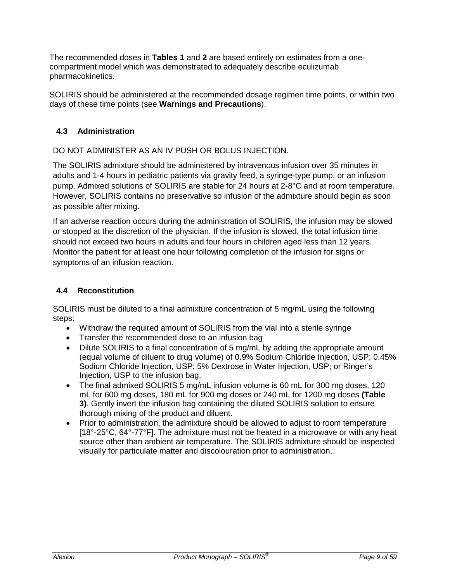The recommended doses in **Tables 1** and **2** are based entirely on estimates from a onecompartment model which was demonstrated to adequately describe eculizumab pharmacokinetics.

SOLIRIS should be administered at the recommended dosage regimen time points, or within two days of these time points (see **Warnings and Precautions**).

# <span id="page-8-0"></span>**4.3 Administration**

DO NOT ADMINISTER AS AN IV PUSH OR BOLUS INJECTION.

The SOLIRIS admixture should be administered by intravenous infusion over 35 minutes in adults and 1-4 hours in pediatric patients via gravity feed, a syringe-type pump, or an infusion pump. Admixed solutions of SOLIRIS are stable for 24 hours at 2-8°C and at room temperature. However, SOLIRIS contains no preservative so infusion of the admixture should begin as soon as possible after mixing.

If an adverse reaction occurs during the administration of SOLIRIS, the infusion may be slowed or stopped at the discretion of the physician. If the infusion is slowed, the total infusion time should not exceed two hours in adults and four hours in children aged less than 12 years. Monitor the patient for at least one hour following completion of the infusion for signs or symptoms of an infusion reaction.

# <span id="page-8-1"></span>**4.4 Reconstitution**

SOLIRIS must be diluted to a final admixture concentration of 5 mg/mL using the following steps:

- Withdraw the required amount of SOLIRIS from the vial into a sterile syringe
- Transfer the recommended dose to an infusion bag
- Dilute SOLIRIS to a final concentration of 5 mg/mL by adding the appropriate amount (equal volume of diluent to drug volume) of 0.9% Sodium Chloride Injection, USP; 0.45% Sodium Chloride Injection, USP; 5% Dextrose in Water Injection, USP; or Ringer's Injection, USP to the infusion bag.
- The final admixed SOLIRIS 5 mg/mL infusion volume is 60 mL for 300 mg doses, 120 mL for 600 mg doses, 180 mL for 900 mg doses or 240 mL for 1200 mg doses **(Table 3)**. Gently invert the infusion bag containing the diluted SOLIRIS solution to ensure thorough mixing of the product and diluent.
- Prior to administration, the admixture should be allowed to adjust to room temperature [18°-25°C, 64°-77°F]. The admixture must not be heated in a microwave or with any heat source other than ambient air temperature. The SOLIRIS admixture should be inspected visually for particulate matter and discolouration prior to administration.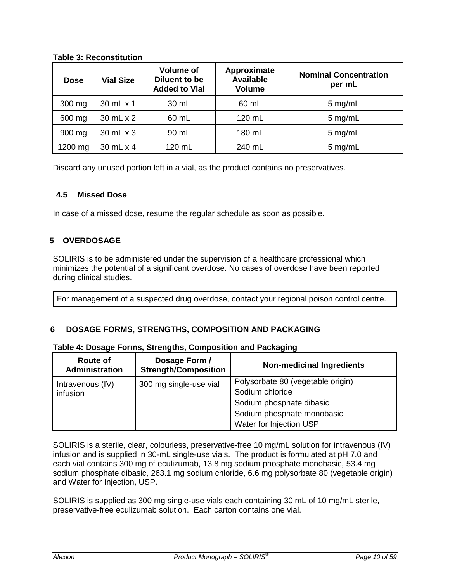| <b>Table 3: Reconstitution</b> |
|--------------------------------|
|                                |

| <b>Dose</b> | <b>Vial Size</b> | <b>Volume of</b><br>Diluent to be<br><b>Added to Vial</b> | Approximate<br><b>Available</b><br><b>Volume</b> | <b>Nominal Concentration</b><br>per mL |
|-------------|------------------|-----------------------------------------------------------|--------------------------------------------------|----------------------------------------|
| 300 mg      | 30 mL x 1        | 30 mL                                                     | 60 mL                                            | 5 mg/mL                                |
| 600 mg      | 30 mL x 2        | 60 mL                                                     | 120 mL                                           | 5 mg/mL                                |
| 900 mg      | 30 mL x 3        | 90 mL                                                     | 180 mL                                           | 5 mg/mL                                |
| 1200 mg     | 30 mL x 4        | 120 mL                                                    | 240 mL                                           | 5 mg/mL                                |

Discard any unused portion left in a vial, as the product contains no preservatives.

# <span id="page-9-0"></span>**4.5 Missed Dose**

In case of a missed dose, resume the regular schedule as soon as possible.

# <span id="page-9-1"></span>**5 OVERDOSAGE**

SOLIRIS is to be administered under the supervision of a healthcare professional which minimizes the potential of a significant overdose. No cases of overdose have been reported during clinical studies.

For management of a suspected drug overdose, contact your regional poison control centre.

# <span id="page-9-2"></span>**6 DOSAGE FORMS, STRENGTHS, COMPOSITION AND PACKAGING**

### **Table 4: Dosage Forms, Strengths, Composition and Packaging**

| <b>Route of</b><br>Administration | Dosage Form /<br><b>Strength/Composition</b> | <b>Non-medicinal Ingredients</b>                                                                                                          |
|-----------------------------------|----------------------------------------------|-------------------------------------------------------------------------------------------------------------------------------------------|
| Intravenous (IV)<br>infusion      | 300 mg single-use vial                       | Polysorbate 80 (vegetable origin)<br>Sodium chloride<br>Sodium phosphate dibasic<br>Sodium phosphate monobasic<br>Water for Injection USP |

SOLIRIS is a sterile, clear, colourless, preservative-free 10 mg/mL solution for intravenous (IV) infusion and is supplied in 30-mL single-use vials. The product is formulated at pH 7.0 and each vial contains 300 mg of eculizumab, 13.8 mg sodium phosphate monobasic, 53.4 mg sodium phosphate dibasic, 263.1 mg sodium chloride, 6.6 mg polysorbate 80 (vegetable origin) and Water for Injection, USP.

SOLIRIS is supplied as 300 mg single-use vials each containing 30 mL of 10 mg/mL sterile, preservative-free eculizumab solution. Each carton contains one vial.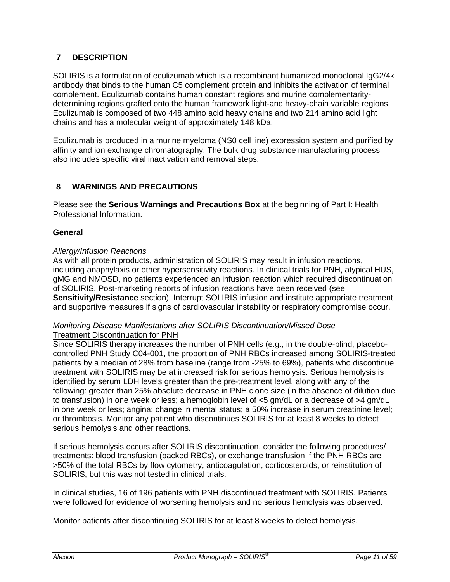# <span id="page-10-0"></span>**7 DESCRIPTION**

SOLIRIS is a formulation of eculizumab which is a recombinant humanized monoclonal IgG2/4k antibody that binds to the human C5 complement protein and inhibits the activation of terminal complement. Eculizumab contains human constant regions and murine complementaritydetermining regions grafted onto the human framework light-and heavy-chain variable regions. Eculizumab is composed of two 448 amino acid heavy chains and two 214 amino acid light chains and has a molecular weight of approximately 148 kDa.

Eculizumab is produced in a murine myeloma (NS0 cell line) expression system and purified by affinity and ion exchange chromatography. The bulk drug substance manufacturing process also includes specific viral inactivation and removal steps.

# <span id="page-10-1"></span>**8 WARNINGS AND PRECAUTIONS**

Please see the **Serious Warnings and Precautions Box** at the beginning of Part I: Health Professional Information.

### **General**

### *Allergy/Infusion Reactions*

As with all protein products, administration of SOLIRIS may result in infusion reactions, including anaphylaxis or other hypersensitivity reactions. In clinical trials for PNH, atypical HUS, gMG and NMOSD, no patients experienced an infusion reaction which required discontinuation of SOLIRIS. Post-marketing reports of infusion reactions have been received (see **Sensitivity/Resistance** section). Interrupt SOLIRIS infusion and institute appropriate treatment and supportive measures if signs of cardiovascular instability or respiratory compromise occur.

#### *Monitoring Disease Manifestations after SOLIRIS Discontinuation/Missed Dose* Treatment Discontinuation for PNH

Since SOLIRIS therapy increases the number of PNH cells (e.g., in the double-blind, placebocontrolled PNH Study C04-001, the proportion of PNH RBCs increased among SOLIRIS-treated patients by a median of 28% from baseline (range from -25% to 69%), patients who discontinue treatment with SOLIRIS may be at increased risk for serious hemolysis. Serious hemolysis is identified by serum LDH levels greater than the pre-treatment level, along with any of the following: greater than 25% absolute decrease in PNH clone size (in the absence of dilution due to transfusion) in one week or less; a hemoglobin level of <5 gm/dL or a decrease of >4 gm/dL in one week or less; angina; change in mental status; a 50% increase in serum creatinine level; or thrombosis. Monitor any patient who discontinues SOLIRIS for at least 8 weeks to detect serious hemolysis and other reactions.

If serious hemolysis occurs after SOLIRIS discontinuation, consider the following procedures/ treatments: blood transfusion (packed RBCs), or exchange transfusion if the PNH RBCs are >50% of the total RBCs by flow cytometry, anticoagulation, corticosteroids, or reinstitution of SOLIRIS, but this was not tested in clinical trials.

In clinical studies, 16 of 196 patients with PNH discontinued treatment with SOLIRIS. Patients were followed for evidence of worsening hemolysis and no serious hemolysis was observed.

Monitor patients after discontinuing SOLIRIS for at least 8 weeks to detect hemolysis.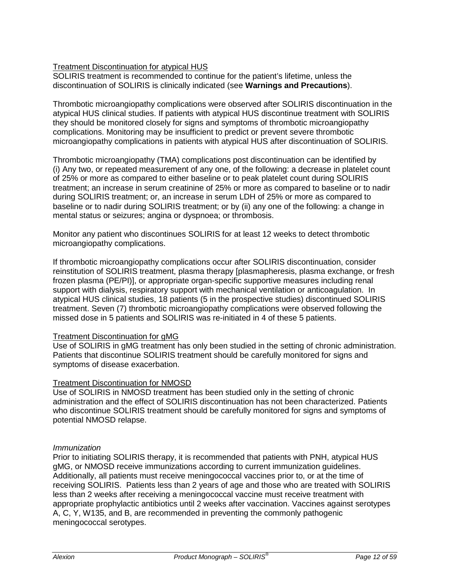### Treatment Discontinuation for atypical HUS

SOLIRIS treatment is recommended to continue for the patient's lifetime, unless the discontinuation of SOLIRIS is clinically indicated (see **Warnings and Precautions**).

Thrombotic microangiopathy complications were observed after SOLIRIS discontinuation in the atypical HUS clinical studies. If patients with atypical HUS discontinue treatment with SOLIRIS they should be monitored closely for signs and symptoms of thrombotic microangiopathy complications. Monitoring may be insufficient to predict or prevent severe thrombotic microangiopathy complications in patients with atypical HUS after discontinuation of SOLIRIS.

Thrombotic microangiopathy (TMA) complications post discontinuation can be identified by (i) Any two, or repeated measurement of any one, of the following: a decrease in platelet count of 25% or more as compared to either baseline or to peak platelet count during SOLIRIS treatment; an increase in serum creatinine of 25% or more as compared to baseline or to nadir during SOLIRIS treatment; or, an increase in serum LDH of 25% or more as compared to baseline or to nadir during SOLIRIS treatment; or by (ii) any one of the following: a change in mental status or seizures; angina or dyspnoea; or thrombosis.

Monitor any patient who discontinues SOLIRIS for at least 12 weeks to detect thrombotic microangiopathy complications.

If thrombotic microangiopathy complications occur after SOLIRIS discontinuation, consider reinstitution of SOLIRIS treatment, plasma therapy [plasmapheresis, plasma exchange, or fresh frozen plasma (PE/PI)], or appropriate organ-specific supportive measures including renal support with dialysis, respiratory support with mechanical ventilation or anticoagulation. In atypical HUS clinical studies, 18 patients (5 in the prospective studies) discontinued SOLIRIS treatment. Seven (7) thrombotic microangiopathy complications were observed following the missed dose in 5 patients and SOLIRIS was re-initiated in 4 of these 5 patients.

### Treatment Discontinuation for gMG

Use of SOLIRIS in gMG treatment has only been studied in the setting of chronic administration. Patients that discontinue SOLIRIS treatment should be carefully monitored for signs and symptoms of disease exacerbation.

#### Treatment Discontinuation for NMOSD

Use of SOLIRIS in NMOSD treatment has been studied only in the setting of chronic administration and the effect of SOLIRIS discontinuation has not been characterized. Patients who discontinue SOLIRIS treatment should be carefully monitored for signs and symptoms of potential NMOSD relapse.

#### *Immunization*

Prior to initiating SOLIRIS therapy, it is recommended that patients with PNH, atypical HUS gMG, or NMOSD receive immunizations according to current immunization guidelines. Additionally, all patients must receive meningococcal vaccines prior to, or at the time of receiving SOLIRIS. Patients less than 2 years of age and those who are treated with SOLIRIS less than 2 weeks after receiving a meningococcal vaccine must receive treatment with appropriate prophylactic antibiotics until 2 weeks after vaccination. Vaccines against serotypes A, C, Y, W135, and B, are recommended in preventing the commonly pathogenic meningococcal serotypes.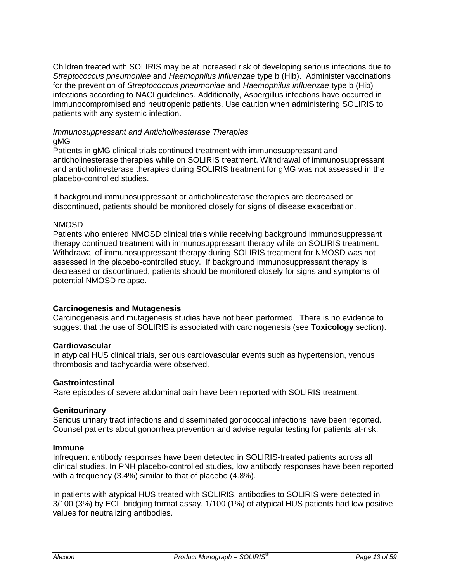Children treated with SOLIRIS may be at increased risk of developing serious infections due to *Streptococcus pneumoniae* and *Haemophilus influenzae* type b (Hib). Administer vaccinations for the prevention of *Streptococcus pneumoniae* and *Haemophilus influenzae* type b (Hib) infections according to NACI guidelines. Additionally, Aspergillus infections have occurred in immunocompromised and neutropenic patients. Use caution when administering SOLIRIS to patients with any systemic infection.

#### *Immunosuppressant and Anticholinesterase Therapies*  gMG

Patients in gMG clinical trials continued treatment with immunosuppressant and anticholinesterase therapies while on SOLIRIS treatment. Withdrawal of immunosuppressant and anticholinesterase therapies during SOLIRIS treatment for gMG was not assessed in the placebo-controlled studies.

If background immunosuppressant or anticholinesterase therapies are decreased or discontinued, patients should be monitored closely for signs of disease exacerbation.

#### NMOSD

Patients who entered NMOSD clinical trials while receiving background immunosuppressant therapy continued treatment with immunosuppressant therapy while on SOLIRIS treatment. Withdrawal of immunosuppressant therapy during SOLIRIS treatment for NMOSD was not assessed in the placebo-controlled study. If background immunosuppressant therapy is decreased or discontinued, patients should be monitored closely for signs and symptoms of potential NMOSD relapse.

### **Carcinogenesis and Mutagenesis**

Carcinogenesis and mutagenesis studies have not been performed. There is no evidence to suggest that the use of SOLIRIS is associated with carcinogenesis (see **Toxicology** section).

### **Cardiovascular**

In atypical HUS clinical trials, serious cardiovascular events such as hypertension, venous thrombosis and tachycardia were observed.

#### **Gastrointestinal**

Rare episodes of severe abdominal pain have been reported with SOLIRIS treatment.

#### **Genitourinary**

Serious urinary tract infections and disseminated gonococcal infections have been reported. Counsel patients about gonorrhea prevention and advise regular testing for patients at-risk.

#### **Immune**

Infrequent antibody responses have been detected in SOLIRIS-treated patients across all clinical studies. In PNH placebo-controlled studies, low antibody responses have been reported with a frequency (3.4%) similar to that of placebo (4.8%).

In patients with atypical HUS treated with SOLIRIS, antibodies to SOLIRIS were detected in 3/100 (3%) by ECL bridging format assay. 1/100 (1%) of atypical HUS patients had low positive values for neutralizing antibodies.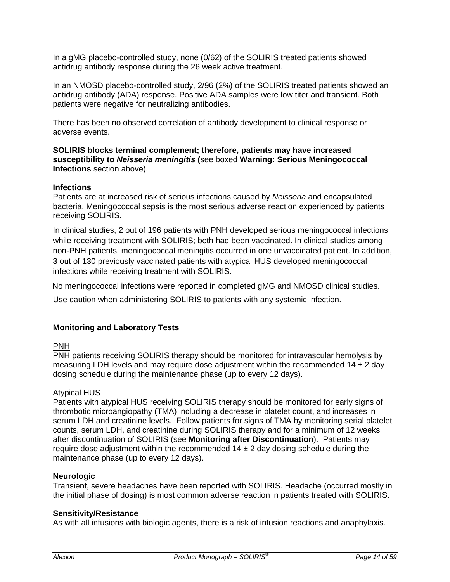In a gMG placebo-controlled study, none (0/62) of the SOLIRIS treated patients showed antidrug antibody response during the 26 week active treatment.

In an NMOSD placebo-controlled study, 2/96 (2%) of the SOLIRIS treated patients showed an antidrug antibody (ADA) response. Positive ADA samples were low titer and transient. Both patients were negative for neutralizing antibodies.

There has been no observed correlation of antibody development to clinical response or adverse events.

**SOLIRIS blocks terminal complement; therefore, patients may have increased susceptibility to** *Neisseria meningitis* **(**see boxed **Warning: Serious Meningococcal Infections** section above).

#### **Infections**

Patients are at increased risk of serious infections caused by *Neisseria* and encapsulated bacteria. Meningococcal sepsis is the most serious adverse reaction experienced by patients receiving SOLIRIS.

In clinical studies, 2 out of 196 patients with PNH developed serious meningococcal infections while receiving treatment with SOLIRIS; both had been vaccinated. In clinical studies among non-PNH patients, meningococcal meningitis occurred in one unvaccinated patient. In addition, 3 out of 130 previously vaccinated patients with atypical HUS developed meningococcal infections while receiving treatment with SOLIRIS.

No meningococcal infections were reported in completed gMG and NMOSD clinical studies.

Use caution when administering SOLIRIS to patients with any systemic infection.

### **Monitoring and Laboratory Tests**

#### PNH

PNH patients receiving SOLIRIS therapy should be monitored for intravascular hemolysis by measuring LDH levels and may require dose adjustment within the recommended  $14 \pm 2$  day dosing schedule during the maintenance phase (up to every 12 days).

#### Atypical HUS

Patients with atypical HUS receiving SOLIRIS therapy should be monitored for early signs of thrombotic microangiopathy (TMA) including a decrease in platelet count, and increases in serum LDH and creatinine levels. Follow patients for signs of TMA by monitoring serial platelet counts, serum LDH, and creatinine during SOLIRIS therapy and for a minimum of 12 weeks after discontinuation of SOLIRIS (see **Monitoring after Discontinuation**). Patients may require dose adjustment within the recommended  $14 \pm 2$  day dosing schedule during the maintenance phase (up to every 12 days).

#### **Neurologic**

Transient, severe headaches have been reported with SOLIRIS. Headache (occurred mostly in the initial phase of dosing) is most common adverse reaction in patients treated with SOLIRIS.

#### **Sensitivity/Resistance**

As with all infusions with biologic agents, there is a risk of infusion reactions and anaphylaxis.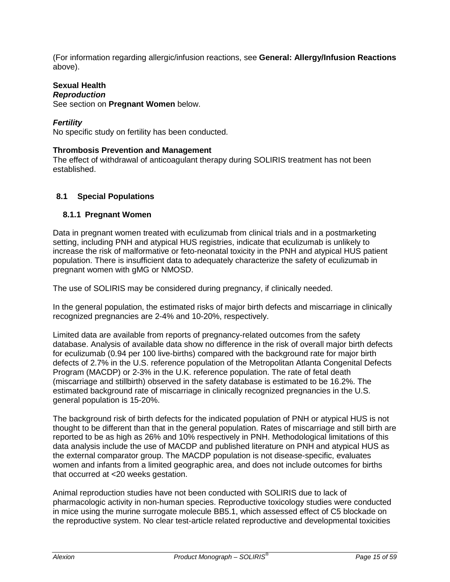(For information regarding allergic/infusion reactions, see **General: Allergy/Infusion Reactions** above).

#### **Sexual Health** *Reproduction*

See section on **Pregnant Women** below.

# *Fertility*

No specific study on fertility has been conducted.

### **Thrombosis Prevention and Management**

The effect of withdrawal of anticoagulant therapy during SOLIRIS treatment has not been established.

# <span id="page-14-0"></span>**8.1 Special Populations**

### <span id="page-14-1"></span>**8.1.1 Pregnant Women**

Data in pregnant women treated with eculizumab from clinical trials and in a postmarketing setting, including PNH and atypical HUS registries, indicate that eculizumab is unlikely to increase the risk of malformative or feto-neonatal toxicity in the PNH and atypical HUS patient population. There is insufficient data to adequately characterize the safety of eculizumab in pregnant women with gMG or NMOSD.

The use of SOLIRIS may be considered during pregnancy, if clinically needed.

In the general population, the estimated risks of major birth defects and miscarriage in clinically recognized pregnancies are 2-4% and 10-20%, respectively.

Limited data are available from reports of pregnancy-related outcomes from the safety database. Analysis of available data show no difference in the risk of overall major birth defects for eculizumab (0.94 per 100 live-births) compared with the background rate for major birth defects of 2.7% in the U.S. reference population of the Metropolitan Atlanta Congenital Defects Program (MACDP) or 2-3% in the U.K. reference population. The rate of fetal death (miscarriage and stillbirth) observed in the safety database is estimated to be 16.2%. The estimated background rate of miscarriage in clinically recognized pregnancies in the U.S. general population is 15-20%.

The background risk of birth defects for the indicated population of PNH or atypical HUS is not thought to be different than that in the general population. Rates of miscarriage and still birth are reported to be as high as 26% and 10% respectively in PNH. Methodological limitations of this data analysis include the use of MACDP and published literature on PNH and atypical HUS as the external comparator group. The MACDP population is not disease-specific, evaluates women and infants from a limited geographic area, and does not include outcomes for births that occurred at <20 weeks gestation.

Animal reproduction studies have not been conducted with SOLIRIS due to lack of pharmacologic activity in non-human species. Reproductive toxicology studies were conducted in mice using the murine surrogate molecule BB5.1, which assessed effect of C5 blockade on the reproductive system. No clear test-article related reproductive and developmental toxicities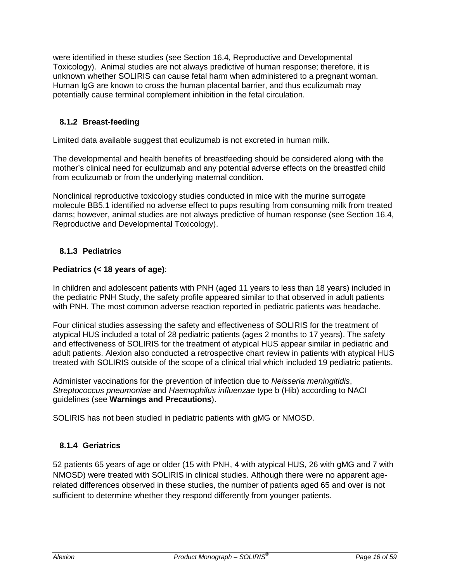were identified in these studies (see Section 16.4, Reproductive and Developmental Toxicology). Animal studies are not always predictive of human response; therefore, it is unknown whether SOLIRIS can cause fetal harm when administered to a pregnant woman. Human IgG are known to cross the human placental barrier, and thus eculizumab may potentially cause terminal complement inhibition in the fetal circulation.

# <span id="page-15-0"></span>**8.1.2 Breast-feeding**

Limited data available suggest that eculizumab is not excreted in human milk.

The developmental and health benefits of breastfeeding should be considered along with the mother's clinical need for eculizumab and any potential adverse effects on the breastfed child from eculizumab or from the underlying maternal condition.

Nonclinical reproductive toxicology studies conducted in mice with the murine surrogate molecule BB5.1 identified no adverse effect to pups resulting from consuming milk from treated dams; however, animal studies are not always predictive of human response (see Section 16.4, Reproductive and Developmental Toxicology).

### <span id="page-15-1"></span>**8.1.3 Pediatrics**

### **Pediatrics (< 18 years of age)**:

In children and adolescent patients with PNH (aged 11 years to less than 18 years) included in the pediatric PNH Study, the safety profile appeared similar to that observed in adult patients with PNH. The most common adverse reaction reported in pediatric patients was headache.

Four clinical studies assessing the safety and effectiveness of SOLIRIS for the treatment of atypical HUS included a total of 28 pediatric patients (ages 2 months to 17 years). The safety and effectiveness of SOLIRIS for the treatment of atypical HUS appear similar in pediatric and adult patients. Alexion also conducted a retrospective chart review in patients with atypical HUS treated with SOLIRIS outside of the scope of a clinical trial which included 19 pediatric patients.

Administer vaccinations for the prevention of infection due to *Neisseria meningitidis*, *Streptococcus pneumoniae* and *Haemophilus influenzae* type b (Hib) according to NACI guidelines (see **Warnings and Precautions**).

SOLIRIS has not been studied in pediatric patients with gMG or NMOSD.

### <span id="page-15-2"></span>**8.1.4 Geriatrics**

52 patients 65 years of age or older (15 with PNH, 4 with atypical HUS, 26 with gMG and 7 with NMOSD) were treated with SOLIRIS in clinical studies. Although there were no apparent agerelated differences observed in these studies, the number of patients aged 65 and over is not sufficient to determine whether they respond differently from younger patients.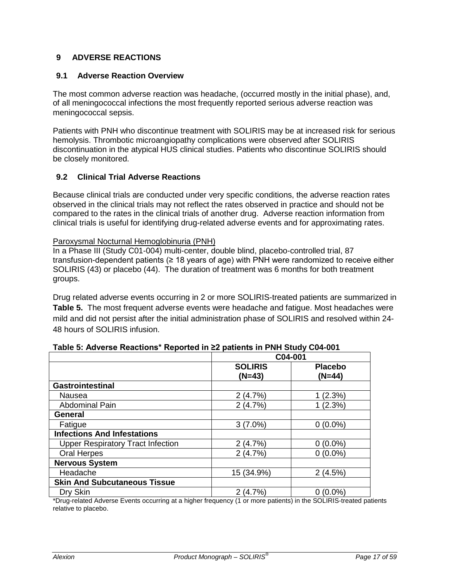# <span id="page-16-0"></span>**9 ADVERSE REACTIONS**

### <span id="page-16-1"></span>**9.1 Adverse Reaction Overview**

The most common adverse reaction was headache, (occurred mostly in the initial phase), and, of all meningococcal infections the most frequently reported serious adverse reaction was meningococcal sepsis.

Patients with PNH who discontinue treatment with SOLIRIS may be at increased risk for serious hemolysis. Thrombotic microangiopathy complications were observed after SOLIRIS discontinuation in the atypical HUS clinical studies. Patients who discontinue SOLIRIS should be closely monitored.

#### <span id="page-16-2"></span>**9.2 Clinical Trial Adverse Reactions**

Because clinical trials are conducted under very specific conditions, the adverse reaction rates observed in the clinical trials may not reflect the rates observed in practice and should not be compared to the rates in the clinical trials of another drug. Adverse reaction information from clinical trials is useful for identifying drug-related adverse events and for approximating rates.

#### Paroxysmal Nocturnal Hemoglobinuria (PNH)

In a Phase III (Study C01-004) multi-center, double blind, placebo-controlled trial, 87 transfusion-dependent patients (≥ 18 years of age) with PNH were randomized to receive either SOLIRIS (43) or placebo (44). The duration of treatment was 6 months for both treatment groups.

Drug related adverse events occurring in 2 or more SOLIRIS-treated patients are summarized in **Table 5.** The most frequent adverse events were headache and fatigue. Most headaches were mild and did not persist after the initial administration phase of SOLIRIS and resolved within 24- 48 hours of SOLIRIS infusion.

|                                          | C04-001                    |                          |
|------------------------------------------|----------------------------|--------------------------|
|                                          | <b>SOLIRIS</b><br>$(N=43)$ | <b>Placebo</b><br>(N=44) |
| <b>Gastrointestinal</b>                  |                            |                          |
| Nausea                                   | 2(4.7%)                    | 1(2.3%)                  |
| <b>Abdominal Pain</b>                    | 2(4.7%)                    | 1(2.3%)                  |
| <b>General</b>                           |                            |                          |
| Fatigue                                  | $3(7.0\%)$                 | $0(0.0\%)$               |
| <b>Infections And Infestations</b>       |                            |                          |
| <b>Upper Respiratory Tract Infection</b> | 2(4.7%)                    | $0(0.0\%)$               |
| Oral Herpes                              | 2(4.7%)                    | $0(0.0\%)$               |
| <b>Nervous System</b>                    |                            |                          |
| Headache                                 | 15 (34.9%)                 | 2(4.5%)                  |
| <b>Skin And Subcutaneous Tissue</b>      |                            |                          |
| Dry Skin                                 | (4.7%                      | $(0.0\%)$                |

**Table 5: Adverse Reactions\* Reported in ≥2 patients in PNH Study C04-001** 

\*Drug-related Adverse Events occurring at a higher frequency (1 or more patients) in the SOLIRIS-treated patients relative to placebo.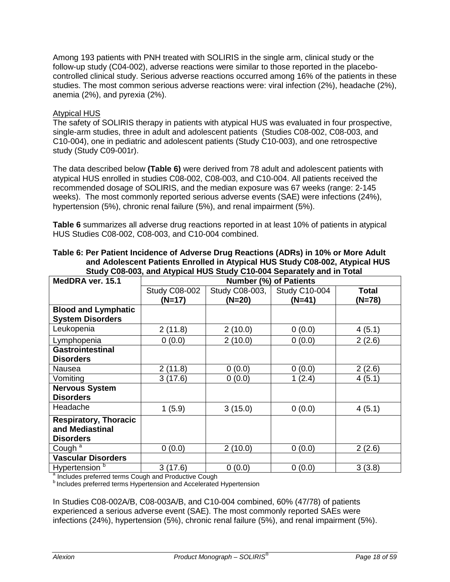Among 193 patients with PNH treated with SOLIRIS in the single arm, clinical study or the follow-up study (C04-002), adverse reactions were similar to those reported in the placebocontrolled clinical study. Serious adverse reactions occurred among 16% of the patients in these studies. The most common serious adverse reactions were: viral infection (2%), headache (2%), anemia (2%), and pyrexia (2%).

### Atypical HUS

The safety of SOLIRIS therapy in patients with atypical HUS was evaluated in four prospective, single-arm studies, three in adult and adolescent patients (Studies C08-002, C08-003, and C10-004), one in pediatric and adolescent patients (Study C10-003), and one retrospective study (Study C09-001r).

The data described below **(Table 6)** were derived from 78 adult and adolescent patients with atypical HUS enrolled in studies C08-002, C08-003, and C10-004. All patients received the recommended dosage of SOLIRIS, and the median exposure was 67 weeks (range: 2-145 weeks). The most commonly reported serious adverse events (SAE) were infections (24%), hypertension (5%), chronic renal failure (5%), and renal impairment (5%).

**Table 6** summarizes all adverse drug reactions reported in at least 10% of patients in atypical HUS Studies C08-002, C08-003, and C10-004 combined.

| MedDRA ver. 15.1                                                    | <b>Number (%) of Patients</b> |                |                      |              |
|---------------------------------------------------------------------|-------------------------------|----------------|----------------------|--------------|
|                                                                     | <b>Study C08-002</b>          | Study C08-003, | <b>Study C10-004</b> | <b>Total</b> |
|                                                                     | (N=17)                        | (N=20)         | (N=41)               | (N=78)       |
| <b>Blood and Lymphatic</b><br><b>System Disorders</b>               |                               |                |                      |              |
| Leukopenia                                                          | 2(11.8)                       | 2(10.0)        | 0(0.0)               | 4(5.1)       |
| Lymphopenia                                                         | 0(0.0)                        | 2(10.0)        | 0(0.0)               | 2(2.6)       |
| <b>Gastrointestinal</b><br><b>Disorders</b>                         |                               |                |                      |              |
| Nausea                                                              | 2(11.8)                       | 0(0.0)         | 0(0.0)               | 2(2.6)       |
| Vomiting                                                            | 3(17.6)                       | 0(0.0)         | 1(2.4)               | 4(5.1)       |
| <b>Nervous System</b><br><b>Disorders</b>                           |                               |                |                      |              |
| Headache                                                            | 1(5.9)                        | 3(15.0)        | 0(0.0)               | 4(5.1)       |
| <b>Respiratory, Thoracic</b><br>and Mediastinal<br><b>Disorders</b> |                               |                |                      |              |
| Cough <sup>a</sup>                                                  | 0(0.0)                        | 2(10.0)        | 0(0.0)               | 2(2.6)       |
| <b>Vascular Disorders</b>                                           |                               |                |                      |              |
| Hypertension <sup>b</sup>                                           | 3(17.6)                       | 0(0.0)         | 0(0.0)               | 3(3.8)       |

| Table 6: Per Patient Incidence of Adverse Drug Reactions (ADRs) in 10% or More Adult |  |
|--------------------------------------------------------------------------------------|--|
| and Adolescent Patients Enrolled in Atypical HUS Study C08-002, Atypical HUS         |  |
| Study C08-003, and Atypical HUS Study C10-004 Separately and in Total                |  |

 $\frac{a}{b}$  Includes preferred terms Cough and Productive Cough b Includes preferred terms Hypertension and Accelerated Hypertension

In Studies C08-002A/B, C08-003A/B, and C10-004 combined, 60% (47/78) of patients experienced a serious adverse event (SAE). The most commonly reported SAEs were infections (24%), hypertension (5%), chronic renal failure (5%), and renal impairment (5%).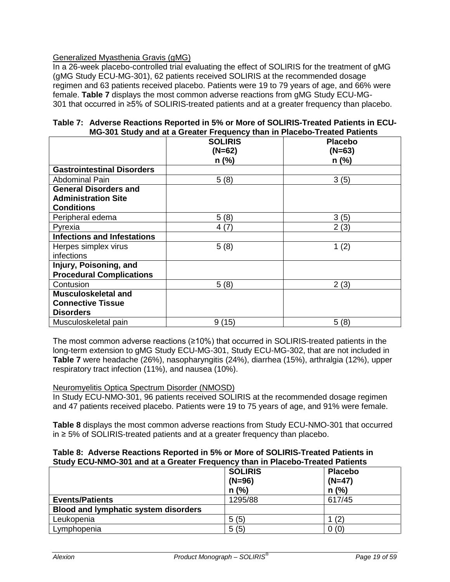### Generalized Myasthenia Gravis (gMG)

In a 26-week placebo-controlled trial evaluating the effect of SOLIRIS for the treatment of gMG (gMG Study ECU-MG-301), 62 patients received SOLIRIS at the recommended dosage regimen and 63 patients received placebo. Patients were 19 to 79 years of age, and 66% were female. **Table 7** displays the most common adverse reactions from gMG Study ECU-MG-301 that occurred in ≥5% of SOLIRIS-treated patients and at a greater frequency than placebo.

|                                    | U UU I URAY ANA ALA UTUAU. ITUGAUNIU INAN MITTI RUUDUU TIUALUA FARUNILU |                |  |  |  |
|------------------------------------|-------------------------------------------------------------------------|----------------|--|--|--|
|                                    | <b>SOLIRIS</b>                                                          | <b>Placebo</b> |  |  |  |
|                                    | $(N=62)$                                                                | $(N=63)$       |  |  |  |
|                                    | $n$ (%)                                                                 | $n$ (%)        |  |  |  |
| <b>Gastrointestinal Disorders</b>  |                                                                         |                |  |  |  |
| <b>Abdominal Pain</b>              | 5(8)                                                                    | 3(5)           |  |  |  |
| <b>General Disorders and</b>       |                                                                         |                |  |  |  |
| <b>Administration Site</b>         |                                                                         |                |  |  |  |
| <b>Conditions</b>                  |                                                                         |                |  |  |  |
| Peripheral edema                   | 5(8)                                                                    | 3(5)           |  |  |  |
| Pyrexia                            | 4(7)                                                                    | 2(3)           |  |  |  |
| <b>Infections and Infestations</b> |                                                                         |                |  |  |  |
| Herpes simplex virus               | 5(8)                                                                    | 1(2)           |  |  |  |
| infections                         |                                                                         |                |  |  |  |
| Injury, Poisoning, and             |                                                                         |                |  |  |  |
| <b>Procedural Complications</b>    |                                                                         |                |  |  |  |
| Contusion                          | 5(8)                                                                    | 2(3)           |  |  |  |
| <b>Musculoskeletal and</b>         |                                                                         |                |  |  |  |
| <b>Connective Tissue</b>           |                                                                         |                |  |  |  |
| <b>Disorders</b>                   |                                                                         |                |  |  |  |
| Musculoskeletal pain               | 9(15)                                                                   | 5(8)           |  |  |  |

#### **Table 7: Adverse Reactions Reported in 5% or More of SOLIRIS-Treated Patients in ECU-MG-301 Study and at a Greater Frequency than in Placebo-Treated Patients**

The most common adverse reactions (≥10%) that occurred in SOLIRIS-treated patients in the long-term extension to gMG Study ECU-MG-301, Study ECU-MG-302, that are not included in **Table 7** were headache (26%), nasopharyngitis (24%), diarrhea (15%), arthralgia (12%), upper respiratory tract infection (11%), and nausea (10%).

### Neuromyelitis Optica Spectrum Disorder (NMOSD)

In Study ECU-NMO-301, 96 patients received SOLIRIS at the recommended dosage regimen and 47 patients received placebo. Patients were 19 to 75 years of age, and 91% were female.

**Table 8** displays the most common adverse reactions from Study ECU-NMO-301 that occurred in ≥ 5% of SOLIRIS-treated patients and at a greater frequency than placebo.

#### **Table 8: Adverse Reactions Reported in 5% or More of SOLIRIS-Treated Patients in Study ECU-NMO-301 and at a Greater Frequency than in Placebo-Treated Patients**

| $(N=96)$<br>$n$ (%) | <b>Placebo</b><br>$(N=47)$<br>$n$ (%) |
|---------------------|---------------------------------------|
| 1295/88             | 617/45                                |
|                     |                                       |
| 5(5)                | (2)                                   |
| 5(5)                | 0(0)                                  |
|                     | <b>SOLIRIS</b>                        |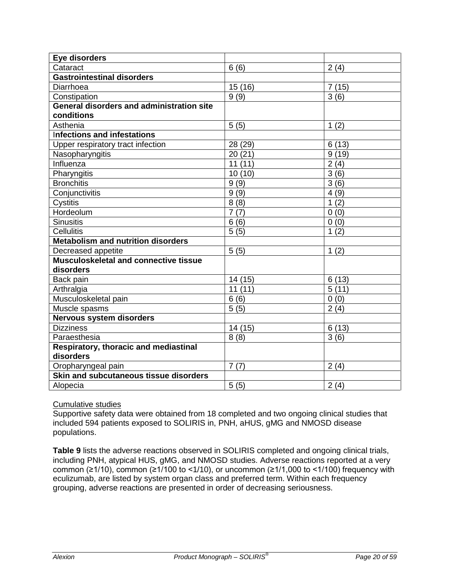| Eye disorders                                    |                    |          |
|--------------------------------------------------|--------------------|----------|
| Cataract                                         | 6(6)               | 2(4)     |
| <b>Gastrointestinal disorders</b>                |                    |          |
| Diarrhoea                                        | 15 (16)            | 7(15)    |
| Constipation                                     | 9(9)               | 3(6)     |
| <b>General disorders and administration site</b> |                    |          |
| conditions                                       |                    |          |
| Asthenia                                         | 5(5)               | 1(2)     |
| Infections and infestations                      |                    |          |
| Upper respiratory tract infection                | 28 (29)            | 6(13)    |
| Nasopharyngitis                                  | 20(21)             | 9(19)    |
| Influenza                                        | 11(11)             | 2(4)     |
| Pharyngitis                                      | 10(10)             | 3(6)     |
| <b>Bronchitis</b>                                | 9(9)               | 3(6)     |
| Conjunctivitis                                   | 9(9)               | 4(9)     |
| Cystitis                                         | 8(8)               | (2)<br>1 |
| Hordeolum                                        | 7(7)               | 0(0)     |
| <b>Sinusitis</b>                                 | 6(6)               | 0(0)     |
| Cellulitis                                       | 5(5)               | 1(2)     |
| <b>Metabolism and nutrition disorders</b>        |                    |          |
| Decreased appetite                               | 5(5)               | 1(2)     |
| Musculoskeletal and connective tissue            |                    |          |
| disorders                                        |                    |          |
| Back pain                                        | 14 (15)            | 6(13)    |
| Arthralgia                                       | 11(11)             | 5(11)    |
| Musculoskeletal pain                             | 6(6)               | 0(0)     |
| Muscle spasms                                    | $\overline{5}$ (5) | 2(4)     |
| Nervous system disorders                         |                    |          |
| <b>Dizziness</b>                                 | 14 (15)            | 6(13)    |
| Paraesthesia                                     | 8(8)               | 3(6)     |
| Respiratory, thoracic and mediastinal            |                    |          |
| disorders                                        |                    |          |
| Oropharyngeal pain                               | 7(7)               | 2(4)     |
| Skin and subcutaneous tissue disorders           |                    |          |
| Alopecia                                         | 5(5)               | 2(4)     |

### Cumulative studies

Supportive safety data were obtained from 18 completed and two ongoing clinical studies that included 594 patients exposed to SOLIRIS in, PNH, aHUS, gMG and NMOSD disease populations.

**Table 9** lists the adverse reactions observed in SOLIRIS completed and ongoing clinical trials, including PNH, atypical HUS, gMG, and NMOSD studies. Adverse reactions reported at a very common ( $\geq$ 1/10), common ( $\geq$ 1/100 to <1/10), or uncommon ( $\geq$ 1/1,000 to <1/100) frequency with eculizumab, are listed by system organ class and preferred term. Within each frequency grouping, adverse reactions are presented in order of decreasing seriousness.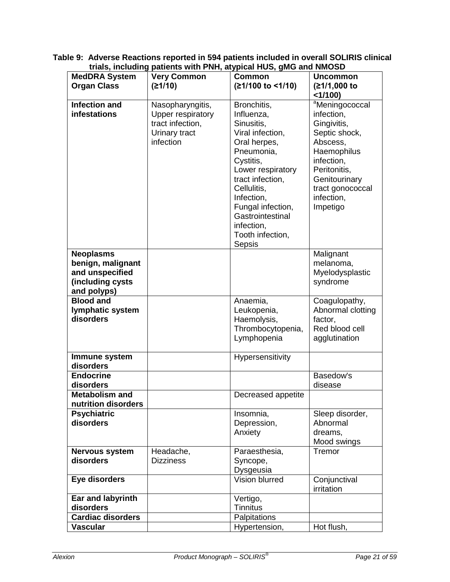|                          | $\mathbf u$ and $\mathbf v$ and $\mathbf w$ and $\mathbf w$ and $\mathbf w$ are $\mathbf w$ and $\mathbf w$ and $\mathbf w$ and $\mathbf w$ and $\mathbf w$<br><b>Very Common</b> |                    | <b>Uncommon</b>   |
|--------------------------|-----------------------------------------------------------------------------------------------------------------------------------------------------------------------------------|--------------------|-------------------|
| <b>MedDRA System</b>     |                                                                                                                                                                                   | <b>Common</b>      |                   |
| <b>Organ Class</b>       | (≥1/10)                                                                                                                                                                           | (≥1/100 to <1/10)  | (≥1/1,000 to      |
|                          |                                                                                                                                                                                   |                    | <1/100            |
| <b>Infection and</b>     | Nasopharyngitis,                                                                                                                                                                  | Bronchitis,        | aMeningococcal    |
| infestations             | Upper respiratory                                                                                                                                                                 | Influenza,         | infection,        |
|                          | tract infection,                                                                                                                                                                  | Sinusitis,         | Gingivitis,       |
|                          |                                                                                                                                                                                   |                    |                   |
|                          | Urinary tract                                                                                                                                                                     | Viral infection,   | Septic shock,     |
|                          | infection                                                                                                                                                                         | Oral herpes,       | Abscess,          |
|                          |                                                                                                                                                                                   | Pneumonia,         | Haemophilus       |
|                          |                                                                                                                                                                                   | Cystitis,          | infection,        |
|                          |                                                                                                                                                                                   | Lower respiratory  | Peritonitis,      |
|                          |                                                                                                                                                                                   | tract infection,   | Genitourinary     |
|                          |                                                                                                                                                                                   | Cellulitis,        | tract gonococcal  |
|                          |                                                                                                                                                                                   | Infection,         | infection,        |
|                          |                                                                                                                                                                                   |                    |                   |
|                          |                                                                                                                                                                                   | Fungal infection,  | Impetigo          |
|                          |                                                                                                                                                                                   | Gastrointestinal   |                   |
|                          |                                                                                                                                                                                   | infection,         |                   |
|                          |                                                                                                                                                                                   | Tooth infection,   |                   |
|                          |                                                                                                                                                                                   | Sepsis             |                   |
| <b>Neoplasms</b>         |                                                                                                                                                                                   |                    | Malignant         |
| benign, malignant        |                                                                                                                                                                                   |                    | melanoma,         |
| and unspecified          |                                                                                                                                                                                   |                    | Myelodysplastic   |
|                          |                                                                                                                                                                                   |                    |                   |
| (including cysts         |                                                                                                                                                                                   |                    | syndrome          |
| and polyps)              |                                                                                                                                                                                   |                    |                   |
| <b>Blood and</b>         |                                                                                                                                                                                   | Anaemia,           | Coagulopathy,     |
| lymphatic system         |                                                                                                                                                                                   | Leukopenia,        | Abnormal clotting |
| disorders                |                                                                                                                                                                                   | Haemolysis,        | factor,           |
|                          |                                                                                                                                                                                   | Thrombocytopenia,  | Red blood cell    |
|                          |                                                                                                                                                                                   | Lymphopenia        | agglutination     |
|                          |                                                                                                                                                                                   |                    |                   |
| Immune system            |                                                                                                                                                                                   | Hypersensitivity   |                   |
| disorders                |                                                                                                                                                                                   |                    |                   |
| <b>Endocrine</b>         |                                                                                                                                                                                   |                    | Basedow's         |
|                          |                                                                                                                                                                                   |                    |                   |
| disorders                |                                                                                                                                                                                   |                    | disease           |
| <b>Metabolism and</b>    |                                                                                                                                                                                   | Decreased appetite |                   |
| nutrition disorders      |                                                                                                                                                                                   |                    |                   |
| <b>Psychiatric</b>       |                                                                                                                                                                                   | Insomnia,          | Sleep disorder,   |
| disorders                |                                                                                                                                                                                   | Depression,        | Abnormal          |
|                          |                                                                                                                                                                                   | Anxiety            | dreams,           |
|                          |                                                                                                                                                                                   |                    | Mood swings       |
| <b>Nervous system</b>    | Headache,                                                                                                                                                                         | Paraesthesia,      | Tremor            |
| disorders                | <b>Dizziness</b>                                                                                                                                                                  | Syncope,           |                   |
|                          |                                                                                                                                                                                   | Dysgeusia          |                   |
|                          |                                                                                                                                                                                   |                    |                   |
| Eye disorders            |                                                                                                                                                                                   | Vision blurred     | Conjunctival      |
|                          |                                                                                                                                                                                   |                    | irritation        |
| Ear and labyrinth        |                                                                                                                                                                                   | Vertigo,           |                   |
| disorders                |                                                                                                                                                                                   | <b>Tinnitus</b>    |                   |
| <b>Cardiac disorders</b> |                                                                                                                                                                                   | Palpitations       |                   |
| <b>Vascular</b>          |                                                                                                                                                                                   | Hypertension,      | Hot flush,        |

**Table 9: Adverse Reactions reported in 594 patients included in overall SOLIRIS clinical trials, including patients with PNH, atypical HUS, gMG and NMOSD**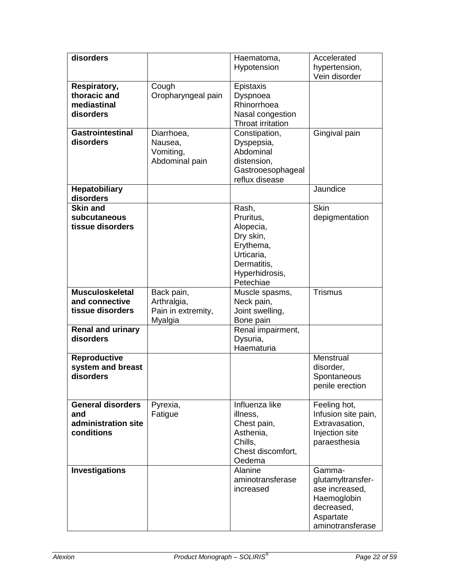| disorders                                                            |                                                            | Haematoma,<br>Hypotension                                                                                             | Accelerated<br>hypertension,<br>Vein disorder                                                               |
|----------------------------------------------------------------------|------------------------------------------------------------|-----------------------------------------------------------------------------------------------------------------------|-------------------------------------------------------------------------------------------------------------|
| Respiratory,<br>thoracic and<br>mediastinal<br>disorders             | Cough<br>Oropharyngeal pain                                | Epistaxis<br>Dyspnoea<br>Rhinorrhoea<br>Nasal congestion<br><b>Throat irritation</b>                                  |                                                                                                             |
| <b>Gastrointestinal</b><br>disorders                                 | Diarrhoea,<br>Nausea,<br>Vomiting,<br>Abdominal pain       | Constipation,<br>Dyspepsia,<br>Abdominal<br>distension,<br>Gastrooesophageal<br>reflux disease                        | Gingival pain                                                                                               |
| <b>Hepatobiliary</b><br>disorders                                    |                                                            |                                                                                                                       | Jaundice                                                                                                    |
| <b>Skin and</b><br>subcutaneous<br>tissue disorders                  |                                                            | Rash,<br>Pruritus.<br>Alopecia,<br>Dry skin,<br>Erythema,<br>Urticaria,<br>Dermatitis,<br>Hyperhidrosis,<br>Petechiae | <b>Skin</b><br>depigmentation                                                                               |
| <b>Musculoskeletal</b><br>and connective<br>tissue disorders         | Back pain,<br>Arthralgia,<br>Pain in extremity,<br>Myalgia | Muscle spasms,<br>Neck pain,<br>Joint swelling,<br>Bone pain                                                          | Trismus                                                                                                     |
| <b>Renal and urinary</b><br>disorders                                |                                                            | Renal impairment,<br>Dysuria,<br>Haematuria                                                                           |                                                                                                             |
| Reproductive<br>system and breast<br>disorders                       |                                                            |                                                                                                                       | Menstrual<br>disorder,<br>Spontaneous<br>penile erection                                                    |
| <b>General disorders</b><br>and<br>administration site<br>conditions | Pyrexia,<br>Fatigue                                        | Influenza like<br>illness.<br>Chest pain,<br>Asthenia,<br>Chills,<br>Chest discomfort,<br>Oedema                      | Feeling hot,<br>Infusion site pain,<br>Extravasation,<br>Injection site<br>paraesthesia                     |
| <b>Investigations</b>                                                |                                                            | Alanine<br>aminotransferase<br>increased                                                                              | Gamma-<br>glutamyltransfer-<br>ase increased,<br>Haemoglobin<br>decreased,<br>Aspartate<br>aminotransferase |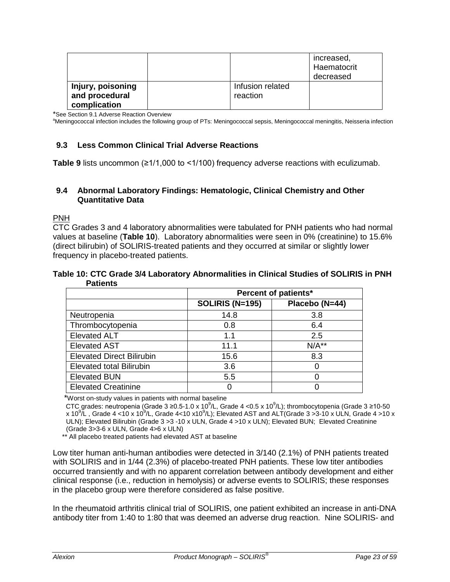|                   |                  | increased,<br>Haematocrit<br>decreased |
|-------------------|------------------|----------------------------------------|
| Injury, poisoning | Infusion related |                                        |
| and procedural    | reaction         |                                        |
| complication      |                  |                                        |

\*See Section 9.1 Adverse Reaction Overview

<sup>a</sup>Meningococcal infection includes the following group of PTs: Meningococcal sepsis, Meningococcal meningitis, Neisseria infection

### <span id="page-22-0"></span>**9.3 Less Common Clinical Trial Adverse Reactions**

**Table 9** lists uncommon (≥1/1,000 to <1/100) frequency adverse reactions with eculizumab.

#### <span id="page-22-1"></span>**9.4 Abnormal Laboratory Findings: Hematologic, Clinical Chemistry and Other Quantitative Data**

PNH

CTC Grades 3 and 4 laboratory abnormalities were tabulated for PNH patients who had normal values at baseline (**Table 10**). Laboratory abnormalities were seen in 0% (creatinine) to 15.6% (direct bilirubin) of SOLIRIS-treated patients and they occurred at similar or slightly lower frequency in placebo-treated patients.

#### **Table 10: CTC Grade 3/4 Laboratory Abnormalities in Clinical Studies of SOLIRIS in PNH Patients**

|                                  | Percent of patients*   |                |  |
|----------------------------------|------------------------|----------------|--|
|                                  | <b>SOLIRIS (N=195)</b> | Placebo (N=44) |  |
| Neutropenia                      | 14.8                   | 3.8            |  |
| Thrombocytopenia                 | 0.8                    | 6.4            |  |
| <b>Elevated ALT</b>              | 1.1                    | 2.5            |  |
| <b>Elevated AST</b>              | 11.1                   | $N/A**$        |  |
| <b>Elevated Direct Bilirubin</b> | 15.6                   | 8.3            |  |
| <b>Elevated total Bilirubin</b>  | 3.6                    |                |  |
| <b>Elevated BUN</b>              | 5.5                    |                |  |
| <b>Elevated Creatinine</b>       |                        |                |  |

\*Worst on-study values in patients with normal baseline

CTC grades: neutropenia (Grade 3 ≥0.5-1.0 x 10<sup>9</sup>/L, Grade 4 <0.5 x 10<sup>9</sup>/L); thrombocytopenia (Grade 3 ≥10-50 x 10 $^9$ /L , Grade 4 <10 x 10 $^9$ /L, Grade 4<10 x10 $^9$ /L); Elevated AST and ALT(Grade 3 >3-10 x ULN, Grade 4 >10 x ULN); Elevated Bilirubin (Grade 3 >3 -10 x ULN, Grade 4 >10 x ULN); Elevated BUN; Elevated Creatinine (Grade 3>3-6 x ULN, Grade 4>6 x ULN)

\*\* All placebo treated patients had elevated AST at baseline

Low titer human anti-human antibodies were detected in 3/140 (2.1%) of PNH patients treated with SOLIRIS and in 1/44 (2.3%) of placebo-treated PNH patients. These low titer antibodies occurred transiently and with no apparent correlation between antibody development and either clinical response (i.e., reduction in hemolysis) or adverse events to SOLIRIS; these responses in the placebo group were therefore considered as false positive.

In the rheumatoid arthritis clinical trial of SOLIRIS, one patient exhibited an increase in anti-DNA antibody titer from 1:40 to 1:80 that was deemed an adverse drug reaction. Nine SOLIRIS- and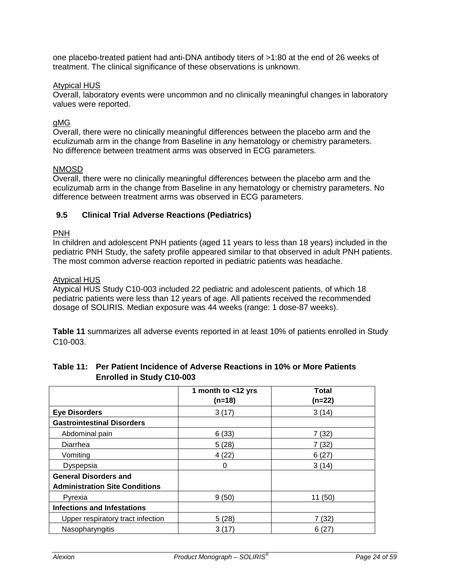one placebo-treated patient had anti-DNA antibody titers of >1:80 at the end of 26 weeks of treatment. The clinical significance of these observations is unknown.

#### Atypical HUS

Overall, laboratory events were uncommon and no clinically meaningful changes in laboratory values were reported.

### gMG

Overall, there were no clinically meaningful differences between the placebo arm and the eculizumab arm in the change from Baseline in any hematology or chemistry parameters. No difference between treatment arms was observed in ECG parameters.

#### NMOSD

Overall, there were no clinically meaningful differences between the placebo arm and the eculizumab arm in the change from Baseline in any hematology or chemistry parameters. No difference between treatment arms was observed in ECG parameters.

#### <span id="page-23-0"></span>**9.5 Clinical Trial Adverse Reactions (Pediatrics)**

#### PNH

In children and adolescent PNH patients (aged 11 years to less than 18 years) included in the pediatric PNH Study, the safety profile appeared similar to that observed in adult PNH patients. The most common adverse reaction reported in pediatric patients was headache.

#### Atypical HUS

Atypical HUS Study C10-003 included 22 pediatric and adolescent patients, of which 18 pediatric patients were less than 12 years of age. All patients received the recommended dosage of SOLIRIS. Median exposure was 44 weeks (range: 1 dose-87 weeks).

**Table 11** summarizes all adverse events reported in at least 10% of patients enrolled in Study C10-003.

|                                       | 1 month to <12 yrs<br>$(n=18)$ | Total<br>$(n=22)$ |
|---------------------------------------|--------------------------------|-------------------|
| <b>Eye Disorders</b>                  | 3(17)                          | 3(14)             |
| <b>Gastrointestinal Disorders</b>     |                                |                   |
| Abdominal pain                        | 6(33)                          | 7(32)             |
| Diarrhea                              | 5(28)                          | 7(32)             |
| Vomiting                              | 4(22)                          | 6(27)             |
| Dyspepsia                             | 0                              | 3(14)             |
| <b>General Disorders and</b>          |                                |                   |
| <b>Administration Site Conditions</b> |                                |                   |
| Pyrexia                               | 9(50)                          | 11(50)            |
| <b>Infections and Infestations</b>    |                                |                   |
| Upper respiratory tract infection     | 5(28)                          | 7(32)             |
| Nasopharyngitis                       | 3(17)                          | 6(27)             |

#### **Table 11: Per Patient Incidence of Adverse Reactions in 10% or More Patients Enrolled in Study C10-003**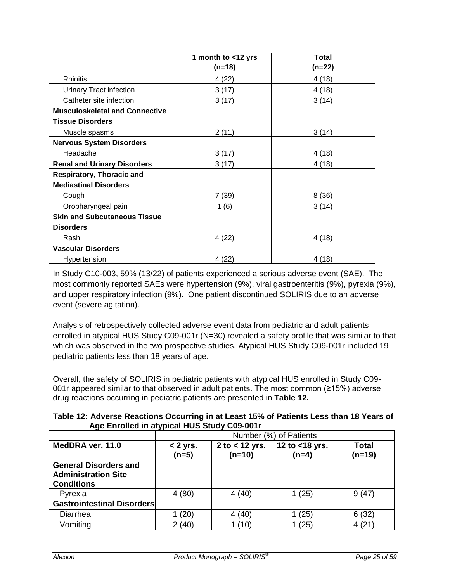|                                       | 1 month to <12 yrs<br>$(n=18)$ | <b>Total</b><br>$(n=22)$ |
|---------------------------------------|--------------------------------|--------------------------|
|                                       |                                |                          |
| Rhinitis                              | 4(22)                          | 4(18)                    |
| <b>Urinary Tract infection</b>        | 3(17)                          | 4(18)                    |
| Catheter site infection               | 3(17)                          | 3(14)                    |
| <b>Musculoskeletal and Connective</b> |                                |                          |
| <b>Tissue Disorders</b>               |                                |                          |
| Muscle spasms                         | 2(11)                          | 3(14)                    |
| <b>Nervous System Disorders</b>       |                                |                          |
| Headache                              | 3(17)                          | 4(18)                    |
| <b>Renal and Urinary Disorders</b>    | 3(17)                          | 4(18)                    |
| Respiratory, Thoracic and             |                                |                          |
| <b>Mediastinal Disorders</b>          |                                |                          |
| Cough                                 | 7 (39)                         | 8(36)                    |
| Oropharyngeal pain                    | 1(6)                           | 3(14)                    |
| <b>Skin and Subcutaneous Tissue</b>   |                                |                          |
| <b>Disorders</b>                      |                                |                          |
| Rash                                  | 4 (22)                         | 4(18)                    |
| <b>Vascular Disorders</b>             |                                |                          |
| Hypertension                          | 4(22)                          | 4(18)                    |

In Study C10-003, 59% (13/22) of patients experienced a serious adverse event (SAE). The most commonly reported SAEs were hypertension (9%), viral gastroenteritis (9%), pyrexia (9%), and upper respiratory infection (9%). One patient discontinued SOLIRIS due to an adverse event (severe agitation).

Analysis of retrospectively collected adverse event data from pediatric and adult patients enrolled in atypical HUS Study C09-001r (N=30) revealed a safety profile that was similar to that which was observed in the two prospective studies. Atypical HUS Study C09-001r included 19 pediatric patients less than 18 years of age.

Overall, the safety of SOLIRIS in pediatric patients with atypical HUS enrolled in Study C09- 001r appeared similar to that observed in adult patients. The most common (≥15%) adverse drug reactions occurring in pediatric patients are presented in **Table 12.**

|                                             | Table 12: Adverse Reactions Occurring in at Least 15% of Patients Less than 18 Years of |
|---------------------------------------------|-----------------------------------------------------------------------------------------|
| Age Enrolled in atypical HUS Study C09-001r |                                                                                         |

|                                                                                 | Number (%) of Patients |                              |                           |                          |  |
|---------------------------------------------------------------------------------|------------------------|------------------------------|---------------------------|--------------------------|--|
| MedDRA ver. 11.0                                                                | $< 2$ yrs.<br>$(n=5)$  | 2 to $<$ 12 yrs.<br>$(n=10)$ | 12 to <18 yrs.<br>$(n=4)$ | <b>Total</b><br>$(n=19)$ |  |
| <b>General Disorders and</b><br><b>Administration Site</b><br><b>Conditions</b> |                        |                              |                           |                          |  |
| Pyrexia                                                                         | 4(80)                  | 4(40)                        | 1(25)                     | 9(47)                    |  |
| <b>Gastrointestinal Disorders</b>                                               |                        |                              |                           |                          |  |
| Diarrhea                                                                        | (20)                   | 4(40)                        | (25)                      | 6(32)                    |  |
| Vomiting                                                                        | 2(40)                  | 1(10)                        | (25)                      | 4(21)                    |  |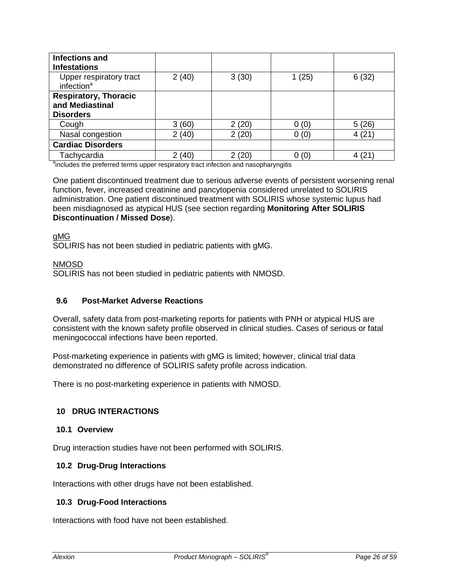| <b>Infections and</b><br><b>Infestations</b>                        |       |       |       |       |
|---------------------------------------------------------------------|-------|-------|-------|-------|
| Upper respiratory tract<br>infection <sup>a</sup>                   | 2(40) | 3(30) | 1(25) | 6(32) |
| <b>Respiratory, Thoracic</b><br>and Mediastinal<br><b>Disorders</b> |       |       |       |       |
| Cough                                                               | 3(60) | 2(20) | 0(0)  | 5(26) |
| Nasal congestion                                                    | 2(40) | 2(20) | 0(0)  | 4(21) |
| <b>Cardiac Disorders</b>                                            |       |       |       |       |
| Tachycardia                                                         | (40)  | 2(20) | 0(0)  |       |

<sup>a</sup>includes the preferred terms upper respiratory tract infection and nasopharyngitis

One patient discontinued treatment due to serious adverse events of persistent worsening renal function, fever, increased creatinine and pancytopenia considered unrelated to SOLIRIS administration. One patient discontinued treatment with SOLIRIS whose systemic lupus had been misdiagnosed as atypical HUS (see section regarding **Monitoring After SOLIRIS Discontinuation / Missed Dose**).

#### gMG

SOLIRIS has not been studied in pediatric patients with gMG.

### NMOSD

SOLIRIS has not been studied in pediatric patients with NMOSD.

### <span id="page-25-0"></span>**9.6 Post-Market Adverse Reactions**

Overall, safety data from post-marketing reports for patients with PNH or atypical HUS are consistent with the known safety profile observed in clinical studies. Cases of serious or fatal meningococcal infections have been reported.

Post-marketing experience in patients with gMG is limited; however, clinical trial data demonstrated no difference of SOLIRIS safety profile across indication.

There is no post-marketing experience in patients with NMOSD.

#### <span id="page-25-1"></span>**10 DRUG INTERACTIONS**

#### <span id="page-25-2"></span>**10.1 Overview**

<span id="page-25-3"></span>Drug interaction studies have not been performed with SOLIRIS.

#### **10.2 Drug-Drug Interactions**

<span id="page-25-4"></span>Interactions with other drugs have not been established.

### **10.3 Drug-Food Interactions**

Interactions with food have not been established.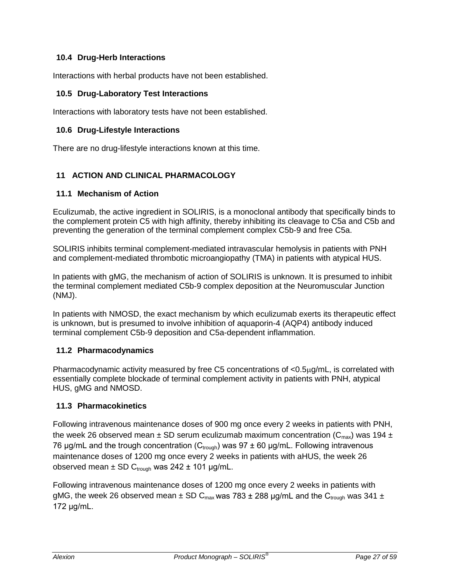# <span id="page-26-0"></span>**10.4 Drug-Herb Interactions**

<span id="page-26-1"></span>Interactions with herbal products have not been established.

### **10.5 Drug-Laboratory Test Interactions**

<span id="page-26-2"></span>Interactions with laboratory tests have not been established.

### **10.6 Drug-Lifestyle Interactions**

There are no drug-lifestyle interactions known at this time.

### <span id="page-26-3"></span>**11 ACTION AND CLINICAL PHARMACOLOGY**

#### <span id="page-26-4"></span>**11.1 Mechanism of Action**

Eculizumab, the active ingredient in SOLIRIS, is a monoclonal antibody that specifically binds to the complement protein C5 with high affinity, thereby inhibiting its cleavage to C5a and C5b and preventing the generation of the terminal complement complex C5b-9 and free C5a.

SOLIRIS inhibits terminal complement-mediated intravascular hemolysis in patients with PNH and complement-mediated thrombotic microangiopathy (TMA) in patients with atypical HUS.

In patients with gMG, the mechanism of action of SOLIRIS is unknown. It is presumed to inhibit the terminal complement mediated C5b-9 complex deposition at the Neuromuscular Junction (NMJ).

In patients with NMOSD, the exact mechanism by which eculizumab exerts its therapeutic effect is unknown, but is presumed to involve inhibition of aquaporin-4 (AQP4) antibody induced terminal complement C5b-9 deposition and C5a-dependent inflammation.

### <span id="page-26-5"></span>**11.2 Pharmacodynamics**

Pharmacodynamic activity measured by free C5 concentrations of <0.5µg/mL, is correlated with essentially complete blockade of terminal complement activity in patients with PNH, atypical HUS, gMG and NMOSD.

### <span id="page-26-6"></span>**11.3 Pharmacokinetics**

Following intravenous maintenance doses of 900 mg once every 2 weeks in patients with PNH, the week 26 observed mean  $\pm$  SD serum eculizumab maximum concentration (C<sub>max</sub>) was 194  $\pm$ 76 μg/mL and the trough concentration ( $C_{trough}$ ) was 97 ± 60 μg/mL. Following intravenous maintenance doses of 1200 mg once every 2 weeks in patients with aHUS, the week 26 observed mean  $\pm$  SD C<sub>trough</sub> was 242  $\pm$  101 µg/mL.

Following intravenous maintenance doses of 1200 mg once every 2 weeks in patients with gMG, the week 26 observed mean  $\pm$  SD C<sub>max</sub> was 783  $\pm$  288 µg/mL and the C<sub>trough</sub> was 341  $\pm$ 172 μg/mL.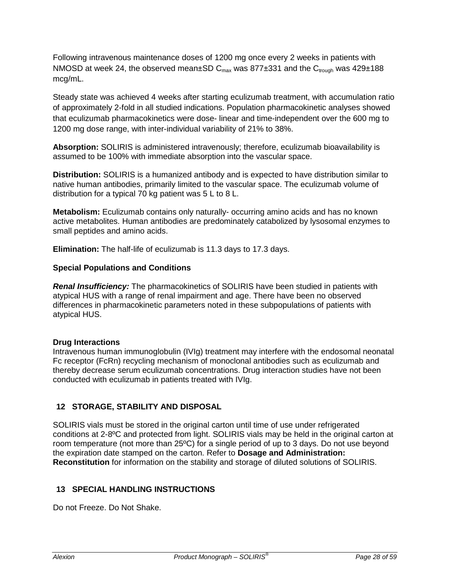Following intravenous maintenance doses of 1200 mg once every 2 weeks in patients with NMOSD at week 24, the observed mean $\pm$ SD C<sub>max</sub> was 877 $\pm$ 331 and the C<sub>trough</sub> was 429 $\pm$ 188 mcg/mL.

Steady state was achieved 4 weeks after starting eculizumab treatment, with accumulation ratio of approximately 2-fold in all studied indications. Population pharmacokinetic analyses showed that eculizumab pharmacokinetics were dose- linear and time-independent over the 600 mg to 1200 mg dose range, with inter-individual variability of 21% to 38%.

**Absorption:** SOLIRIS is administered intravenously; therefore, eculizumab bioavailability is assumed to be 100% with immediate absorption into the vascular space.

**Distribution:** SOLIRIS is a humanized antibody and is expected to have distribution similar to native human antibodies, primarily limited to the vascular space. The eculizumab volume of distribution for a typical 70 kg patient was 5 L to 8 L.

**Metabolism:** Eculizumab contains only naturally- occurring amino acids and has no known active metabolites. Human antibodies are predominately catabolized by lysosomal enzymes to small peptides and amino acids.

**Elimination:** The half-life of eculizumab is 11.3 days to 17.3 days.

#### **Special Populations and Conditions**

*Renal Insufficiency:* The pharmacokinetics of SOLIRIS have been studied in patients with atypical HUS with a range of renal impairment and age. There have been no observed differences in pharmacokinetic parameters noted in these subpopulations of patients with atypical HUS.

#### **Drug Interactions**

Intravenous human immunoglobulin (IVIg) treatment may interfere with the endosomal neonatal Fc receptor (FcRn) recycling mechanism of monoclonal antibodies such as eculizumab and thereby decrease serum eculizumab concentrations. Drug interaction studies have not been conducted with eculizumab in patients treated with IVIg.

### <span id="page-27-0"></span>**12 STORAGE, STABILITY AND DISPOSAL**

SOLIRIS vials must be stored in the original carton until time of use under refrigerated conditions at 2-8ºC and protected from light. SOLIRIS vials may be held in the original carton at room temperature (not more than 25ºC) for a single period of up to 3 days. Do not use beyond the expiration date stamped on the carton. Refer to **Dosage and Administration: Reconstitution** for information on the stability and storage of diluted solutions of SOLIRIS.

### <span id="page-27-1"></span>**13 SPECIAL HANDLING INSTRUCTIONS**

Do not Freeze. Do Not Shake.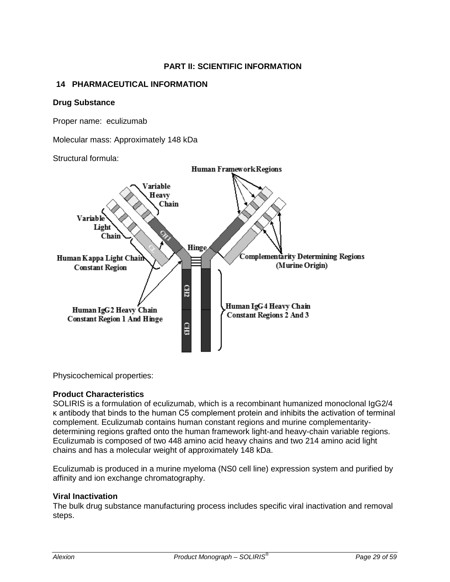# **PART II: SCIENTIFIC INFORMATION**

### <span id="page-28-1"></span><span id="page-28-0"></span>**14 PHARMACEUTICAL INFORMATION**

#### **Drug Substance**

Proper name: eculizumab

Molecular mass: Approximately 148 kDa

Structural formula:



Physicochemical properties:

### **Product Characteristics**

SOLIRIS is a formulation of eculizumab, which is a recombinant humanized monoclonal IgG2/4 κ antibody that binds to the human C5 complement protein and inhibits the activation of terminal complement. Eculizumab contains human constant regions and murine complementaritydetermining regions grafted onto the human framework light-and heavy-chain variable regions. Eculizumab is composed of two 448 amino acid heavy chains and two 214 amino acid light chains and has a molecular weight of approximately 148 kDa.

Eculizumab is produced in a murine myeloma (NS0 cell line) expression system and purified by affinity and ion exchange chromatography.

### **Viral Inactivation**

The bulk drug substance manufacturing process includes specific viral inactivation and removal steps.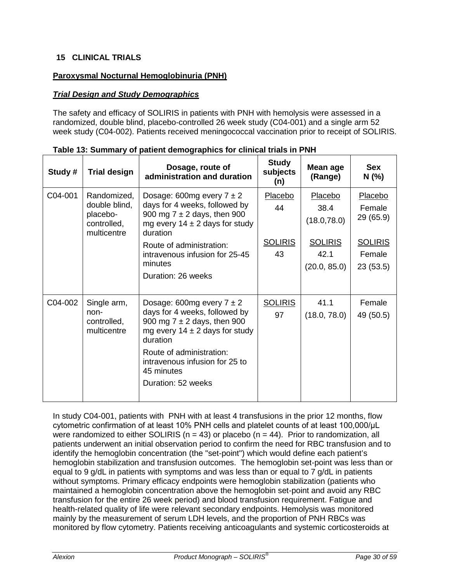# <span id="page-29-0"></span>**15 CLINICAL TRIALS**

### **Paroxysmal Nocturnal Hemoglobinuria (PNH)**

### *Trial Design and Study Demographics*

The safety and efficacy of SOLIRIS in patients with PNH with hemolysis were assessed in a randomized, double blind, placebo-controlled 26 week study (C04-001) and a single arm 52 week study (C04-002). Patients received meningococcal vaccination prior to receipt of SOLIRIS.

| Study # | <b>Trial design</b>                                                    | Dosage, route of<br>administration and duration                                                                                                                                                                                                       | <b>Study</b><br>subjects<br>(n)       | Mean age<br>(Range)                                                       | <b>Sex</b><br>N(%                                                      |
|---------|------------------------------------------------------------------------|-------------------------------------------------------------------------------------------------------------------------------------------------------------------------------------------------------------------------------------------------------|---------------------------------------|---------------------------------------------------------------------------|------------------------------------------------------------------------|
| C04-001 | Randomized,<br>double blind,<br>placebo-<br>controlled,<br>multicentre | Dosage: 600mg every $7 \pm 2$<br>days for 4 weeks, followed by<br>900 mg $7 \pm 2$ days, then 900<br>mg every $14 \pm 2$ days for study<br>duration<br>Route of administration:<br>intravenous infusion for 25-45<br>minutes<br>Duration: 26 weeks    | Placebo<br>44<br><b>SOLIRIS</b><br>43 | Placebo<br>38.4<br>(18.0, 78.0)<br><b>SOLIRIS</b><br>42.1<br>(20.0, 85.0) | Placebo<br>Female<br>29 (65.9)<br><b>SOLIRIS</b><br>Female<br>23(53.5) |
| C04-002 | Single arm,<br>non-<br>controlled,<br>multicentre                      | Dosage: 600mg every $7 \pm 2$<br>days for 4 weeks, followed by<br>900 mg $7 \pm 2$ days, then 900<br>mg every $14 \pm 2$ days for study<br>duration<br>Route of administration:<br>intravenous infusion for 25 to<br>45 minutes<br>Duration: 52 weeks | <b>SOLIRIS</b><br>97                  | 41.1<br>(18.0, 78.0)                                                      | Female<br>49 (50.5)                                                    |

**Table 13: Summary of patient demographics for clinical trials in PNH**

In study C04-001, patients with PNH with at least 4 transfusions in the prior 12 months, flow cytometric confirmation of at least 10% PNH cells and platelet counts of at least 100,000/μL were randomized to either SOLIRIS ( $n = 43$ ) or placebo ( $n = 44$ ). Prior to randomization, all patients underwent an initial observation period to confirm the need for RBC transfusion and to identify the hemoglobin concentration (the "set-point") which would define each patient's hemoglobin stabilization and transfusion outcomes. The hemoglobin set-point was less than or equal to 9 g/dL in patients with symptoms and was less than or equal to 7 g/dL in patients without symptoms. Primary efficacy endpoints were hemoglobin stabilization (patients who maintained a hemoglobin concentration above the hemoglobin set-point and avoid any RBC transfusion for the entire 26 week period) and blood transfusion requirement. Fatigue and health-related quality of life were relevant secondary endpoints. Hemolysis was monitored mainly by the measurement of serum LDH levels, and the proportion of PNH RBCs was monitored by flow cytometry. Patients receiving anticoagulants and systemic corticosteroids at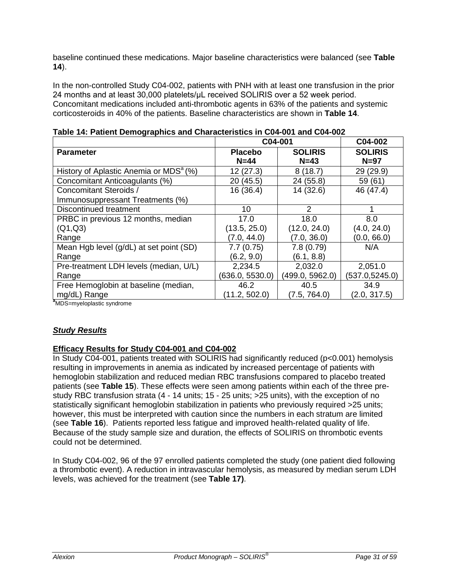baseline continued these medications. Major baseline characteristics were balanced (see **Table 14**).

In the non-controlled Study C04-002, patients with PNH with at least one transfusion in the prior 24 months and at least 30,000 platelets/μL received SOLIRIS over a 52 week period. Concomitant medications included anti-thrombotic agents in 63% of the patients and systemic corticosteroids in 40% of the patients. Baseline characteristics are shown in **Table 14**.

|                                                    |                 | C04-001         |                 |  |
|----------------------------------------------------|-----------------|-----------------|-----------------|--|
| <b>Parameter</b>                                   | <b>Placebo</b>  | <b>SOLIRIS</b>  | <b>SOLIRIS</b>  |  |
|                                                    | $N=44$          | $N=43$          | $N=97$          |  |
| History of Aplastic Anemia or MDS <sup>a</sup> (%) | 12(27.3)        | 8(18.7)         | 29 (29.9)       |  |
| Concomitant Anticoagulants (%)                     | 20 (45.5)       | 24 (55.8)       | 59 (61)         |  |
| <b>Concomitant Steroids /</b>                      | 16(36.4)        | 14 (32.6)       | 46 (47.4)       |  |
| Immunosuppressant Treatments (%)                   |                 |                 |                 |  |
| Discontinued treatment                             | 10              | 2               |                 |  |
| PRBC in previous 12 months, median                 | 17.0            | 18.0            | 8.0             |  |
| (Q1,Q3)                                            | (13.5, 25.0)    | (12.0, 24.0)    | (4.0, 24.0)     |  |
| Range                                              | (7.0, 44.0)     | (7.0, 36.0)     | (0.0, 66.0)     |  |
| Mean Hgb level (g/dL) at set point (SD)            | 7.7(0.75)       | 7.8(0.79)       | N/A             |  |
| Range                                              | (6.2, 9.0)      | (6.1, 8.8)      |                 |  |
| Pre-treatment LDH levels (median, U/L)             | 2,234.5         | 2,032.0         | 2,051.0         |  |
| Range                                              | (636.0, 5530.0) | (499.0, 5962.0) | (537.0, 5245.0) |  |
| Free Hemoglobin at baseline (median,               | 46.2            | 40.5            | 34.9            |  |
| mg/dL) Range                                       | (11.2, 502.0)   | (7.5, 764.0)    | (2.0, 317.5)    |  |
| a <sub>MDS</sub> -muolonlootio eundromo            |                 |                 |                 |  |

|  |  | Table 14: Patient Demographics and Characteristics in C04-001 and C04-002 |
|--|--|---------------------------------------------------------------------------|
|  |  |                                                                           |

MDS=myeloplastic syndrome

# *Study Results*

# **Efficacy Results for Study C04-001 and C04-002**

In Study C04-001, patients treated with SOLIRIS had significantly reduced (p<0.001) hemolysis resulting in improvements in anemia as indicated by increased percentage of patients with hemoglobin stabilization and reduced median RBC transfusions compared to placebo treated patients (see **Table 15**). These effects were seen among patients within each of the three prestudy RBC transfusion strata (4 - 14 units; 15 - 25 units; >25 units), with the exception of no statistically significant hemoglobin stabilization in patients who previously required >25 units; however, this must be interpreted with caution since the numbers in each stratum are limited (see **Table 16**). Patients reported less fatigue and improved health-related quality of life. Because of the study sample size and duration, the effects of SOLIRIS on thrombotic events could not be determined.

In Study C04-002, 96 of the 97 enrolled patients completed the study (one patient died following a thrombotic event). A reduction in intravascular hemolysis, as measured by median serum LDH levels, was achieved for the treatment (see **Table 17)**.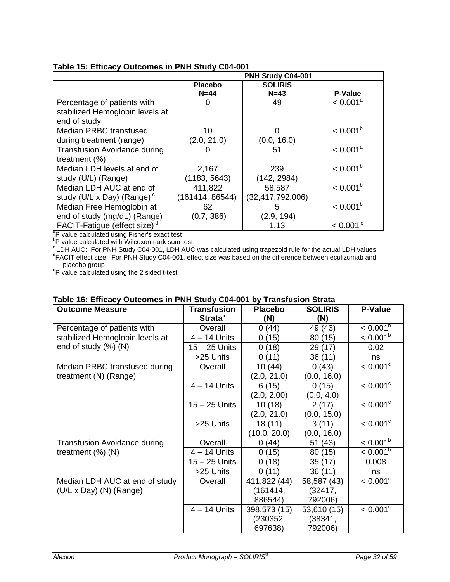|                                                             |                 | PNH Study C04-001 |                        |
|-------------------------------------------------------------|-----------------|-------------------|------------------------|
|                                                             | <b>Placebo</b>  | <b>SOLIRIS</b>    |                        |
|                                                             | $N=44$          | $N=43$            | <b>P-Value</b>         |
| Percentage of patients with                                 | 0               | 49                | < 0.001 <sup>a</sup>   |
| stabilized Hemoglobin levels at                             |                 |                   |                        |
| end of study                                                |                 |                   |                        |
| Median PRBC transfused                                      | 10              | O                 | $< 0.001^b$            |
| during treatment (range)                                    | (2.0, 21.0)     | (0.0, 16.0)       |                        |
| <b>Transfusion Avoidance during</b>                         | 0               | 51                | < 0.001 <sup>a</sup>   |
| treatment $(\%)$                                            |                 |                   |                        |
| Median LDH levels at end of                                 | 2,167           | 239               | $< 0.001^b$            |
| study (U/L) (Range)                                         | 1183, 5643)     | (142, 2984)       |                        |
| Median LDH AUC at end of                                    | 411,822         | 58,587            | $< 0.001^b$            |
| study (U/L x Day) (Range) $\degree$                         | (161414, 86544) | (32,417,792,006)  |                        |
| Median Free Hemoglobin at                                   | 62              | 5                 | $< 0.001^b$            |
| end of study (mg/dL) (Range)                                | (0.7, 386)      | (2.9, 194)        |                        |
| FACIT-Fatigue (effect size) <sup>d</sup>                    |                 | 1.13              | $< 0.001$ <sup>e</sup> |
| <sup>a</sup> P value calculated using Fisher's exact test   |                 |                   |                        |
| <sup>b</sup> P value calculated with Wilcoxon rank sum test |                 |                   |                        |

### **Table 15: Efficacy Outcomes in PNH Study C04-001**

 $\rm{^c}$ LDH AUC: For PNH Study C04-001, LDH AUC was calculated using trapezoid rule for the actual LDH values design to the difference between coulizumeb and <sup>d</sup>FACIT effect size: For PNH Study C04-001, effect size was based on the difference between eculizumab and placebo group

<sup>e</sup>P value calculated using the 2 sided t-test

| <b>Outcome Measure</b>              | <b>Transfusion</b>  | <b>Placebo</b> | <b>SOLIRIS</b> | <b>P-Value</b>         |
|-------------------------------------|---------------------|----------------|----------------|------------------------|
|                                     | Strata <sup>a</sup> | (N)            | (N)            |                        |
| Percentage of patients with         | Overall             | 0(44)          | 49 (43)        | $< 0.001^b$            |
| stabilized Hemoglobin levels at     | $4 - 14$ Units      | 0(15)          | 80 (15)        | $< 0.001^b$            |
| end of study (%) (N)                | 15 - 25 Units       | 0(18)          | 29 (17)        | 0.02                   |
|                                     | >25 Units           | 0(11)          | 36(11)         | ns                     |
| Median PRBC transfused during       | Overall             | 10(44)         | 0(43)          | $< 0.001$ <sup>c</sup> |
| treatment (N) (Range)               |                     | (2.0, 21.0)    | (0.0, 16.0)    |                        |
|                                     | $4 - 14$ Units      | 6(15)          | 0(15)          | $< 0.001$ <sup>c</sup> |
|                                     |                     | (2.0, 2.00)    | (0.0, 4.0)     |                        |
|                                     | $15 - 25$ Units     | 10(18)         | 2(17)          | $< 0.001$ <sup>c</sup> |
|                                     |                     | (2.0, 21.0)    | (0.0, 15.0)    |                        |
|                                     | >25 Units           | 18(11)         | 3(11)          | $< 0.001^{\circ}$      |
|                                     |                     | (10.0, 20.0)   | (0.0, 16.0)    |                        |
| <b>Transfusion Avoidance during</b> | Overall             | 0(44)          | 51 (43)        | $< 0.001^b$            |
| treatment $(\%)$ (N)                | $4 - 14$ Units      | 0(15)          | 80 (15)        | $< 0.001^b$            |
|                                     | 15 - 25 Units       | 0(18)          | 35(17)         | 0.008                  |
|                                     | >25 Units           | 0(11)          | 36(11)         | ns                     |
| Median LDH AUC at end of study      | Overall             | 411,822 (44)   | 58,587 (43)    | $< 0.001$ <sup>c</sup> |
| $(U/L \times Day)$ (N) (Range)      |                     | (161414,       | (32417,        |                        |
|                                     |                     | 886544)        | 792006)        |                        |
|                                     | $4 - 14$ Units      | 398,573 (15)   | 53,610 (15)    | $< 0.001^{\circ}$      |
|                                     |                     | (230352,       | (38341,        |                        |
|                                     |                     | 697638)        | 792006)        |                        |

# **Table 16: Efficacy Outcomes in PNH Study C04-001 by Transfusion Strata**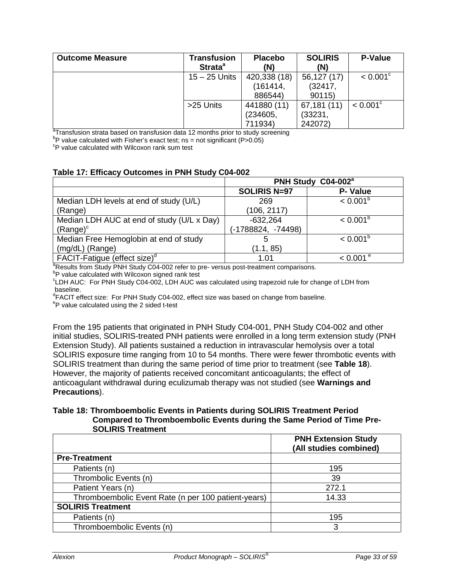| <b>Outcome Measure</b> | <b>Transfusion</b><br>Strata <sup>a</sup> | <b>Placebo</b><br>(N) | <b>SOLIRIS</b><br>(N) | <b>P-Value</b>         |
|------------------------|-------------------------------------------|-----------------------|-----------------------|------------------------|
|                        | $15 - 25$ Units                           | 420,338 (18)          | 56,127 (17)           | $< 0.001$ <sup>c</sup> |
|                        |                                           | (161414,              | (32417,               |                        |
|                        |                                           | 886544)               | 90115)                |                        |
|                        | >25 Units                                 | 441880 (11)           | 67,181 (11)           | $< 0.001^{\circ}$      |
|                        |                                           | (234605,              | (33231,               |                        |
|                        |                                           | 711934)               | 242072)               |                        |

<sup>a</sup>Transfusion strata based on transfusion data 12 months prior to study screening

<sup>b</sup>P value calculated with Fisher's exact test; ns = not significant (P>0.05)<br><sup>c</sup>P value calculated with Wilcoxon rank sum test

#### **Table 17: Efficacy Outcomes in PNH Study C04-002**

|                                                                                                    | PNH Study C04-002 <sup>a</sup> |                        |  |  |  |  |
|----------------------------------------------------------------------------------------------------|--------------------------------|------------------------|--|--|--|--|
|                                                                                                    | <b>SOLIRIS N=97</b>            | P- Value               |  |  |  |  |
| Median LDH levels at end of study (U/L)                                                            | 269                            | $< 0.001^b$            |  |  |  |  |
| (Range)                                                                                            | (106, 2117)                    |                        |  |  |  |  |
| Median LDH AUC at end of study (U/L x Day)                                                         | $-632,264$                     | $< 0.001^b$            |  |  |  |  |
| $(Range)^c$                                                                                        | (-1788824, -74498)             |                        |  |  |  |  |
| Median Free Hemoglobin at end of study                                                             |                                | $< 0.001^b$            |  |  |  |  |
| (mg/dL) (Range)                                                                                    | (1.1, 85)                      |                        |  |  |  |  |
| FACIT-Fatique (effect size) <sup>d</sup>                                                           | 1.01                           | $< 0.001$ <sup>e</sup> |  |  |  |  |
| <sup>a</sup> Results from Study PNH Study C04-002 refer to pre- versus post-treatment comparisons. |                                |                        |  |  |  |  |
| <sup>b</sup> P value calculated with Wilcoxon signed rank test                                     |                                |                        |  |  |  |  |

c LDH AUC: For PNH Study C04-002, LDH AUC was calculated using trapezoid rule for change of LDH from baseline.

<sup>d</sup>FACIT effect size: For PNH Study C04-002, effect size was based on change from baseline.<br><sup>e</sup>R volue coloulated using the 2 sided t test

 $e^{\theta}P$  value calculated using the 2 sided t-test

From the 195 patients that originated in PNH Study C04-001, PNH Study C04-002 and other initial studies, SOLIRIS-treated PNH patients were enrolled in a long term extension study (PNH Extension Study). All patients sustained a reduction in intravascular hemolysis over a total SOLIRIS exposure time ranging from 10 to 54 months. There were fewer thrombotic events with SOLIRIS treatment than during the same period of time prior to treatment (see **Table 18**). However, the majority of patients received concomitant anticoagulants; the effect of anticoagulant withdrawal during eculizumab therapy was not studied (see **Warnings and Precautions**).

#### **Table 18: Thromboembolic Events in Patients during SOLIRIS Treatment Period Compared to Thromboembolic Events during the Same Period of Time Pre-SOLIRIS Treatment**

|                                                     | <b>PNH Extension Study</b><br>(All studies combined) |
|-----------------------------------------------------|------------------------------------------------------|
| <b>Pre-Treatment</b>                                |                                                      |
| Patients (n)                                        | 195                                                  |
| Thrombolic Events (n)                               | 39                                                   |
| Patient Years (n)                                   | 272.1                                                |
| Thromboembolic Event Rate (n per 100 patient-years) | 14.33                                                |
| <b>SOLIRIS Treatment</b>                            |                                                      |
| Patients (n)                                        | 195                                                  |
| Thromboembolic Events (n)                           | 3                                                    |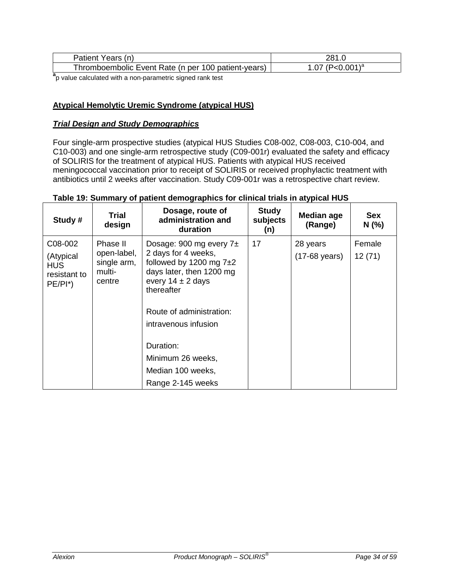| Patient<br>'ears<br>(n)                             | 201        |
|-----------------------------------------------------|------------|
| Thromboembolic Event Rate (n per 100 patient-years) | $(0.01)^a$ |

**a** p value calculated with a non-parametric signed rank test

### **Atypical Hemolytic Uremic Syndrome (atypical HUS)**

### *Trial Design and Study Demographics*

Four single-arm prospective studies (atypical HUS Studies C08-002, C08-003, C10-004, and C10-003) and one single-arm retrospective study (C09-001r) evaluated the safety and efficacy of SOLIRIS for the treatment of atypical HUS. Patients with atypical HUS received meningococcal vaccination prior to receipt of SOLIRIS or received prophylactic treatment with antibiotics until 2 weeks after vaccination. Study C09-001r was a retrospective chart review.

| Study #                                                          | Trial<br>design                                            | Dosage, route of<br>administration and<br>duration                                                                                                                                                                                                              | <b>Study</b><br>subjects<br>(n) | <b>Median age</b><br>(Range)        | <b>Sex</b><br>N(%) |
|------------------------------------------------------------------|------------------------------------------------------------|-----------------------------------------------------------------------------------------------------------------------------------------------------------------------------------------------------------------------------------------------------------------|---------------------------------|-------------------------------------|--------------------|
| C08-002<br>(Atypical<br><b>HUS</b><br>resistant to<br>$PE/PI^*)$ | Phase II<br>open-label,<br>single arm,<br>multi-<br>centre | Dosage: 900 mg every $7\pm$<br>2 days for 4 weeks,<br>followed by 1200 mg $7\pm2$<br>days later, then 1200 mg<br>every $14 \pm 2$ days<br>thereafter<br>Route of administration:<br>intravenous infusion<br>Duration:<br>Minimum 26 weeks,<br>Median 100 weeks, | 17                              | 28 years<br>$(17-68 \text{ years})$ | Female<br>12(71)   |
|                                                                  |                                                            | Range 2-145 weeks                                                                                                                                                                                                                                               |                                 |                                     |                    |

#### **Table 19: Summary of patient demographics for clinical trials in atypical HUS**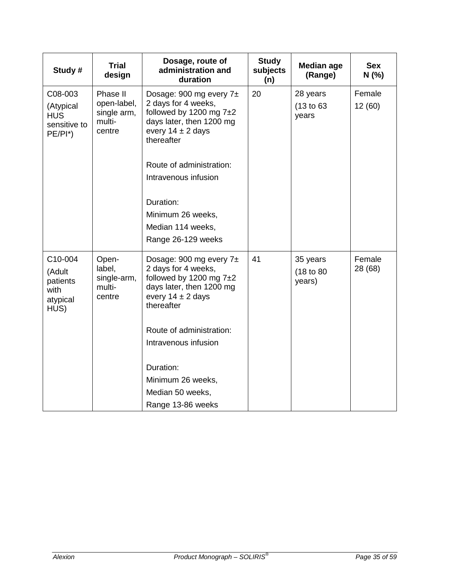| Study #                                                          | <b>Trial</b><br>design                                     | Dosage, route of<br>administration and<br>duration                                                                                                                                                                                       | <b>Study</b><br>subjects<br>(n) | <b>Median age</b><br>(Range)     | <b>Sex</b><br>N (%) |
|------------------------------------------------------------------|------------------------------------------------------------|------------------------------------------------------------------------------------------------------------------------------------------------------------------------------------------------------------------------------------------|---------------------------------|----------------------------------|---------------------|
| C08-003<br>(Atypical<br><b>HUS</b><br>sensitive to<br>$PE/PI^*)$ | Phase II<br>open-label,<br>single arm,<br>multi-<br>centre | Dosage: 900 mg every $7\pm$<br>2 days for 4 weeks,<br>followed by 1200 mg $7±2$<br>days later, then 1200 mg<br>every $14 \pm 2$ days<br>thereafter<br>Route of administration:<br>Intravenous infusion<br>Duration:<br>Minimum 26 weeks, | 20                              | 28 years<br>(13 to 63)<br>years  | Female<br>12(60)    |
|                                                                  |                                                            | Median 114 weeks,<br>Range 26-129 weeks                                                                                                                                                                                                  |                                 |                                  |                     |
| C10-004<br>(Adult<br>patients<br>with<br>atypical<br>HUS)        | Open-<br>label,<br>single-arm,<br>multi-<br>centre         | Dosage: 900 mg every 7±<br>2 days for 4 weeks,<br>followed by 1200 mg $7±2$<br>days later, then 1200 mg<br>every $14 \pm 2$ days<br>thereafter                                                                                           | 41                              | 35 years<br>(18 to 80)<br>years) | Female<br>28 (68)   |
|                                                                  |                                                            | Route of administration:<br>Intravenous infusion                                                                                                                                                                                         |                                 |                                  |                     |
|                                                                  |                                                            | Duration:<br>Minimum 26 weeks,<br>Median 50 weeks,<br>Range 13-86 weeks                                                                                                                                                                  |                                 |                                  |                     |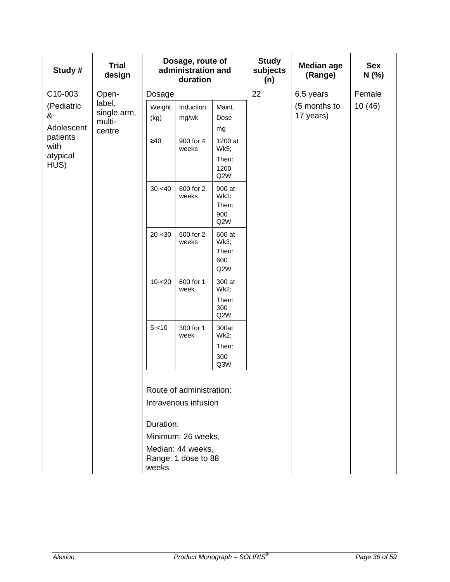| Study#                        | <b>Trial</b><br>design                    |                | Dosage, route of<br>administration and<br>duration |                                              | <b>Study</b><br>subjects<br>(n) | <b>Median age</b><br>(Range) | <b>Sex</b><br>N (%) |
|-------------------------------|-------------------------------------------|----------------|----------------------------------------------------|----------------------------------------------|---------------------------------|------------------------------|---------------------|
| C10-003                       | Open-                                     | Dosage         |                                                    |                                              | 22                              | 6.5 years                    | Female              |
| (Pediatric<br>&<br>Adolescent | label,<br>single arm,<br>multi-<br>centre | Weight<br>(kg) | Induction<br>mg/wk                                 | Maint.<br>Dose<br>mg                         |                                 | (5 months to<br>17 years)    | 10 (46)             |
| patients<br>with<br>atypical  |                                           | $\geq 40$      | 900 for 4<br>weeks                                 | 1200 at<br><b>Wk5;</b>                       |                                 |                              |                     |
| HUS)                          |                                           |                |                                                    | Then:<br>1200<br>Q2W                         |                                 |                              |                     |
|                               |                                           | $30 - 40$      | 600 for 2<br>weeks                                 | 900 at<br><b>Wk3;</b><br>Then:<br>900<br>Q2W |                                 |                              |                     |
|                               |                                           | $20 - 30$      | 600 for 2<br>weeks                                 | 600 at<br><b>Wk3;</b><br>Then:<br>600<br>Q2W |                                 |                              |                     |
|                               |                                           | $10 - 20$      | 600 for 1<br>week                                  | 300 at<br>Wk2;                               |                                 |                              |                     |
|                               |                                           |                |                                                    | Then:<br>300<br>Q2W                          |                                 |                              |                     |
|                               |                                           | $5 - 10$       | 300 for 1<br>week                                  | 300at<br>Wk2;<br>Then:<br>300<br>Q3W         |                                 |                              |                     |
|                               |                                           |                | Route of administration:                           |                                              |                                 |                              |                     |
|                               |                                           |                | Intravenous infusion                               |                                              |                                 |                              |                     |
|                               |                                           | Duration:      |                                                    |                                              |                                 |                              |                     |
|                               |                                           |                | Minimum: 26 weeks,                                 |                                              |                                 |                              |                     |
|                               |                                           | weeks          | Median: 44 weeks,<br>Range: 1 dose to 88           |                                              |                                 |                              |                     |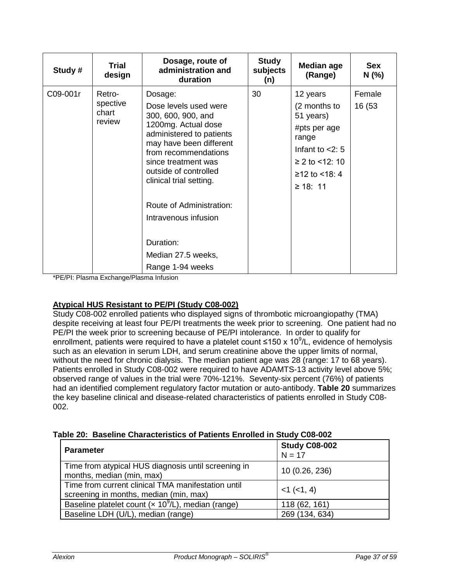| Study #  | <b>Trial</b><br>design                | Dosage, route of<br>administration and<br>duration                                                                                                                                                                                      | <b>Study</b><br>subjects<br>(n) | Median age<br>(Range)                                                                                                               | <b>Sex</b><br>N(% ) |
|----------|---------------------------------------|-----------------------------------------------------------------------------------------------------------------------------------------------------------------------------------------------------------------------------------------|---------------------------------|-------------------------------------------------------------------------------------------------------------------------------------|---------------------|
| C09-001r | Retro-<br>spective<br>chart<br>review | Dosage:<br>Dose levels used were<br>300, 600, 900, and<br>1200mg. Actual dose<br>administered to patients<br>may have been different<br>from recommendations<br>since treatment was<br>outside of controlled<br>clinical trial setting. | 30                              | 12 years<br>(2 months to<br>51 years)<br>#pts per age<br>range<br>Infant to $<$ 2: 5<br>≥ 2 to <12: 10<br>≥12 to <18: 4<br>≥ 18: 11 | Female<br>16 (53    |
|          |                                       | Route of Administration:<br>Intravenous infusion<br>Duration:<br>Median 27.5 weeks,<br>Range 1-94 weeks                                                                                                                                 |                                 |                                                                                                                                     |                     |

\*PE/PI: Plasma Exchange/Plasma Infusion

# **Atypical HUS Resistant to PE/PI (Study C08-002)**

Study C08-002 enrolled patients who displayed signs of thrombotic microangiopathy (TMA) despite receiving at least four PE/PI treatments the week prior to screening. One patient had no PE/PI the week prior to screening because of PE/PI intolerance. In order to qualify for enrollment, patients were required to have a platelet count ≤150 x 10<sup>9</sup>/L, evidence of hemolysis such as an elevation in serum LDH, and serum creatinine above the upper limits of normal, without the need for chronic dialysis. The median patient age was 28 (range: 17 to 68 years). Patients enrolled in Study C08-002 were required to have ADAMTS-13 activity level above 5%; observed range of values in the trial were 70%-121%. Seventy-six percent (76%) of patients had an identified complement regulatory factor mutation or auto-antibody. **Table 20** summarizes the key baseline clinical and disease-related characteristics of patients enrolled in Study C08- 002.

|  |  |  |  |  | Table 20: Baseline Characteristics of Patients Enrolled in Study C08-002 |
|--|--|--|--|--|--------------------------------------------------------------------------|
|--|--|--|--|--|--------------------------------------------------------------------------|

| <b>Parameter</b>                                                                             | <b>Study C08-002</b><br>$N = 17$ |
|----------------------------------------------------------------------------------------------|----------------------------------|
| Time from atypical HUS diagnosis until screening in<br>months, median (min, max)             | 10 (0.26, 236)                   |
| Time from current clinical TMA manifestation until<br>screening in months, median (min, max) | $<1$ ( $<1, 4$ )                 |
| Baseline platelet count ( $\times$ 10 <sup>9</sup> /L), median (range)                       | 118 (62, 161)                    |
| Baseline LDH (U/L), median (range)                                                           | 269 (134, 634)                   |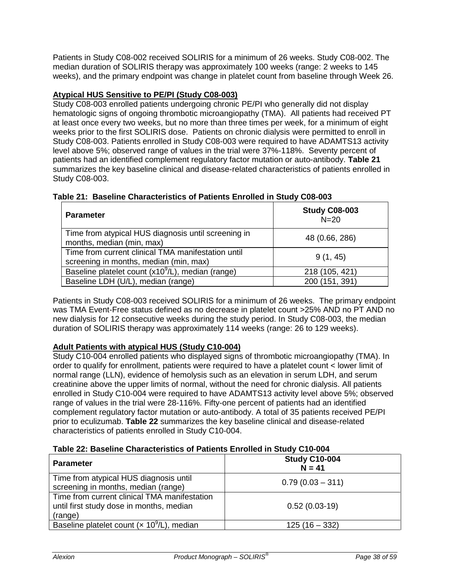Patients in Study C08-002 received SOLIRIS for a minimum of 26 weeks. Study C08-002. The median duration of SOLIRIS therapy was approximately 100 weeks (range: 2 weeks to 145 weeks), and the primary endpoint was change in platelet count from baseline through Week 26.

# **Atypical HUS Sensitive to PE/PI (Study C08-003)**

Study C08-003 enrolled patients undergoing chronic PE/PI who generally did not display hematologic signs of ongoing thrombotic microangiopathy (TMA). All patients had received PT at least once every two weeks, but no more than three times per week, for a minimum of eight weeks prior to the first SOLIRIS dose. Patients on chronic dialysis were permitted to enroll in Study C08-003. Patients enrolled in Study C08-003 were required to have ADAMTS13 activity level above 5%; observed range of values in the trial were 37%-118%. Seventy percent of patients had an identified complement regulatory factor mutation or auto-antibody. **Table 21** summarizes the key baseline clinical and disease-related characteristics of patients enrolled in Study C08-003.

| <b>Parameter</b>                                                                             | <b>Study C08-003</b><br>$N=20$ |
|----------------------------------------------------------------------------------------------|--------------------------------|
| Time from atypical HUS diagnosis until screening in<br>months, median (min, max)             | 48 (0.66, 286)                 |
| Time from current clinical TMA manifestation until<br>screening in months, median (min, max) | 9(1, 45)                       |
| Baseline platelet count (x10 <sup>9</sup> /L), median (range)                                | 218 (105, 421)                 |
| Baseline LDH (U/L), median (range)                                                           | 200 (151, 391)                 |

# **Table 21: Baseline Characteristics of Patients Enrolled in Study C08-003**

Patients in Study C08-003 received SOLIRIS for a minimum of 26 weeks. The primary endpoint was TMA Event-Free status defined as no decrease in platelet count >25% AND no PT AND no new dialysis for 12 consecutive weeks during the study period. In Study C08-003, the median duration of SOLIRIS therapy was approximately 114 weeks (range: 26 to 129 weeks).

# **Adult Patients with atypical HUS (Study C10-004)**

Study C10-004 enrolled patients who displayed signs of thrombotic microangiopathy (TMA). In order to qualify for enrollment, patients were required to have a platelet count < lower limit of normal range (LLN), evidence of hemolysis such as an elevation in serum LDH, and serum creatinine above the upper limits of normal, without the need for chronic dialysis. All patients enrolled in Study C10-004 were required to have ADAMTS13 activity level above 5%; observed range of values in the trial were 28-116%. Fifty-one percent of patients had an identified complement regulatory factor mutation or auto-antibody. A total of 35 patients received PE/PI prior to eculizumab. **Table 22** summarizes the key baseline clinical and disease-related characteristics of patients enrolled in Study C10-004.

# **Table 22: Baseline Characteristics of Patients Enrolled in Study C10-004**

| <b>Parameter</b>                                                                                    | <b>Study C10-004</b><br>$N = 41$ |  |  |  |
|-----------------------------------------------------------------------------------------------------|----------------------------------|--|--|--|
| Time from atypical HUS diagnosis until<br>screening in months, median (range)                       | $0.79(0.03 - 311)$               |  |  |  |
| Time from current clinical TMA manifestation<br>until first study dose in months, median<br>(range) | $0.52(0.03-19)$                  |  |  |  |
| Baseline platelet count $(x 109/L)$ , median                                                        | $125(16 - 332)$                  |  |  |  |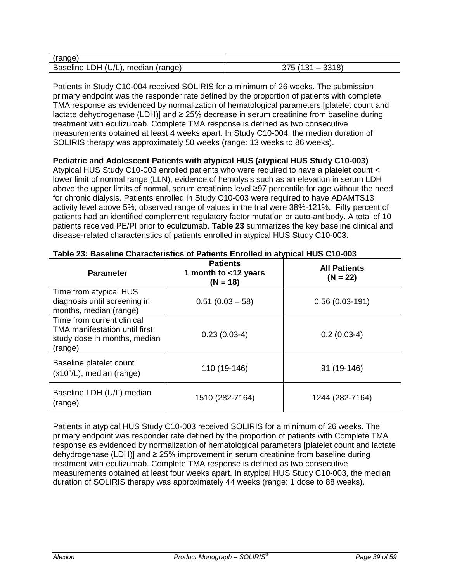| (range)                                                                                     |                                          |
|---------------------------------------------------------------------------------------------|------------------------------------------|
| U <br>$\overline{\phantom{a}}$ DH $^{\prime\prime}$<br><b>Baseline</b><br>median<br>(range) | 0.010<br>コフド<br>$\sim$<br>18)<br>ບບ<br>ັ |

Patients in Study C10-004 received SOLIRIS for a minimum of 26 weeks. The submission primary endpoint was the responder rate defined by the proportion of patients with complete TMA response as evidenced by normalization of hematological parameters [platelet count and lactate dehydrogenase (LDH)] and ≥ 25% decrease in serum creatinine from baseline during treatment with eculizumab. Complete TMA response is defined as two consecutive measurements obtained at least 4 weeks apart. In Study C10-004, the median duration of SOLIRIS therapy was approximately 50 weeks (range: 13 weeks to 86 weeks).

### **Pediatric and Adolescent Patients with atypical HUS (atypical HUS Study C10-003)**

Atypical HUS Study C10-003 enrolled patients who were required to have a platelet count < lower limit of normal range (LLN), evidence of hemolysis such as an elevation in serum LDH above the upper limits of normal, serum creatinine level ≥97 percentile for age without the need for chronic dialysis. Patients enrolled in Study C10-003 were required to have ADAMTS13 activity level above 5%; observed range of values in the trial were 38%-121%. Fifty percent of patients had an identified complement regulatory factor mutation or auto-antibody. A total of 10 patients received PE/PI prior to eculizumab. **Table 23** summarizes the key baseline clinical and disease-related characteristics of patients enrolled in atypical HUS Study C10-003.

| Table 20. Daschille Onaracteristics or Faticins Enrolled in atypical HOO OTO 000                       |                                                       |                                   |  |
|--------------------------------------------------------------------------------------------------------|-------------------------------------------------------|-----------------------------------|--|
| <b>Parameter</b>                                                                                       | <b>Patients</b><br>1 month to <12 years<br>$(N = 18)$ | <b>All Patients</b><br>$(N = 22)$ |  |
| Time from atypical HUS<br>diagnosis until screening in<br>months, median (range)                       | $0.51(0.03 - 58)$                                     | $0.56(0.03-191)$                  |  |
| Time from current clinical<br>TMA manifestation until first<br>study dose in months, median<br>(range) | $0.23(0.03-4)$                                        | $0.2(0.03-4)$                     |  |
| Baseline platelet count<br>$(x109/L)$ , median (range)                                                 | 110 (19-146)                                          | 91 (19-146)                       |  |
| Baseline LDH (U/L) median<br>(range)                                                                   | 1510 (282-7164)                                       | 1244 (282-7164)                   |  |

### **Table 23: Baseline Characteristics of Patients Enrolled in atypical HUS C10-003**

Patients in atypical HUS Study C10-003 received SOLIRIS for a minimum of 26 weeks. The primary endpoint was responder rate defined by the proportion of patients with Complete TMA response as evidenced by normalization of hematological parameters [platelet count and lactate dehydrogenase (LDH)] and ≥ 25% improvement in serum creatinine from baseline during treatment with eculizumab. Complete TMA response is defined as two consecutive measurements obtained at least four weeks apart. In atypical HUS Study C10-003, the median duration of SOLIRIS therapy was approximately 44 weeks (range: 1 dose to 88 weeks).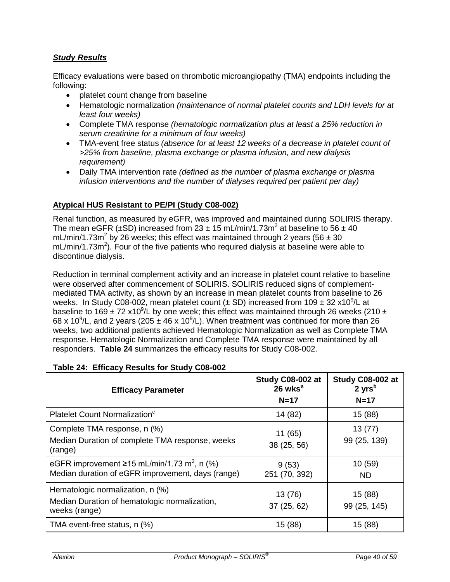# *Study Results*

Efficacy evaluations were based on thrombotic microangiopathy (TMA) endpoints including the following:

- platelet count change from baseline
- Hematologic normalization *(maintenance of normal platelet counts and LDH levels for at least four weeks)*
- Complete TMA response *(hematologic normalization plus at least a 25% reduction in serum creatinine for a minimum of four weeks)*
- TMA-event free status *(absence for at least 12 weeks of a decrease in platelet count of >25% from baseline, plasma exchange or plasma infusion, and new dialysis requirement)*
- Daily TMA intervention rate *(defined as the number of plasma exchange or plasma infusion interventions and the number of dialyses required per patient per day)*

### **Atypical HUS Resistant to PE/PI (Study C08-002)**

Renal function, as measured by eGFR, was improved and maintained during SOLIRIS therapy. The mean eGFR ( $\pm$ SD) increased from 23  $\pm$  15 mL/min/1.73m<sup>2</sup> at baseline to 56  $\pm$  40 mL/min/1.73m<sup>2</sup> by 26 weeks; this effect was maintained through 2 years (56  $\pm$  30  $mL/min/1.73m<sup>2</sup>$ ). Four of the five patients who required dialysis at baseline were able to discontinue dialysis.

Reduction in terminal complement activity and an increase in platelet count relative to baseline were observed after commencement of SOLIRIS. SOLIRIS reduced signs of complementmediated TMA activity, as shown by an increase in mean platelet counts from baseline to 26 weeks. In Study C08-002, mean platelet count  $(\pm SD)$  increased from 109  $\pm$  32 x10<sup>9</sup>/L at baseline to 169 ± 72 x10<sup>9</sup>/L by one week; this effect was maintained through 26 weeks (210 ± 68 x 10<sup>9</sup>/L, and 2 years (205  $\pm$  46 x 10<sup>9</sup>/L). When treatment was continued for more than 26 weeks, two additional patients achieved Hematologic Normalization as well as Complete TMA response. Hematologic Normalization and Complete TMA response were maintained by all responders. **Table 24** summarizes the efficacy results for Study C08-002.

| <b>Efficacy Parameter</b>                                                                                    | Study C08-002 at<br>$26$ wks <sup>a</sup><br>$N=17$ | Study C08-002 at<br>$2 \text{ yrs}^b$<br>$N=17$ |
|--------------------------------------------------------------------------------------------------------------|-----------------------------------------------------|-------------------------------------------------|
| Platelet Count Normalization <sup>c</sup>                                                                    | 14 (82)                                             | 15 (88)                                         |
| Complete TMA response, n (%)<br>Median Duration of complete TMA response, weeks<br>(range)                   | 11(65)<br>38 (25, 56)                               | 13(77)<br>99 (25, 139)                          |
| eGFR improvement ≥15 mL/min/1.73 m <sup>2</sup> , n (%)<br>Median duration of eGFR improvement, days (range) | 9(53)<br>251 (70, 392)                              | 10(59)<br><b>ND</b>                             |
| Hematologic normalization, n (%)<br>Median Duration of hematologic normalization,<br>weeks (range)           | 13 (76)<br>37 (25, 62)                              | 15 (88)<br>99 (25, 145)                         |
| TMA event-free status, n (%)                                                                                 | 15 (88)                                             | 15 (88)                                         |

### **Table 24: Efficacy Results for Study C08-002**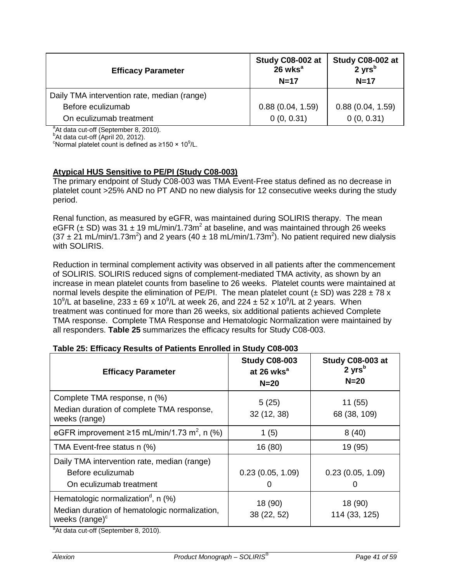| <b>Efficacy Parameter</b>                   | Study C08-002 at<br>$26$ wks <sup>a</sup><br>$N=17$ | Study C08-002 at<br>$2 \text{ yrs}^{\text{b}}$<br>$N=17$ |
|---------------------------------------------|-----------------------------------------------------|----------------------------------------------------------|
| Daily TMA intervention rate, median (range) |                                                     |                                                          |
| Before eculizumab                           | 0.88(0.04, 1.59)                                    | 0.88(0.04, 1.59)                                         |
| On eculizumab treatment                     | 0(0, 0.31)                                          | 0(0, 0.31)                                               |

 ${}^{a}$ At data cut-off (September 8, 2010).

 $b$ At data cut-off (April 20, 2012).

Normal platelet count is defined as ≥150 × 10<sup>9</sup>/L.

# **Atypical HUS Sensitive to PE/PI (Study C08-003)**

The primary endpoint of Study C08-003 was TMA Event-Free status defined as no decrease in platelet count >25% AND no PT AND no new dialysis for 12 consecutive weeks during the study period.

Renal function, as measured by eGFR, was maintained during SOLIRIS therapy. The mean eGFR ( $\pm$  SD) was 31  $\pm$  19 mL/min/1.73m<sup>2</sup> at baseline, and was maintained through 26 weeks  $(37 \pm 21 \text{ mL/min}/1.73 \text{m}^2)$  and 2 years (40  $\pm$  18 mL/min/1.73m<sup>2</sup>). No patient required new dialysis with SOLIRIS.

Reduction in terminal complement activity was observed in all patients after the commencement of SOLIRIS. SOLIRIS reduced signs of complement-mediated TMA activity, as shown by an increase in mean platelet counts from baseline to 26 weeks. Platelet counts were maintained at normal levels despite the elimination of PE/PI. The mean platelet count ( $\pm$  SD) was 228  $\pm$  78 x 10<sup>9</sup>/L at baseline, 233 ± 69 x 10<sup>9</sup>/L at week 26, and 224 ± 52 x 10<sup>9</sup>/L at 2 years. When treatment was continued for more than 26 weeks, six additional patients achieved Complete TMA response. Complete TMA Response and Hematologic Normalization were maintained by all responders. **Table 25** summarizes the efficacy results for Study C08-003.

| <b>Efficacy Parameter</b>                                                                                                                                                                                | <b>Study C08-003</b><br>at 26 wks <sup>a</sup><br>$N=20$ | Study C08-003 at<br>$2 \text{ yrs}^b$<br>$N=20$ |
|----------------------------------------------------------------------------------------------------------------------------------------------------------------------------------------------------------|----------------------------------------------------------|-------------------------------------------------|
| Complete TMA response, n (%)<br>Median duration of complete TMA response,<br>weeks (range)                                                                                                               | 5(25)<br>32(12, 38)                                      | 11(55)<br>68 (38, 109)                          |
| eGFR improvement ≥15 mL/min/1.73 m <sup>2</sup> , n (%)                                                                                                                                                  | 1(5)                                                     | 8(40)                                           |
| TMA Event-free status n (%)                                                                                                                                                                              | 16 (80)                                                  | 19 (95)                                         |
| Daily TMA intervention rate, median (range)<br>Before eculizumab<br>On eculizumab treatment                                                                                                              | 0.23(0.05, 1.09)                                         | 0.23(0.05, 1.09)                                |
| Hematologic normalization <sup>d</sup> , n $(\%)$<br>Median duration of hematologic normalization,<br>weeks (range) <sup>c</sup><br>$d_{\text{A1}}$ data and all $(D_{\text{an}})$ and $(D_{\text{A1}})$ | 18 (90)<br>38 (22, 52)                                   | 18 (90)<br>114 (33, 125)                        |

### **Table 25: Efficacy Results of Patients Enrolled in Study C08-003**

<sup>a</sup>At data cut-off (September 8, 2010).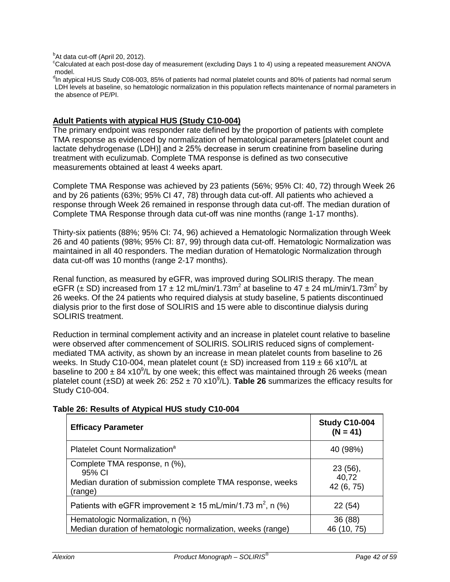<sup>b</sup>At data cut-off (April 20, 2012).<br><sup>c</sup>Celeviated at each pest deep o

Calculated at each post-dose day of measurement (excluding Days 1 to 4) using a repeated measurement ANOVA model.

<sup>d</sup>In atypical HUS Study C08-003, 85% of patients had normal platelet counts and 80% of patients had normal serum LDH levels at baseline, so hematologic normalization in this population reflects maintenance of normal parameters in the absence of PE/PI.

### **Adult Patients with atypical HUS (Study C10-004)**

The primary endpoint was responder rate defined by the proportion of patients with complete TMA response as evidenced by normalization of hematological parameters [platelet count and lactate dehydrogenase (LDH)] and ≥ 25% decrease in serum creatinine from baseline during treatment with eculizumab. Complete TMA response is defined as two consecutive measurements obtained at least 4 weeks apart.

Complete TMA Response was achieved by 23 patients (56%; 95% CI: 40, 72) through Week 26 and by 26 patients (63%; 95% CI 47, 78) through data cut-off. All patients who achieved a response through Week 26 remained in response through data cut-off. The median duration of Complete TMA Response through data cut-off was nine months (range 1-17 months).

Thirty-six patients (88%; 95% CI: 74, 96) achieved a Hematologic Normalization through Week 26 and 40 patients (98%; 95% CI: 87, 99) through data cut-off. Hematologic Normalization was maintained in all 40 responders. The median duration of Hematologic Normalization through data cut-off was 10 months (range 2-17 months).

Renal function, as measured by eGFR, was improved during SOLIRIS therapy. The mean eGFR ( $\pm$  SD) increased from 17  $\pm$  12 mL/min/1.73m<sup>2</sup> at baseline to 47  $\pm$  24 mL/min/1.73m<sup>2</sup> by 26 weeks. Of the 24 patients who required dialysis at study baseline, 5 patients discontinued dialysis prior to the first dose of SOLIRIS and 15 were able to discontinue dialysis during SOLIRIS treatment.

Reduction in terminal complement activity and an increase in platelet count relative to baseline were observed after commencement of SOLIRIS. SOLIRIS reduced signs of complementmediated TMA activity, as shown by an increase in mean platelet counts from baseline to 26 weeks. In Study C10-004, mean platelet count ( $\pm$  SD) increased from 119  $\pm$  66 x10<sup>9</sup>/L at baseline to 200  $\pm$  84 x10<sup>9</sup>/L by one week; this effect was maintained through 26 weeks (mean platelet count (±SD) at week 26: 252 ± 70 x10<sup>9</sup>/L). **Table 26** summarizes the efficacy results for Study C10-004.

| <b>Efficacy Parameter</b>                                                                                        | <b>Study C10-004</b><br>$(N = 41)$ |
|------------------------------------------------------------------------------------------------------------------|------------------------------------|
| Platelet Count Normalization <sup>a</sup>                                                                        | 40 (98%)                           |
| Complete TMA response, n (%),<br>95% CI<br>Median duration of submission complete TMA response, weeks<br>(range) | 23 (56),<br>40,72<br>42 (6, 75)    |
| Patients with eGFR improvement $\geq$ 15 mL/min/1.73 m <sup>2</sup> , n (%)                                      | 22(54)                             |
| Hematologic Normalization, n (%)<br>Median duration of hematologic normalization, weeks (range)                  | 36 (88)<br>(10, 75)                |

### **Table 26: Results of Atypical HUS study C10-004**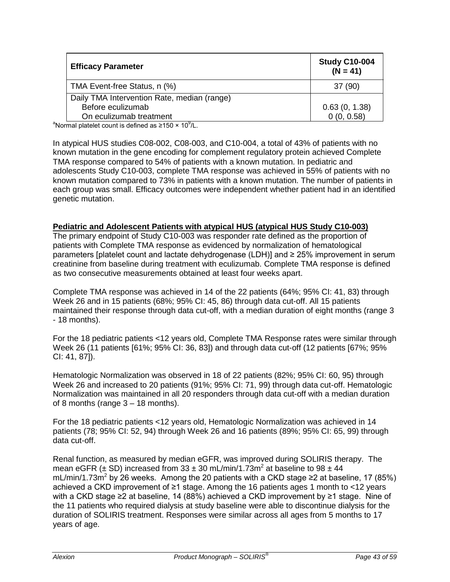| <b>Efficacy Parameter</b>                                                   | <b>Study C10-004</b><br>$(N = 41)$ |
|-----------------------------------------------------------------------------|------------------------------------|
| TMA Event-free Status, n (%)                                                | 37 (90)                            |
| Daily TMA Intervention Rate, median (range)                                 |                                    |
| Before eculizumab                                                           | 0.63(0, 1.38)                      |
| On eculizumab treatment                                                     | 0(0, 0.58)                         |
| <sup>a</sup> Normal platelet count is defined as ≥150 × 10 <sup>9</sup> /L. |                                    |

In atypical HUS studies C08-002, C08-003, and C10-004, a total of 43% of patients with no known mutation in the gene encoding for complement regulatory protein achieved Complete TMA response compared to 54% of patients with a known mutation. In pediatric and adolescents Study C10-003, complete TMA response was achieved in 55% of patients with no known mutation compared to 73% in patients with a known mutation. The number of patients in each group was small. Efficacy outcomes were independent whether patient had in an identified genetic mutation.

### **Pediatric and Adolescent Patients with atypical HUS (atypical HUS Study C10-003)**

The primary endpoint of Study C10-003 was responder rate defined as the proportion of patients with Complete TMA response as evidenced by normalization of hematological parameters [platelet count and lactate dehydrogenase (LDH)] and ≥ 25% improvement in serum creatinine from baseline during treatment with eculizumab. Complete TMA response is defined as two consecutive measurements obtained at least four weeks apart.

Complete TMA response was achieved in 14 of the 22 patients (64%; 95% CI: 41, 83) through Week 26 and in 15 patients (68%; 95% CI: 45, 86) through data cut-off. All 15 patients maintained their response through data cut-off, with a median duration of eight months (range 3 - 18 months).

For the 18 pediatric patients <12 years old, Complete TMA Response rates were similar through Week 26 (11 patients [61%; 95% CI: 36, 83]) and through data cut-off (12 patients [67%; 95% CI: 41, 87]).

Hematologic Normalization was observed in 18 of 22 patients (82%; 95% CI: 60, 95) through Week 26 and increased to 20 patients (91%; 95% CI: 71, 99) through data cut-off. Hematologic Normalization was maintained in all 20 responders through data cut-off with a median duration of 8 months (range  $3 - 18$  months).

For the 18 pediatric patients <12 years old, Hematologic Normalization was achieved in 14 patients (78; 95% CI: 52, 94) through Week 26 and 16 patients (89%; 95% CI: 65, 99) through data cut-off.

Renal function, as measured by median eGFR, was improved during SOLIRIS therapy. The mean eGFR ( $\pm$  SD) increased from 33  $\pm$  30 mL/min/1.73m<sup>2</sup> at baseline to 98  $\pm$  44 mL/min/1.73m<sup>2</sup> by 26 weeks. Among the 20 patients with a CKD stage ≥2 at baseline, 17 (85%) achieved a CKD improvement of ≥1 stage. Among the 16 patients ages 1 month to <12 years with a CKD stage ≥2 at baseline, 14 (88%) achieved a CKD improvement by ≥1 stage. Nine of the 11 patients who required dialysis at study baseline were able to discontinue dialysis for the duration of SOLIRIS treatment. Responses were similar across all ages from 5 months to 17 years of age.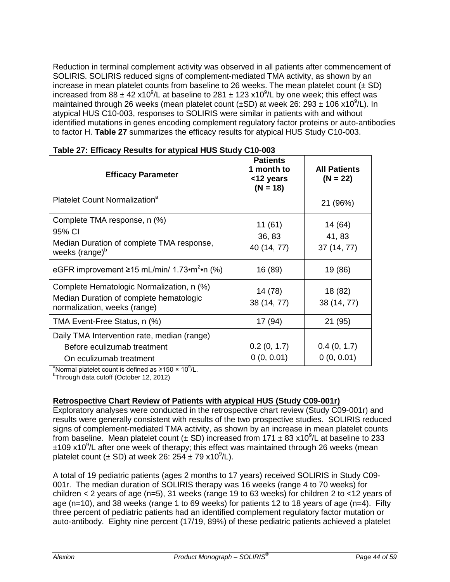Reduction in terminal complement activity was observed in all patients after commencement of SOLIRIS. SOLIRIS reduced signs of complement-mediated TMA activity, as shown by an increase in mean platelet counts from baseline to 26 weeks. The mean platelet count  $(\pm SD)$ increased from 88  $\pm$  42 x10<sup>9</sup>/L at baseline to 281  $\pm$  123 x10<sup>9</sup>/L by one week; this effect was maintained through 26 weeks (mean platelet count (±SD) at week 26: 293 ± 106 x10<sup>9</sup>/L). In atypical HUS C10-003, responses to SOLIRIS were similar in patients with and without identified mutations in genes encoding complement regulatory factor proteins or auto-antibodies to factor H. **Table 27** summarizes the efficacy results for atypical HUS Study C10-003.

| <b>Efficacy Parameter</b>                                                                                            | <b>Patients</b><br>1 month to<br><12 years<br>$(N = 18)$ | <b>All Patients</b><br>$(N = 22)$ |
|----------------------------------------------------------------------------------------------------------------------|----------------------------------------------------------|-----------------------------------|
| Platelet Count Normalization <sup>a</sup>                                                                            |                                                          | 21 (96%)                          |
| Complete TMA response, n (%)<br>95% CI<br>Median Duration of complete TMA response,<br>weeks (range) <sup>b</sup>    | 11(61)<br>36, 83<br>40 (14, 77)                          | 14 (64)<br>41, 83<br>37 (14, 77)  |
| eGFR improvement $\geq$ 15 mL/min/ 1.73•m <sup>2</sup> •n (%)                                                        | 16 (89)                                                  | 19 (86)                           |
| Complete Hematologic Normalization, n (%)<br>Median Duration of complete hematologic<br>normalization, weeks (range) | 14 (78)<br>38 (14, 77)                                   | 18 (82)<br>38 (14, 77)            |
| TMA Event-Free Status, n (%)                                                                                         | 17 (94)                                                  | 21 (95)                           |
| Daily TMA Intervention rate, median (range)<br>Before eculizumab treatment<br>On eculizumab treatment                | 0.2(0, 1.7)<br>0(0, 0.01)                                | 0.4(0, 1.7)<br>0(0, 0.01)         |

|  |  |  | Table 27: Efficacy Results for atypical HUS Study C10-003 |
|--|--|--|-----------------------------------------------------------|
|--|--|--|-----------------------------------------------------------|

<sup>a</sup>Normal platelet count is defined as ≥150 × 10<sup>9</sup>/L.

<sup>b</sup>Through data cutoff (October 12, 2012)

# **Retrospective Chart Review of Patients with atypical HUS (Study C09-001r)**

Exploratory analyses were conducted in the retrospective chart review (Study C09-001r) and results were generally consistent with results of the two prospective studies. SOLIRIS reduced signs of complement-mediated TMA activity, as shown by an increase in mean platelet counts from baseline. Mean platelet count  $(\pm SD)$  increased from 171  $\pm 83$  x10<sup>9</sup>/L at baseline to 233 ±109 x10<sup>9</sup>/L after one week of therapy; this effect was maintained through 26 weeks (mean platelet count  $(\pm SD)$  at week 26: 254  $\pm 79$  x10<sup>9</sup>/L).

A total of 19 pediatric patients (ages 2 months to 17 years) received SOLIRIS in Study C09- 001r. The median duration of SOLIRIS therapy was 16 weeks (range 4 to 70 weeks) for children < 2 years of age (n=5), 31 weeks (range 19 to 63 weeks) for children 2 to <12 years of age (n=10), and 38 weeks (range 1 to 69 weeks) for patients 12 to 18 years of age (n=4). Fifty three percent of pediatric patients had an identified complement regulatory factor mutation or auto-antibody. Eighty nine percent (17/19, 89%) of these pediatric patients achieved a platelet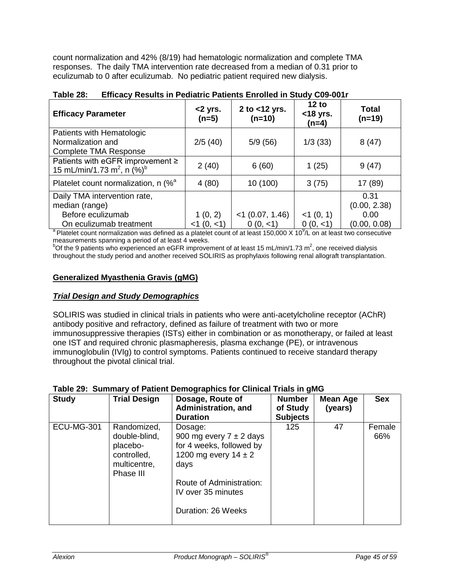count normalization and 42% (8/19) had hematologic normalization and complete TMA responses. The daily TMA intervention rate decreased from a median of 0.31 prior to eculizumab to 0 after eculizumab. No pediatric patient required new dialysis.

| <b>Efficacy Parameter</b>                                                                                                                             | <2 yrs.<br>$(n=5)$ | 2 to $<$ 12 yrs.<br>$(n=10)$ | 12 to<br>$<$ 18 yrs.<br>$(n=4)$ | <b>Total</b><br>$(n=19)$ |  |
|-------------------------------------------------------------------------------------------------------------------------------------------------------|--------------------|------------------------------|---------------------------------|--------------------------|--|
| Patients with Hematologic<br>Normalization and<br><b>Complete TMA Response</b>                                                                        | 2/5(40)            | 5/9(56)                      | 1/3(33)                         | 8(47)                    |  |
| Patients with eGFR improvement $\geq$<br>15 mL/min/1.73 m <sup>2</sup> , n $(\%)^b$                                                                   | 2(40)              | 6(60)                        | 1(25)                           | 9(47)                    |  |
| Platelet count normalization, n (% <sup>a</sup>                                                                                                       | 4(80)              | 10 (100)                     | 3(75)                           | 17 (89)                  |  |
| Daily TMA intervention rate,<br>median (range)                                                                                                        |                    |                              |                                 | 0.31<br>(0.00, 2.38)     |  |
| Before eculizumab                                                                                                                                     | 1(0, 2)            | $<$ 1 (0.07, 1.46)           | $<$ 1 (0, 1)                    | 0.00                     |  |
| On eculizumab treatment                                                                                                                               | $<1$ (0, $<1$ )    | 0(0, <1)                     | 0(0, <1)                        | (0.00, 0.08)             |  |
| <sup>a</sup> Platelet count normalization was defined as a platelet count of at least 150,000 $\times$ 10 <sup>9</sup> /L on at least two consecutive |                    |                              |                                 |                          |  |

# **Table 28: Efficacy Results in Pediatric Patients Enrolled in Study C09-001r**

measurements spanning a period of at least 4 weeks.

 $^{b}$ Of the 9 patients who experienced an eGFR improvement of at least 15 mL/min/1.73 m<sup>2</sup>, one received dialysis throughout the study period and another received SOLIRIS as prophylaxis following renal allograft transplantation.

### **Generalized Myasthenia Gravis (gMG)**

### *Trial Design and Study Demographics*

SOLIRIS was studied in clinical trials in patients who were anti-acetylcholine receptor (AChR) antibody positive and refractory, defined as failure of treatment with two or more immunosuppressive therapies (ISTs) either in combination or as monotherapy, or failed at least one IST and required chronic plasmapheresis, plasma exchange (PE), or intravenous immunoglobulin (IVIg) to control symptoms. Patients continued to receive standard therapy throughout the pivotal clinical trial.

| <b>Study</b>      | <b>Trial Design</b>                                                                  | Dosage, Route of<br>Administration, and<br><b>Duration</b>                                                                                                                     | <b>Number</b><br>of Study<br><b>Subjects</b> | Mean Age<br>(years) | <b>Sex</b>    |
|-------------------|--------------------------------------------------------------------------------------|--------------------------------------------------------------------------------------------------------------------------------------------------------------------------------|----------------------------------------------|---------------------|---------------|
| <b>ECU-MG-301</b> | Randomized,<br>double-blind,<br>placebo-<br>controlled,<br>multicentre,<br>Phase III | Dosage:<br>900 mg every $7 \pm 2$ days<br>for 4 weeks, followed by<br>1200 mg every $14 \pm 2$<br>days<br>Route of Administration:<br>IV over 35 minutes<br>Duration: 26 Weeks | 125                                          | 47                  | Female<br>66% |

### **Table 29: Summary of Patient Demographics for Clinical Trials in gMG**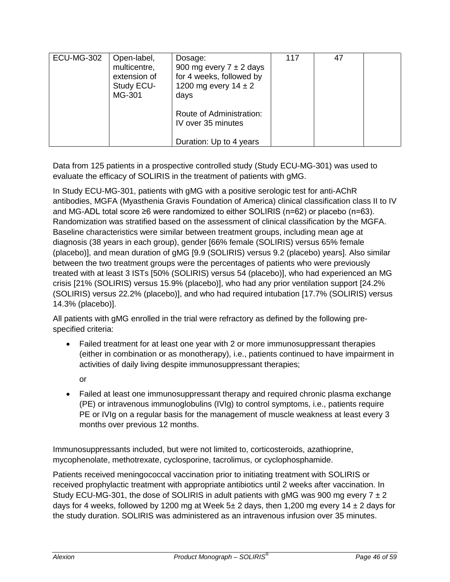| <b>ECU-MG-302</b> | Open-label,<br>multicentre,<br>extension of<br>Study ECU-<br>MG-301 | Dosage:<br>900 mg every $7 \pm 2$ days<br>for 4 weeks, followed by<br>1200 mg every $14 \pm 2$<br>days | 117 | 47 |  |
|-------------------|---------------------------------------------------------------------|--------------------------------------------------------------------------------------------------------|-----|----|--|
|                   |                                                                     | Route of Administration:<br>IV over 35 minutes<br>Duration: Up to 4 years                              |     |    |  |

Data from 125 patients in a prospective controlled study (Study ECU-MG-301) was used to evaluate the efficacy of SOLIRIS in the treatment of patients with gMG.

In Study ECU-MG-301, patients with gMG with a positive serologic test for anti-AChR antibodies, MGFA (Myasthenia Gravis Foundation of America) clinical classification class II to IV and MG-ADL total score ≥6 were randomized to either SOLIRIS (n=62) or placebo (n=63). Randomization was stratified based on the assessment of clinical classification by the MGFA. Baseline characteristics were similar between treatment groups, including mean age at diagnosis (38 years in each group), gender [66% female (SOLIRIS) versus 65% female (placebo)], and mean duration of gMG [9.9 (SOLIRIS) versus 9.2 (placebo) years]. Also similar between the two treatment groups were the percentages of patients who were previously treated with at least 3 ISTs [50% (SOLIRIS) versus 54 (placebo)], who had experienced an MG crisis [21% (SOLIRIS) versus 15.9% (placebo)], who had any prior ventilation support [24.2% (SOLIRIS) versus 22.2% (placebo)], and who had required intubation [17.7% (SOLIRIS) versus 14.3% (placebo)].

All patients with gMG enrolled in the trial were refractory as defined by the following prespecified criteria:

- Failed treatment for at least one year with 2 or more immunosuppressant therapies (either in combination or as monotherapy), i.e., patients continued to have impairment in activities of daily living despite immunosuppressant therapies;
	- or
- Failed at least one immunosuppressant therapy and required chronic plasma exchange (PE) or intravenous immunoglobulins (IVIg) to control symptoms, i.e., patients require PE or IVIg on a regular basis for the management of muscle weakness at least every 3 months over previous 12 months.

Immunosuppressants included, but were not limited to, corticosteroids, azathioprine, mycophenolate, methotrexate, cyclosporine, tacrolimus, or cyclophosphamide.

Patients received meningococcal vaccination prior to initiating treatment with SOLIRIS or received prophylactic treatment with appropriate antibiotics until 2 weeks after vaccination. In Study ECU-MG-301, the dose of SOLIRIS in adult patients with gMG was 900 mg every  $7 \pm 2$ days for 4 weeks, followed by 1200 mg at Week  $5\pm 2$  days, then 1,200 mg every 14  $\pm 2$  days for the study duration. SOLIRIS was administered as an intravenous infusion over 35 minutes.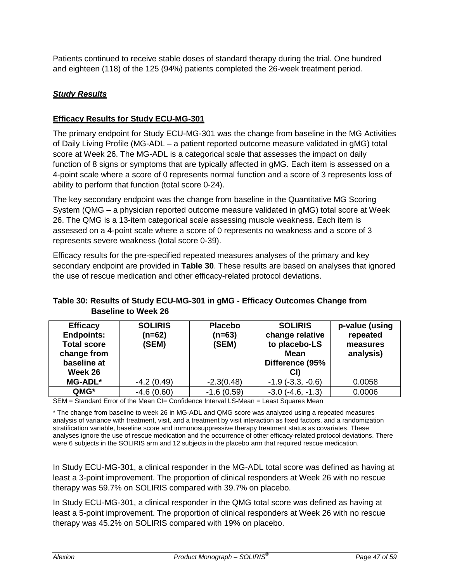Patients continued to receive stable doses of standard therapy during the trial. One hundred and eighteen (118) of the 125 (94%) patients completed the 26-week treatment period.

# *Study Results*

# **Efficacy Results for Study ECU-MG-301**

The primary endpoint for Study ECU-MG-301 was the change from baseline in the MG Activities of Daily Living Profile (MG-ADL – a patient reported outcome measure validated in gMG) total score at Week 26. The MG-ADL is a categorical scale that assesses the impact on daily function of 8 signs or symptoms that are typically affected in gMG. Each item is assessed on a 4-point scale where a score of 0 represents normal function and a score of 3 represents loss of ability to perform that function (total score 0-24).

The key secondary endpoint was the change from baseline in the Quantitative MG Scoring System (QMG – a physician reported outcome measure validated in gMG) total score at Week 26. The QMG is a 13-item categorical scale assessing muscle weakness. Each item is assessed on a 4-point scale where a score of 0 represents no weakness and a score of 3 represents severe weakness (total score 0-39).

Efficacy results for the pre-specified repeated measures analyses of the primary and key secondary endpoint are provided in **Table 30**. These results are based on analyses that ignored the use of rescue medication and other efficacy-related protocol deviations.

# **Table 30: Results of Study ECU-MG-301 in gMG - Efficacy Outcomes Change from Baseline to Week 26**

|              |              | <b>Mean</b><br>Difference (95%<br>CI) | measures<br>analysis) |
|--------------|--------------|---------------------------------------|-----------------------|
| $-4.2(0.49)$ | $-2.3(0.48)$ | $-1.9$ $(-3.3, -0.6)$                 | 0.0058                |
| $-4.6(0.60)$ | $-1.6(0.59)$ | $-3.0$ $(-4.6, -1.3)$                 | 0.0006                |
|              |              | (SEM)<br>(SEM)                        | to placebo-LS         |

SEM = Standard Error of the Mean CI= Confidence Interval LS-Mean = Least Squares Mean

\* The change from baseline to week 26 in MG-ADL and QMG score was analyzed using a repeated measures analysis of variance with treatment, visit, and a treatment by visit interaction as fixed factors, and a randomization stratification variable, baseline score and immunosuppressive therapy treatment status as covariates. These analyses ignore the use of rescue medication and the occurrence of other efficacy-related protocol deviations. There were 6 subjects in the SOLIRIS arm and 12 subjects in the placebo arm that required rescue medication.

In Study ECU-MG-301, a clinical responder in the MG-ADL total score was defined as having at least a 3-point improvement. The proportion of clinical responders at Week 26 with no rescue therapy was 59.7% on SOLIRIS compared with 39.7% on placebo.

In Study ECU-MG-301, a clinical responder in the QMG total score was defined as having at least a 5-point improvement. The proportion of clinical responders at Week 26 with no rescue therapy was 45.2% on SOLIRIS compared with 19% on placebo.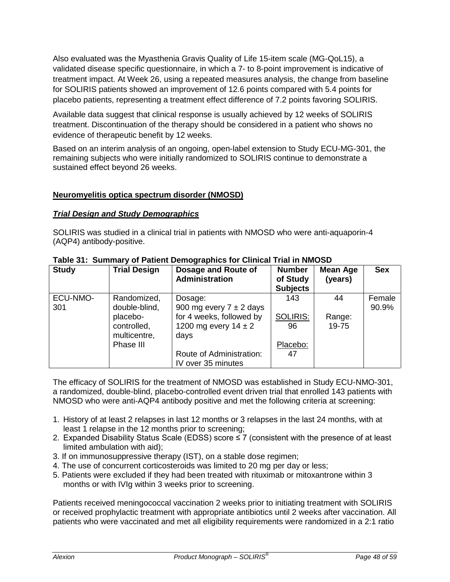Also evaluated was the Myasthenia Gravis Quality of Life 15-item scale (MG-QoL15), a validated disease specific questionnaire, in which a 7- to 8-point improvement is indicative of treatment impact. At Week 26, using a repeated measures analysis, the change from baseline for SOLIRIS patients showed an improvement of 12.6 points compared with 5.4 points for placebo patients, representing a treatment effect difference of 7.2 points favoring SOLIRIS.

Available data suggest that clinical response is usually achieved by 12 weeks of SOLIRIS treatment. Discontinuation of the therapy should be considered in a patient who shows no evidence of therapeutic benefit by 12 weeks.

Based on an interim analysis of an ongoing, open-label extension to Study ECU-MG-301, the remaining subjects who were initially randomized to SOLIRIS continue to demonstrate a sustained effect beyond 26 weeks.

### **Neuromyelitis optica spectrum disorder (NMOSD)**

### *Trial Design and Study Demographics*

SOLIRIS was studied in a clinical trial in patients with NMOSD who were anti-aquaporin-4 (AQP4) antibody-positive.

| <b>Study</b>    | <b>Trial Design</b>                     | Dosage and Route of<br>Administration                                                       | <b>Number</b><br>of Study<br><b>Subjects</b> | <b>Mean Age</b><br>(years) | <b>Sex</b>      |
|-----------------|-----------------------------------------|---------------------------------------------------------------------------------------------|----------------------------------------------|----------------------------|-----------------|
| ECU-NMO-<br>301 | Randomized,<br>double-blind,            | Dosage:                                                                                     | 143                                          | 44                         | Female<br>90.9% |
|                 | placebo-<br>controlled,<br>multicentre, | 900 mg every $7 \pm 2$ days<br>for 4 weeks, followed by<br>1200 mg every $14 \pm 2$<br>days | <b>SOLIRIS:</b><br>96                        | Range:<br>19-75            |                 |
|                 | Phase III                               |                                                                                             | Placebo:                                     |                            |                 |
|                 |                                         | Route of Administration:<br>IV over 35 minutes                                              | 47                                           |                            |                 |

#### **Table 31: Summary of Patient Demographics for Clinical Trial in NMOSD**

The efficacy of SOLIRIS for the treatment of NMOSD was established in Study ECU-NMO-301, a randomized, double-blind, placebo-controlled event driven trial that enrolled 143 patients with NMOSD who were anti-AQP4 antibody positive and met the following criteria at screening:

- 1. History of at least 2 relapses in last 12 months or 3 relapses in the last 24 months, with at least 1 relapse in the 12 months prior to screening;
- 2. Expanded Disability Status Scale (EDSS) score ≤ 7 (consistent with the presence of at least limited ambulation with aid);
- 3. If on immunosuppressive therapy (IST), on a stable dose regimen;
- 4. The use of concurrent corticosteroids was limited to 20 mg per day or less;
- 5. Patients were excluded if they had been treated with rituximab or mitoxantrone within 3 months or with IVIg within 3 weeks prior to screening.

Patients received meningococcal vaccination 2 weeks prior to initiating treatment with SOLIRIS or received prophylactic treatment with appropriate antibiotics until 2 weeks after vaccination. All patients who were vaccinated and met all eligibility requirements were randomized in a 2:1 ratio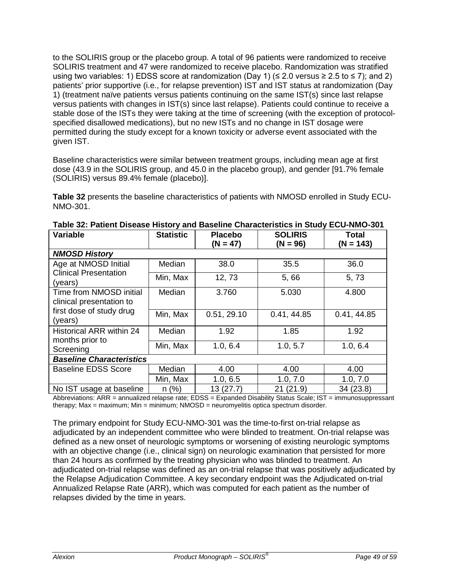to the SOLIRIS group or the placebo group. A total of 96 patients were randomized to receive SOLIRIS treatment and 47 were randomized to receive placebo. Randomization was stratified using two variables: 1) EDSS score at randomization (Day 1) ( $\leq$  2.0 versus  $\geq$  2.5 to  $\leq$  7); and 2) patients' prior supportive (i.e., for relapse prevention) IST and IST status at randomization (Day 1) (treatment naïve patients versus patients continuing on the same IST(s) since last relapse versus patients with changes in IST(s) since last relapse). Patients could continue to receive a stable dose of the ISTs they were taking at the time of screening (with the exception of protocolspecified disallowed medications), but no new ISTs and no change in IST dosage were permitted during the study except for a known toxicity or adverse event associated with the given IST.

Baseline characteristics were similar between treatment groups, including mean age at first dose (43.9 in the SOLIRIS group, and 45.0 in the placebo group), and gender [91.7% female (SOLIRIS) versus 89.4% female (placebo)].

**Table 32** presents the baseline characteristics of patients with NMOSD enrolled in Study ECU-NMO-301.

| <b>Variable</b>                                     | <b>Statistic</b> | <b>Placebo</b><br>$(N = 47)$ | <b>SOLIRIS</b><br>$(N = 96)$ | <b>Total</b><br>$(N = 143)$ |  |
|-----------------------------------------------------|------------------|------------------------------|------------------------------|-----------------------------|--|
| <b>NMOSD History</b>                                |                  |                              |                              |                             |  |
| Age at NMOSD Initial                                | Median           | 38.0                         | 35.5                         | 36.0                        |  |
| <b>Clinical Presentation</b><br>(years)             | Min, Max         | 12, 73                       | 5,66                         | 5,73                        |  |
| Time from NMOSD initial<br>clinical presentation to | Median           | 3.760                        | 5.030                        | 4.800                       |  |
| first dose of study drug<br>(years)                 | Min, Max         | 0.51, 29.10                  | 0.41, 44.85                  | 0.41, 44.85                 |  |
| <b>Historical ARR within 24</b>                     | Median           | 1.92                         | 1.85                         | 1.92                        |  |
| months prior to<br>Screening                        | Min, Max         | 1.0, 6.4                     | 1.0, 5.7                     | 1.0, 6.4                    |  |
| <b>Baseline Characteristics</b>                     |                  |                              |                              |                             |  |
| <b>Baseline EDSS Score</b>                          | Median           | 4.00                         | 4.00                         | 4.00                        |  |
|                                                     | Min, Max         | 1.0, 6.5                     | 1.0, 7.0                     | 1.0, 7.0                    |  |
| No IST usage at baseline                            | $n$ (%)          | 13(27.7)                     | 21 (21.9)                    | 34(23.8)                    |  |

**Table 32: Patient Disease History and Baseline Characteristics in Study ECU-NMO-301**

Abbreviations: ARR = annualized relapse rate; EDSS = Expanded Disability Status Scale; IST = immunosuppressant therapy; Max = maximum; Min = minimum; NMOSD = neuromyelitis optica spectrum disorder.

The primary endpoint for Study ECU-NMO-301 was the time-to-first on-trial relapse as adjudicated by an independent committee who were blinded to treatment. On-trial relapse was defined as a new onset of neurologic symptoms or worsening of existing neurologic symptoms with an objective change (i.e., clinical sign) on neurologic examination that persisted for more than 24 hours as confirmed by the treating physician who was blinded to treatment. An adjudicated on-trial relapse was defined as an on-trial relapse that was positively adjudicated by the Relapse Adjudication Committee. A key secondary endpoint was the Adjudicated on-trial Annualized Relapse Rate (ARR), which was computed for each patient as the number of relapses divided by the time in years.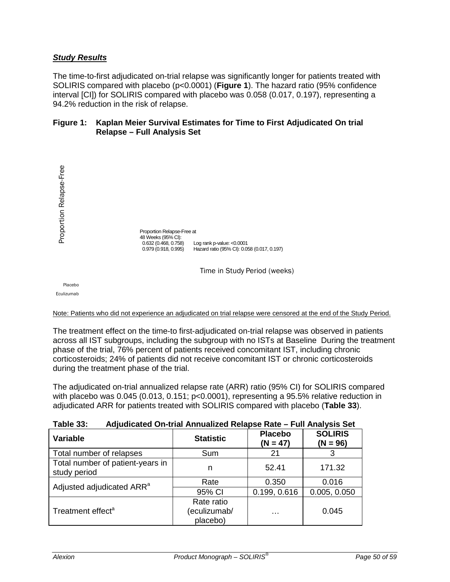### *Study Results*

The time-to-first adjudicated on-trial relapse was significantly longer for patients treated with SOLIRIS compared with placebo (p<0.0001) (**Figure 1**). The hazard ratio (95% confidence interval [CI]) for SOLIRIS compared with placebo was 0.058 (0.017, 0.197), representing a 94.2% reduction in the risk of relapse.

#### **Figure 1: Kaplan Meier Survival Estimates for Time to First Adjudicated On trial Relapse – Full Analysis Set**



#### Note: Patients who did not experience an adjudicated on trial relapse were censored at the end of the Study Period.

The treatment effect on the time-to first-adjudicated on-trial relapse was observed in patients across all IST subgroups, including the subgroup with no ISTs at Baseline During the treatment phase of the trial, 76% percent of patients received concomitant IST, including chronic corticosteroids; 24% of patients did not receive concomitant IST or chronic corticosteroids during the treatment phase of the trial.

The adjudicated on-trial annualized relapse rate (ARR) ratio (95% CI) for SOLIRIS compared with placebo was 0.045 (0.013, 0.151; p<0.0001), representing a 95.5% relative reduction in adjudicated ARR for patients treated with SOLIRIS compared with placebo (**Table 33**).

| Table 33.<br>Adjudicated On-trial Annualized Relapse Rate – Full Analysis Set |                                        |                              |                              |  |
|-------------------------------------------------------------------------------|----------------------------------------|------------------------------|------------------------------|--|
| Variable                                                                      | <b>Statistic</b>                       | <b>Placebo</b><br>$(N = 47)$ | <b>SOLIRIS</b><br>$(N = 96)$ |  |
| Total number of relapses                                                      | Sum                                    | 21                           |                              |  |
| Total number of patient-years in<br>study period                              | n                                      | 52.41                        | 171.32                       |  |
| Adjusted adjudicated ARR <sup>a</sup>                                         | Rate                                   | 0.350                        | 0.016                        |  |
|                                                                               | 95% CI                                 | 0.199, 0.616                 | 0.005, 0.050                 |  |
| Treatment effect <sup>a</sup>                                                 | Rate ratio<br>(eculizumab/<br>placebo) | .                            | 0.045                        |  |

#### **Table 33: Adjudicated On-trial Annualized Relapse Rate – Full Analysis Set**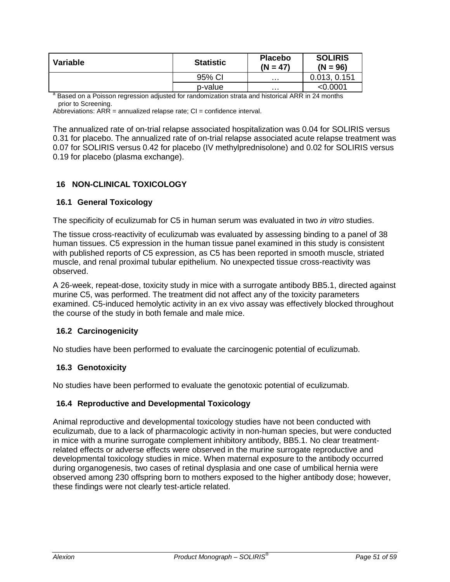| Variable | <b>Statistic</b> | <b>Placebo</b><br>$(N = 47)$ | <b>SOLIRIS</b><br>$(N = 96)$ |
|----------|------------------|------------------------------|------------------------------|
|          | 95% CI           | .                            | 0.013, 0.151                 |
|          | p-value          | .                            | $<$ 0.0001                   |

<sup>a</sup> Based on a Poisson regression adjusted for randomization strata and historical ARR in 24 months prior to Screening.

Abbreviations:  $ARR =$  annualized relapse rate;  $Cl =$  confidence interval.

The annualized rate of on-trial relapse associated hospitalization was 0.04 for SOLIRIS versus 0.31 for placebo. The annualized rate of on-trial relapse associated acute relapse treatment was 0.07 for SOLIRIS versus 0.42 for placebo (IV methylprednisolone) and 0.02 for SOLIRIS versus 0.19 for placebo (plasma exchange).

### <span id="page-50-0"></span>**16 NON-CLINICAL TOXICOLOGY**

### <span id="page-50-1"></span>**16.1 General Toxicology**

The specificity of eculizumab for C5 in human serum was evaluated in two *in vitro* studies.

The tissue cross-reactivity of eculizumab was evaluated by assessing binding to a panel of 38 human tissues. C5 expression in the human tissue panel examined in this study is consistent with published reports of C5 expression, as C5 has been reported in smooth muscle, striated muscle, and renal proximal tubular epithelium. No unexpected tissue cross-reactivity was observed.

A 26-week, repeat-dose, toxicity study in mice with a surrogate antibody BB5.1, directed against murine C5, was performed. The treatment did not affect any of the toxicity parameters examined. C5-induced hemolytic activity in an ex vivo assay was effectively blocked throughout the course of the study in both female and male mice.

### <span id="page-50-2"></span>**16.2 Carcinogenicity**

No studies have been performed to evaluate the carcinogenic potential of eculizumab.

#### <span id="page-50-3"></span>**16.3 Genotoxicity**

No studies have been performed to evaluate the genotoxic potential of eculizumab.

#### <span id="page-50-4"></span>**16.4 Reproductive and Developmental Toxicology**

Animal reproductive and developmental toxicology studies have not been conducted with eculizumab, due to a lack of pharmacologic activity in non-human species, but were conducted in mice with a murine surrogate complement inhibitory antibody, BB5.1. No clear treatmentrelated effects or adverse effects were observed in the murine surrogate reproductive and developmental toxicology studies in mice. When maternal exposure to the antibody occurred during organogenesis, two cases of retinal dysplasia and one case of umbilical hernia were observed among 230 offspring born to mothers exposed to the higher antibody dose; however, these findings were not clearly test-article related.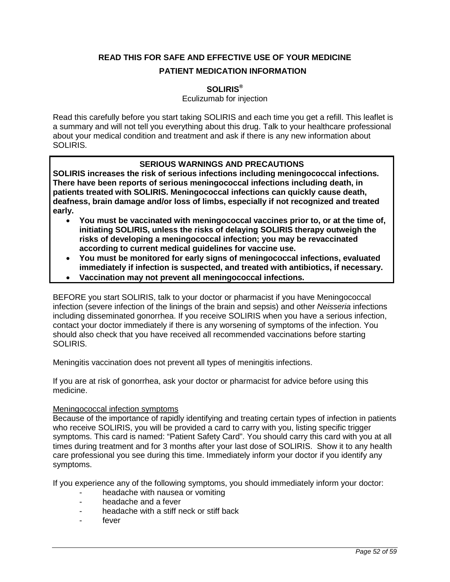# <span id="page-51-0"></span>**READ THIS FOR SAFE AND EFFECTIVE USE OF YOUR MEDICINE**

### **PATIENT MEDICATION INFORMATION**

### **SOLIRIS®**

Eculizumab for injection

Read this carefully before you start taking SOLIRIS and each time you get a refill. This leaflet is a summary and will not tell you everything about this drug. Talk to your healthcare professional about your medical condition and treatment and ask if there is any new information about SOLIRIS.

# **SERIOUS WARNINGS AND PRECAUTIONS**

**SOLIRIS increases the risk of serious infections including meningococcal infections. There have been reports of serious meningococcal infections including death, in patients treated with SOLIRIS. Meningococcal infections can quickly cause death, deafness, brain damage and/or loss of limbs, especially if not recognized and treated early.** 

- **You must be vaccinated with meningococcal vaccines prior to, or at the time of, initiating SOLIRIS, unless the risks of delaying SOLIRIS therapy outweigh the risks of developing a meningococcal infection; you may be revaccinated according to current medical guidelines for vaccine use.**
- **You must be monitored for early signs of meningococcal infections, evaluated immediately if infection is suspected, and treated with antibiotics, if necessary.**
- **Vaccination may not prevent all meningococcal infections.**

BEFORE you start SOLIRIS, talk to your doctor or pharmacist if you have Meningococcal infection (severe infection of the linings of the brain and sepsis) and other *Neisseria* infections including disseminated gonorrhea. If you receive SOLIRIS when you have a serious infection, contact your doctor immediately if there is any worsening of symptoms of the infection. You should also check that you have received all recommended vaccinations before starting SOLIRIS.

Meningitis vaccination does not prevent all types of meningitis infections.

If you are at risk of gonorrhea, ask your doctor or pharmacist for advice before using this medicine.

### Meningococcal infection symptoms

Because of the importance of rapidly identifying and treating certain types of infection in patients who receive SOLIRIS, you will be provided a card to carry with you, listing specific trigger symptoms. This card is named: "Patient Safety Card". You should carry this card with you at all times during treatment and for 3 months after your last dose of SOLIRIS. Show it to any health care professional you see during this time. Immediately inform your doctor if you identify any symptoms.

If you experience any of the following symptoms, you should immediately inform your doctor:

- headache with nausea or vomiting
- headache and a fever
- headache with a stiff neck or stiff back
- fever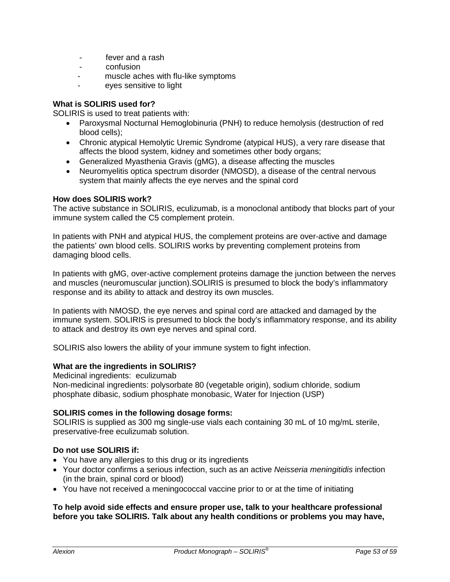- fever and a rash
- confusion
- muscle aches with flu-like symptoms
- eyes sensitive to light

### **What is SOLIRIS used for?**

SOLIRIS is used to treat patients with:

- Paroxysmal Nocturnal Hemoglobinuria (PNH) to reduce hemolysis (destruction of red blood cells);
- Chronic atypical Hemolytic Uremic Syndrome (atypical HUS), a very rare disease that affects the blood system, kidney and sometimes other body organs;
- Generalized Myasthenia Gravis (gMG), a disease affecting the muscles
- Neuromyelitis optica spectrum disorder (NMOSD), a disease of the central nervous system that mainly affects the eye nerves and the spinal cord

### **How does SOLIRIS work?**

The active substance in SOLIRIS, eculizumab, is a monoclonal antibody that blocks part of your immune system called the C5 complement protein.

In patients with PNH and atypical HUS, the complement proteins are over-active and damage the patients' own blood cells. SOLIRIS works by preventing complement proteins from damaging blood cells.

In patients with gMG, over-active complement proteins damage the junction between the nerves and muscles (neuromuscular junction).SOLIRIS is presumed to block the body's inflammatory response and its ability to attack and destroy its own muscles.

In patients with NMOSD, the eye nerves and spinal cord are attacked and damaged by the immune system. SOLIRIS is presumed to block the body's inflammatory response, and its ability to attack and destroy its own eye nerves and spinal cord.

SOLIRIS also lowers the ability of your immune system to fight infection.

### **What are the ingredients in SOLIRIS?**

Medicinal ingredients:eculizumab Non-medicinal ingredients: polysorbate 80 (vegetable origin), sodium chloride, sodium phosphate dibasic, sodium phosphate monobasic, Water for Injection (USP)

### **SOLIRIS comes in the following dosage forms:**

SOLIRIS is supplied as 300 mg single-use vials each containing 30 mL of 10 mg/mL sterile, preservative-free eculizumab solution.

### **Do not use SOLIRIS if:**

- You have any allergies to this drug or its ingredients
- Your doctor confirms a serious infection, such as an active *Neisseria meningitidis* infection (in the brain, spinal cord or blood)
- You have not received a meningococcal vaccine prior to or at the time of initiating

#### **To help avoid side effects and ensure proper use, talk to your healthcare professional before you take SOLIRIS. Talk about any health conditions or problems you may have,**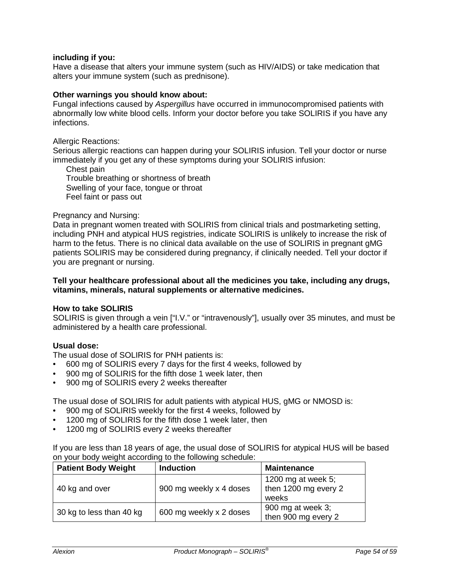#### **including if you:**

Have a disease that alters your immune system (such as HIV/AIDS) or take medication that alters your immune system (such as prednisone).

### **Other warnings you should know about:**

Fungal infections caused by *Aspergillus* have occurred in immunocompromised patients with abnormally low white blood cells. Inform your doctor before you take SOLIRIS if you have any infections.

Allergic Reactions:

Serious allergic reactions can happen during your SOLIRIS infusion. Tell your doctor or nurse immediately if you get any of these symptoms during your SOLIRIS infusion:

Chest pain Trouble breathing or shortness of breath Swelling of your face, tongue or throat Feel faint or pass out

#### Pregnancy and Nursing:

Data in pregnant women treated with SOLIRIS from clinical trials and postmarketing setting, including PNH and atypical HUS registries, indicate SOLIRIS is unlikely to increase the risk of harm to the fetus. There is no clinical data available on the use of SOLIRIS in pregnant gMG patients SOLIRIS may be considered during pregnancy, if clinically needed. Tell your doctor if you are pregnant or nursing.

#### **Tell your healthcare professional about all the medicines you take, including any drugs, vitamins, minerals, natural supplements or alternative medicines.**

#### **How to take SOLIRIS**

SOLIRIS is given through a vein ["I.V." or "intravenously"], usually over 35 minutes, and must be administered by a health care professional.

#### **Usual dose:**

The usual dose of SOLIRIS for PNH patients is:

- 600 mg of SOLIRIS every 7 days for the first 4 weeks, followed by
- 900 mg of SOLIRIS for the fifth dose 1 week later, then
- 900 mg of SOLIRIS every 2 weeks thereafter

The usual dose of SOLIRIS for adult patients with atypical HUS, gMG or NMOSD is:

- 900 mg of SOLIRIS weekly for the first 4 weeks, followed by
- 1200 mg of SOLIRIS for the fifth dose 1 week later, then
- 1200 mg of SOLIRIS every 2 weeks thereafter

If you are less than 18 years of age, the usual dose of SOLIRIS for atypical HUS will be based on your body weight according to the following schedule:

| <b>Patient Body Weight</b> | <b>Induction</b>        | <b>Maintenance</b>                                     |
|----------------------------|-------------------------|--------------------------------------------------------|
| 40 kg and over             | 900 mg weekly x 4 doses | 1200 mg at week $5$ ;<br>then 1200 mg every 2<br>weeks |
| 30 kg to less than 40 kg   | 600 mg weekly x 2 doses | 900 mg at week 3;<br>then 900 mg every 2               |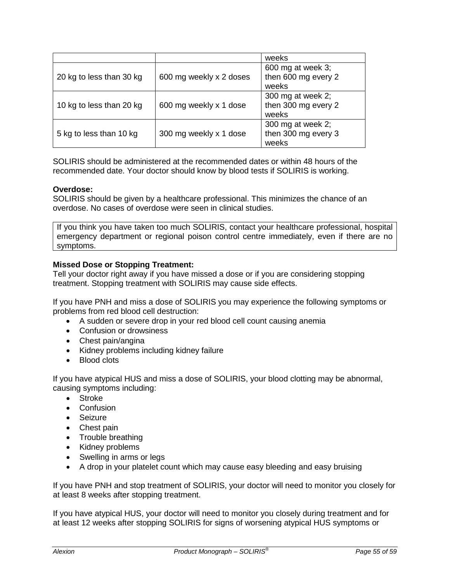|                          |                         | weeks                                             |
|--------------------------|-------------------------|---------------------------------------------------|
| 20 kg to less than 30 kg | 600 mg weekly x 2 doses | 600 mg at week 3;<br>then 600 mg every 2<br>weeks |
| 10 kg to less than 20 kg | 600 mg weekly x 1 dose  | 300 mg at week 2;<br>then 300 mg every 2<br>weeks |
| 5 kg to less than 10 kg  | 300 mg weekly x 1 dose  | 300 mg at week 2;<br>then 300 mg every 3<br>weeks |

SOLIRIS should be administered at the recommended dates or within 48 hours of the recommended date. Your doctor should know by blood tests if SOLIRIS is working.

#### **Overdose:**

SOLIRIS should be given by a healthcare professional. This minimizes the chance of an overdose. No cases of overdose were seen in clinical studies.

If you think you have taken too much SOLIRIS, contact your healthcare professional, hospital emergency department or regional poison control centre immediately, even if there are no symptoms.

#### **Missed Dose or Stopping Treatment:**

Tell your doctor right away if you have missed a dose or if you are considering stopping treatment. Stopping treatment with SOLIRIS may cause side effects.

If you have PNH and miss a dose of SOLIRIS you may experience the following symptoms or problems from red blood cell destruction:

- A sudden or severe drop in your red blood cell count causing anemia
- Confusion or drowsiness
- Chest pain/angina
- Kidney problems including kidney failure
- Blood clots

If you have atypical HUS and miss a dose of SOLIRIS, your blood clotting may be abnormal, causing symptoms including:

- Stroke
- Confusion
- Seizure
- Chest pain
- Trouble breathing
- Kidney problems
- Swelling in arms or legs
- A drop in your platelet count which may cause easy bleeding and easy bruising

If you have PNH and stop treatment of SOLIRIS, your doctor will need to monitor you closely for at least 8 weeks after stopping treatment.

If you have atypical HUS, your doctor will need to monitor you closely during treatment and for at least 12 weeks after stopping SOLIRIS for signs of worsening atypical HUS symptoms or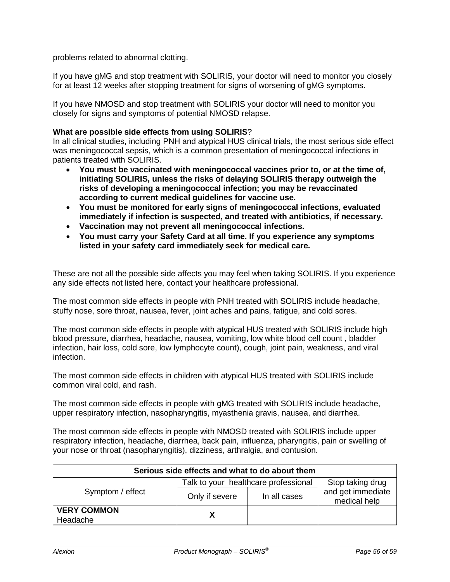problems related to abnormal clotting.

If you have gMG and stop treatment with SOLIRIS, your doctor will need to monitor you closely for at least 12 weeks after stopping treatment for signs of worsening of gMG symptoms.

If you have NMOSD and stop treatment with SOLIRIS your doctor will need to monitor you closely for signs and symptoms of potential NMOSD relapse.

#### **What are possible side effects from using SOLIRIS**?

In all clinical studies, including PNH and atypical HUS clinical trials, the most serious side effect was meningococcal sepsis, which is a common presentation of meningococcal infections in patients treated with SOLIRIS.

- **You must be vaccinated with meningococcal vaccines prior to, or at the time of, initiating SOLIRIS, unless the risks of delaying SOLIRIS therapy outweigh the risks of developing a meningococcal infection; you may be revaccinated according to current medical guidelines for vaccine use.**
- **You must be monitored for early signs of meningococcal infections, evaluated immediately if infection is suspected, and treated with antibiotics, if necessary.**
- **Vaccination may not prevent all meningococcal infections.**
- **You must carry your Safety Card at all time. If you experience any symptoms listed in your safety card immediately seek for medical care.**

These are not all the possible side affects you may feel when taking SOLIRIS. If you experience any side effects not listed here, contact your healthcare professional.

The most common side effects in people with PNH treated with SOLIRIS include headache, stuffy nose, sore throat, nausea, fever, joint aches and pains, fatigue, and cold sores.

The most common side effects in people with atypical HUS treated with SOLIRIS include high blood pressure, diarrhea, headache, nausea, vomiting, low white blood cell count , bladder infection, hair loss, cold sore, low lymphocyte count), cough, joint pain, weakness, and viral infection.

The most common side effects in children with atypical HUS treated with SOLIRIS include common viral cold, and rash.

The most common side effects in people with gMG treated with SOLIRIS include headache, upper respiratory infection, nasopharyngitis, myasthenia gravis, nausea, and diarrhea.

The most common side effects in people with NMOSD treated with SOLIRIS include upper respiratory infection, headache, diarrhea, back pain, influenza, pharyngitis, pain or swelling of your nose or throat (nasopharyngitis), dizziness, arthralgia, and contusion.

| Serious side effects and what to do about them |                                      |              |                                   |  |  |
|------------------------------------------------|--------------------------------------|--------------|-----------------------------------|--|--|
|                                                | Talk to your healthcare professional |              | Stop taking drug                  |  |  |
| Symptom / effect                               | Only if severe                       | In all cases | and get immediate<br>medical help |  |  |
| <b>VERY COMMON</b><br>Headache                 |                                      |              |                                   |  |  |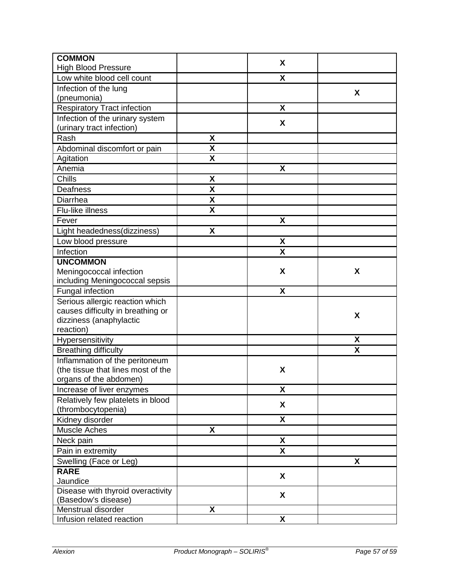| <b>COMMON</b>                      |                           | X                         |   |
|------------------------------------|---------------------------|---------------------------|---|
| <b>High Blood Pressure</b>         |                           |                           |   |
| Low white blood cell count         |                           | $\boldsymbol{\mathsf{X}}$ |   |
| Infection of the lung              |                           |                           | X |
| (pneumonia)                        |                           |                           |   |
| <b>Respiratory Tract infection</b> |                           | X                         |   |
| Infection of the urinary system    |                           | X                         |   |
| (urinary tract infection)          |                           |                           |   |
| Rash                               | X                         |                           |   |
| Abdominal discomfort or pain       | X                         |                           |   |
| Agitation                          | $\overline{\mathbf{x}}$   |                           |   |
| Anemia                             |                           | X                         |   |
| Chills                             | X                         |                           |   |
| Deafness                           | $\boldsymbol{\mathsf{X}}$ |                           |   |
| Diarrhea                           | X                         |                           |   |
| Flu-like illness                   | X                         |                           |   |
| Fever                              |                           | X                         |   |
| Light headedness(dizziness)        | $\boldsymbol{\mathsf{X}}$ |                           |   |
| Low blood pressure                 |                           | $\pmb{\mathsf{X}}$        |   |
| Infection                          |                           | X                         |   |
| <b>UNCOMMON</b>                    |                           |                           |   |
| Meningococcal infection            |                           | X                         | X |
| including Meningococcal sepsis     |                           |                           |   |
| Fungal infection                   |                           | X                         |   |
| Serious allergic reaction which    |                           |                           |   |
| causes difficulty in breathing or  |                           |                           |   |
| dizziness (anaphylactic            |                           |                           | X |
| reaction)                          |                           |                           |   |
| Hypersensitivity                   |                           |                           | X |
| <b>Breathing difficulty</b>        |                           |                           | X |
| Inflammation of the peritoneum     |                           |                           |   |
| (the tissue that lines most of the |                           | X                         |   |
| organs of the abdomen)             |                           |                           |   |
| Increase of liver enzymes          |                           | $\pmb{\mathsf{X}}$        |   |
| Relatively few platelets in blood  |                           | $\pmb{\mathsf{X}}$        |   |
| (thrombocytopenia)                 |                           |                           |   |
| Kidney disorder                    |                           | X                         |   |
| <b>Muscle Aches</b>                | X                         |                           |   |
| Neck pain                          |                           | $\pmb{\mathsf{X}}$        |   |
| Pain in extremity                  |                           | $\boldsymbol{\mathsf{X}}$ |   |
| Swelling (Face or Leg)             |                           |                           | X |
| <b>RARE</b>                        |                           | X                         |   |
| Jaundice                           |                           |                           |   |
| Disease with thyroid overactivity  |                           | $\pmb{\mathsf{X}}$        |   |
| (Basedow's disease)                |                           |                           |   |
| Menstrual disorder                 | X                         |                           |   |
| Infusion related reaction          |                           | $\pmb{\mathsf{X}}$        |   |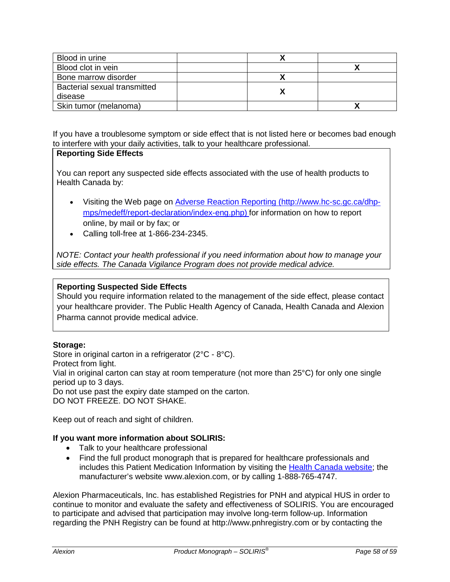| Blood in urine               |  |
|------------------------------|--|
| Blood clot in vein           |  |
| Bone marrow disorder         |  |
| Bacterial sexual transmitted |  |
| disease                      |  |
| Skin tumor (melanoma)        |  |

If you have a troublesome symptom or side effect that is not listed here or becomes bad enough to interfere with your daily activities, talk to your healthcare professional.

# **Reporting Side Effects**

You can report any suspected side effects associated with the use of health products to Health Canada by:

- Visiting the Web page on [Adverse Reaction Reporting](http://www.hc-sc.gc.ca/dhp-mps/medeff/report-declaration/index-eng.php) [\(http://www.hc-sc.gc.ca/dhp](http://www.hc-sc.gc.ca/dhp-mps/medeff/report-declaration/index-eng.php)[mps/medeff/report-declaration/index-eng.php\)](http://www.hc-sc.gc.ca/dhp-mps/medeff/report-declaration/index-eng.php) for information on how to report online, by mail or by fax; or
- Calling toll-free at 1-866-234-2345.

*NOTE: Contact your health professional if you need information about how to manage your side effects. The Canada Vigilance Program does not provide medical advice.*

### **Reporting Suspected Side Effects**

Should you require information related to the management of the side effect, please contact your healthcare provider. The Public Health Agency of Canada, Health Canada and Alexion Pharma cannot provide medical advice.

### **Storage:**

Store in original carton in a refrigerator (2°C - 8°C).

Protect from light.

Vial in original carton can stay at room temperature (not more than 25°C) for only one single period up to 3 days.

Do not use past the expiry date stamped on the carton.

DO NOT FREEZE. DO NOT SHAKE.

Keep out of reach and sight of children.

### **If you want more information about SOLIRIS:**

- Talk to your healthcare professional
- Find the full product monograph that is prepared for healthcare professionals and includes this Patient Medication Information by visiting the [Health Canada website;](http://hc-sc.gc.ca/index-eng.php) the manufacturer's website www.alexion.com, or by calling 1-888-765-4747.

Alexion Pharmaceuticals, Inc. has established Registries for PNH and atypical HUS in order to continue to monitor and evaluate the safety and effectiveness of SOLIRIS. You are encouraged to participate and advised that participation may involve long-term follow-up. Information regarding the PNH Registry can be found at http://www.pnhregistry.com or by contacting the